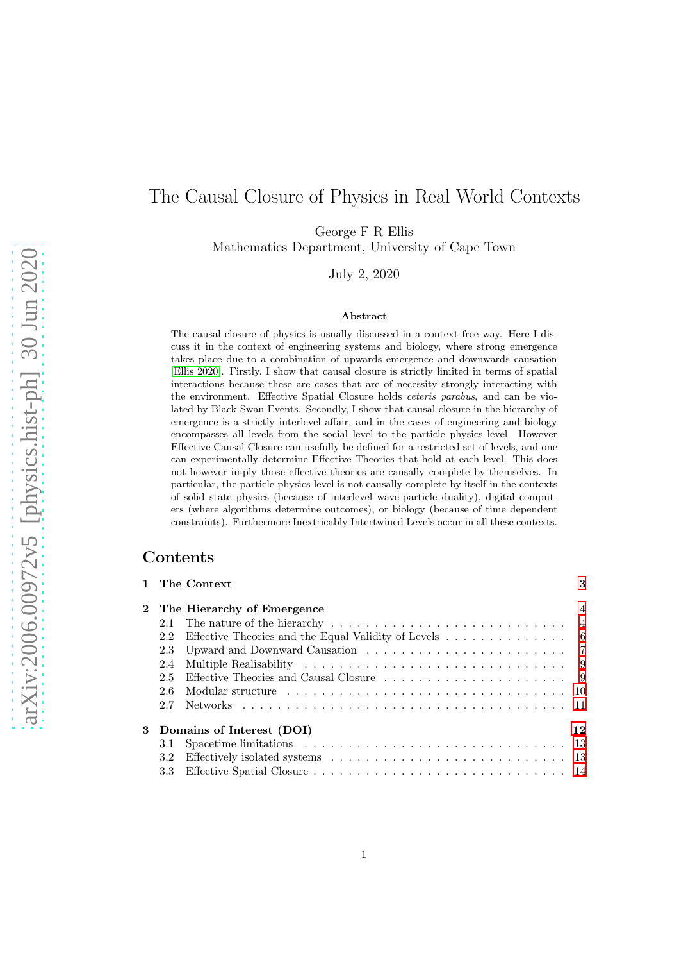# The Causal Closure of Physics in Real World Contexts

George F R Ellis

Mathematics Department, University of Cape Town

July 2, 2020

#### Abstract

The causal closure of physics is usually discussed in a context free way. Here I discuss it in the context of engineering systems and biology, where strong emergence takes place due to a combination of upwards emergence and downwards causation [\[Ellis 2020\]](#page-36-0). Firstly, I show that causal closure is strictly limited in terms of spatial interactions because these are cases that are of necessity strongly interacting with the environment. Effective Spatial Closure holds ceteris parabus, and can be violated by Black Swan Events. Secondly, I show that causal closure in the hierarchy of emergence is a strictly interlevel affair, and in the cases of engineering and biology encompasses all levels from the social level to the particle physics level. However Effective Causal Closure can usefully be defined for a restricted set of levels, and one can experimentally determine Effective Theories that hold at each level. This does not however imply those effective theories are causally complete by themselves. In particular, the particle physics level is not causally complete by itself in the contexts of solid state physics (because of interlevel wave-particle duality), digital computers (where algorithms determine outcomes), or biology (because of time dependent constraints). Furthermore Inextricably Intertwined Levels occur in all these contexts.

## Contents

|                  | 1 The Context                                                                                               | 3                       |
|------------------|-------------------------------------------------------------------------------------------------------------|-------------------------|
|                  | 2 The Hierarchy of Emergence                                                                                | $\overline{\mathbf{4}}$ |
|                  |                                                                                                             |                         |
|                  | 2.2 Effective Theories and the Equal Validity of Levels 6                                                   |                         |
|                  |                                                                                                             |                         |
|                  |                                                                                                             |                         |
| $2.5^{\circ}$    |                                                                                                             |                         |
| 2.6              |                                                                                                             |                         |
|                  |                                                                                                             |                         |
|                  | 3 Domains of Interest (DOI)                                                                                 | 12                      |
|                  | 3.1 Spacetime limitations $\ldots \ldots \ldots \ldots \ldots \ldots \ldots \ldots \ldots \ldots \ldots$ 13 |                         |
| 3.2 <sub>1</sub> |                                                                                                             |                         |
|                  |                                                                                                             |                         |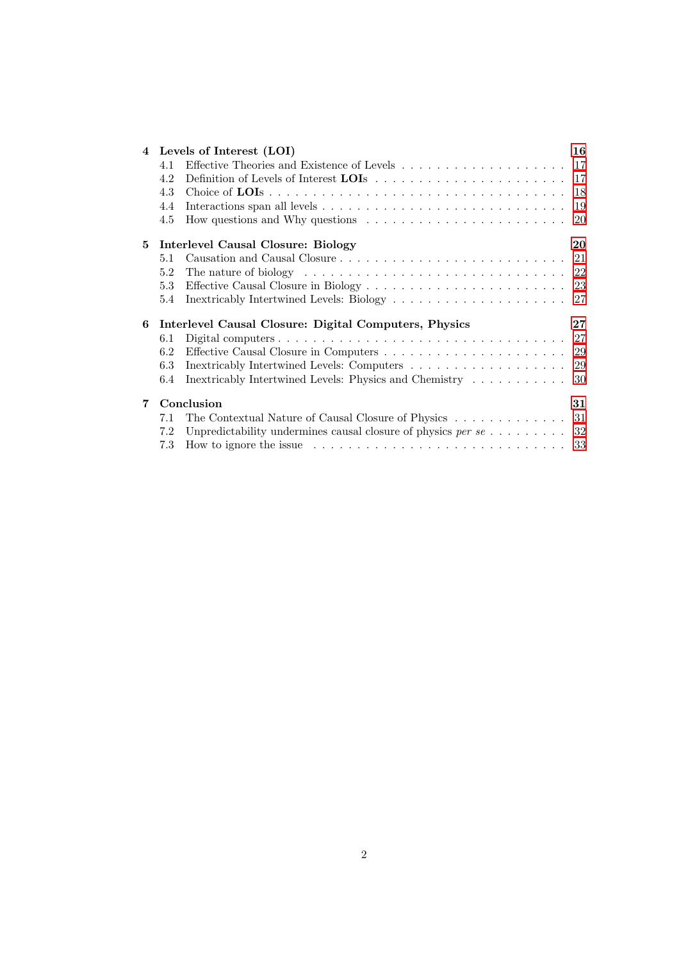|   |         | 4 Levels of Interest (LOI)                                                                         | 16     |  |
|---|---------|----------------------------------------------------------------------------------------------------|--------|--|
|   | 4.1     |                                                                                                    |        |  |
|   | 4.2     |                                                                                                    | 17     |  |
|   | 4.3     |                                                                                                    | 18     |  |
|   | 4.4     |                                                                                                    | 19     |  |
|   | 4.5     | How questions and Why questions $\dots \dots \dots \dots \dots \dots \dots \dots$                  | 20     |  |
| 5 |         | Interlevel Causal Closure: Biology                                                                 | 20     |  |
|   | 5.1     |                                                                                                    | 21     |  |
|   | 5.2     | The nature of biology $\dots \dots \dots \dots \dots \dots \dots \dots \dots \dots \dots \dots 22$ |        |  |
|   | 5.3     |                                                                                                    |        |  |
|   | $5.4\,$ |                                                                                                    |        |  |
| 6 |         | Interlevel Causal Closure: Digital Computers, Physics                                              | $27\,$ |  |
|   | 6.1     |                                                                                                    | 27     |  |
|   | 6.2     |                                                                                                    |        |  |
|   | 6.3     |                                                                                                    | -29    |  |
|   | 6.4     | Inextricably Intertwined Levels: Physics and Chemistry                                             | 30     |  |
| 7 |         | Conclusion                                                                                         | 31     |  |
|   | 7.1     | The Contextual Nature of Causal Closure of Physics                                                 | 31     |  |
|   | 7.2     | Unpredictability undermines causal closure of physics $per \, se \ldots \ldots$                    | 32     |  |
|   | 7.3     |                                                                                                    |        |  |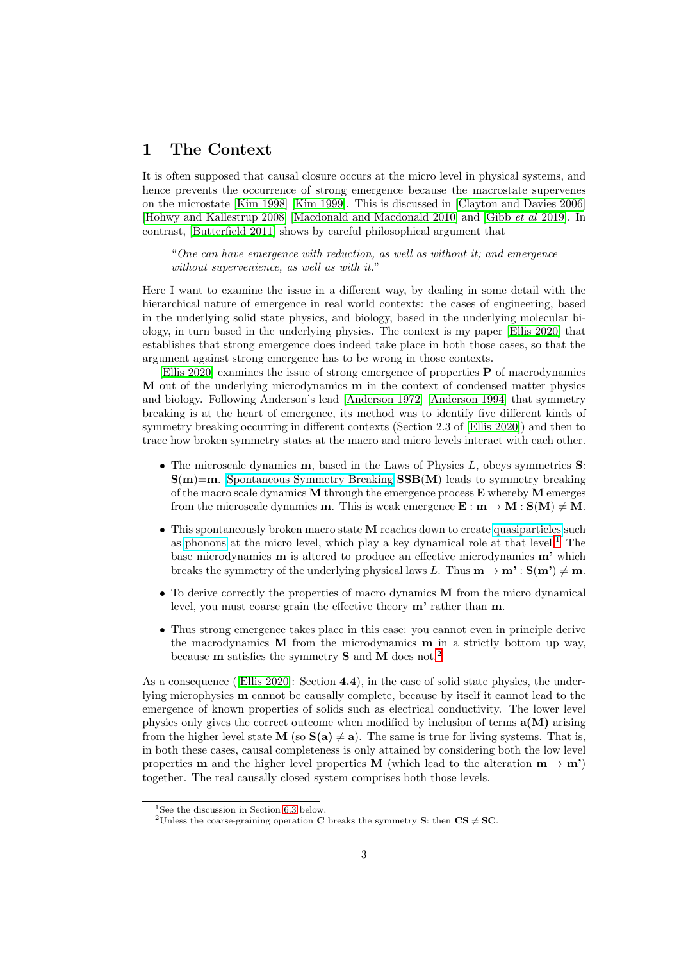# <span id="page-2-0"></span>1 The Context

It is often supposed that causal closure occurs at the micro level in physical systems, and hence prevents the occurrence of strong emergence because the macrostate supervenes on the microstate [Kim 1998] [Kim 1999]. This is discussed in [Clayton and Davies 2006] [Hohwy and Kallestrup 2008] [Macdonald and Macdonald 2010] and [\[Gibb](#page-37-0) et al 2019]. In contrast, [Butterfield 2011] shows by careful philosophical argument that

"One can have emergence with reduction, as well as without it; and emergence without supervenience, as well as with it."

Here I want to examine the issue in a different way, by dealing in some detail with the hierarchical nature of emergence in real world contexts: the cases of engineering, based in the underlying solid state physics, and biology, based in the underlying molecular biology, in turn based in the underlying physics. The context is my paper [\[Ellis 2020\]](#page-36-0) that establishes that strong emergence does indeed take place in both those cases, so that the argument against strong emergence has to be wrong in those contexts.

[\[Ellis 2020\]](#page-36-0) examines the issue of strong emergence of properties  $P$  of macrodynamics M out of the underlying microdynamics m in the context of condensed matter physics and biology. Following Anderson's lead [\[Anderson 1972\]](#page-33-0) [\[Anderson 1994\]](#page-33-1) that symmetry breaking is at the heart of emergence, its method was to identify five different kinds of symmetry breaking occurring in different contexts (Section 2.3 of [\[Ellis 2020\]](#page-36-0)) and then to trace how broken symmetry states at the macro and micro levels interact with each other.

- The microscale dynamics **, based in the Laws of Physics**  $L$ **, obeys symmetries**  $**S**$ **:**  $S(m)=m$ . [Spontaneous Symmetry Breaking](https://en.wikipedia.org/wiki/Spontaneous_symmetry_breaking)  $SSB(M)$  leads to symmetry breaking of the macro scale dynamics  $M$  through the emergence process  $E$  whereby  $M$  emerges from the microscale dynamics **m**. This is weak emergence  $\mathbf{E}: \mathbf{m} \to \mathbf{M}: \mathbf{S}(\mathbf{M}) \neq \mathbf{M}$ .
- This spontaneously broken macro state M reaches down to create [quasiparticles](https://en.wikipedia.org/wiki/Quasiparticle) such as [phonons](https://en.wikipedia.org/wiki/Phonon) at the micro level, which play a key dynamical role at that level.<sup>[1](#page-2-1)</sup> The base microdynamics m is altered to produce an effective microdynamics m' which breaks the symmetry of the underlying physical laws L. Thus  $\mathbf{m} \to \mathbf{m}' : \mathbf{S}(\mathbf{m}') \neq \mathbf{m}$ .
- To derive correctly the properties of macro dynamics M from the micro dynamical level, you must coarse grain the effective theory m' rather than m.
- Thus strong emergence takes place in this case: you cannot even in principle derive the macrodynamics M from the microdynamics m in a strictly bottom up way, because m satisfies the symmetry S and M does not.[2](#page-2-2)

As a consequence ([\[Ellis 2020\]](#page-36-0): Section 4.4), in the case of solid state physics, the underlying microphysics m cannot be causally complete, because by itself it cannot lead to the emergence of known properties of solids such as electrical conductivity. The lower level physics only gives the correct outcome when modified by inclusion of terms  $a(M)$  arising from the higher level state M (so  $S(a) \neq a$ ). The same is true for living systems. That is, in both these cases, causal completeness is only attained by considering both the low level properties **m** and the higher level properties **M** (which lead to the alteration  $\mathbf{m} \to \mathbf{m}'$ ) together. The real causally closed system comprises both those levels.

<sup>&</sup>lt;sup>1</sup>See the discussion in Section [6.3](#page-28-1) below.

<span id="page-2-2"></span><span id="page-2-1"></span><sup>&</sup>lt;sup>2</sup>Unless the coarse-graining operation C breaks the symmetry S: then CS  $\neq$  SC.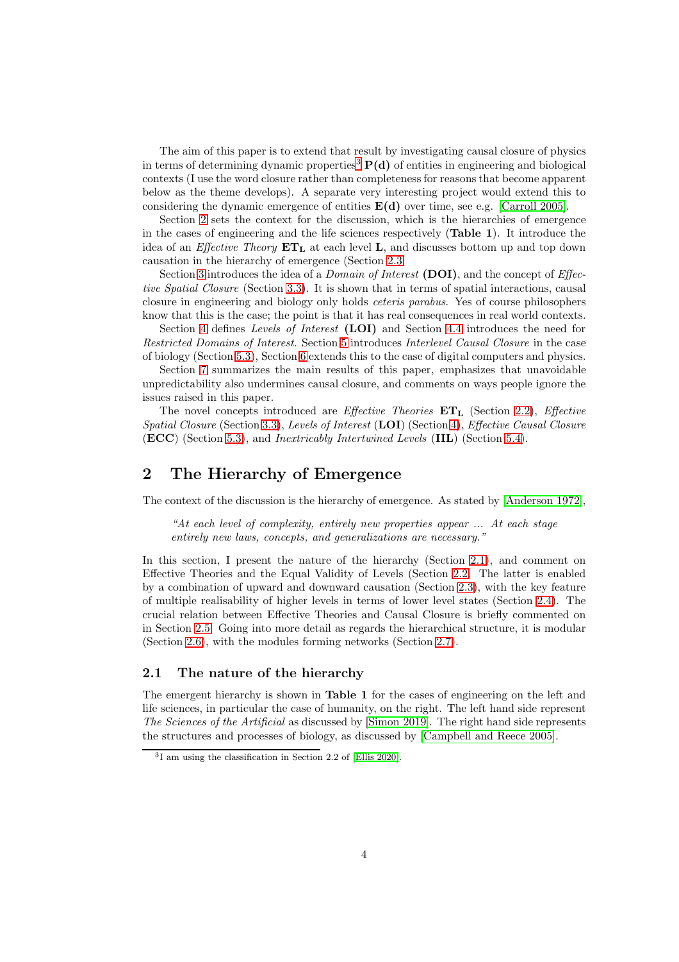The aim of this paper is to extend that result by investigating causal closure of physics in terms of determining dynamic properties<sup>[3](#page-3-2)</sup>  $P(d)$  of entities in engineering and biological contexts (I use the word closure rather than completeness for reasons that become apparent below as the theme develops). A separate very interesting project would extend this to considering the dynamic emergence of entities  $E(d)$  over time, see e.g. [Carroll 2005].

Section [2](#page-3-0) sets the context for the discussion, which is the hierarchies of emergence in the cases of engineering and the life sciences respectively (Table 1). It introduce the idea of an *Effective Theory*  $ET<sub>L</sub>$ , at each level L, and discusses bottom up and top down causation in the hierarchy of emergence (Section [2.3.](#page-6-0)

Section [3](#page-11-0) introduces the idea of a *Domain of Interest* (DOI), and the concept of *Effec*tive Spatial Closure (Section [3.3\)](#page-13-0). It is shown that in terms of spatial interactions, causal closure in engineering and biology only holds *ceteris parabus*. Yes of course philosophers know that this is the case; the point is that it has real consequences in real world contexts.

Section [4](#page-15-0) defines Levels of Interest (LOI) and Section [4.4](#page-18-0) introduces the need for Restricted Domains of Interest. Section [5](#page-19-1) introduces Interlevel Causal Closure in the case of biology (Section [5.3\)](#page-22-0), Section [6](#page-26-1) extends this to the case of digital computers and physics.

Section [7](#page-30-0) summarizes the main results of this paper, emphasizes that unavoidable unpredictability also undermines causal closure, and comments on ways people ignore the issues raised in this paper.

The novel concepts introduced are *Effective Theories*  $ET<sub>L</sub>$  (Section [2.2\)](#page-5-0), *Effective* Spatial Closure (Section [3.3\)](#page-13-0), Levels of Interest (LOI) (Section [4\)](#page-15-0), Effective Causal Closure  $(ECC)$  (Section [5.3\)](#page-22-0), and *Inextricably Intertwined Levels* (IIL) (Section [5.4\)](#page-26-0).

# <span id="page-3-0"></span>2 The Hierarchy of Emergence

The context of the discussion is the hierarchy of emergence. As stated by [\[Anderson 1972\]](#page-33-0),

"At each level of complexity, entirely new properties appear ... At each stage entirely new laws, concepts, and generalizations are necessary."

In this section, I present the nature of the hierarchy (Section [2.1\)](#page-3-1), and comment on Effective Theories and the Equal Validity of Levels (Section [2.2.](#page-5-0) The latter is enabled by a combination of upward and downward causation (Section [2.3\)](#page-6-0), with the key feature of multiple realisability of higher levels in terms of lower level states (Section [2.4\)](#page-8-0). The crucial relation between Effective Theories and Causal Closure is briefly commented on in Section [2.5.](#page-8-1) Going into more detail as regards the hierarchical structure, it is modular (Section [2.6\)](#page-9-0), with the modules forming networks (Section [2.7\)](#page-10-0).

## <span id="page-3-1"></span>2.1 The nature of the hierarchy

The emergent hierarchy is shown in **Table 1** for the cases of engineering on the left and life sciences, in particular the case of humanity, on the right. The left hand side represent The Sciences of the Artificial as discussed by [Simon 2019]. The right hand side represents the structures and processes of biology, as discussed by [Campbell and Reece 2005].

<span id="page-3-2"></span><sup>3</sup> I am using the classification in Section 2.2 of [\[Ellis 2020\]](#page-36-0).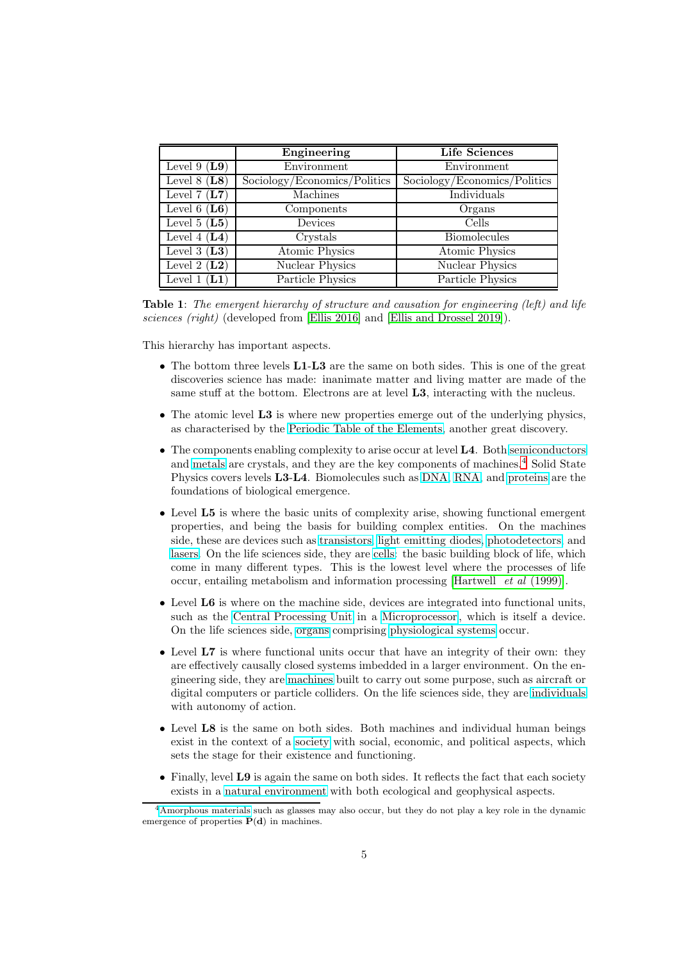|                      | Engineering                  | <b>Life Sciences</b>                      |
|----------------------|------------------------------|-------------------------------------------|
| Level 9 $(L9)$       | Environment                  | Environment                               |
| Level $8(L8)$        | Sociology/Economics/Politics | $Sociology/Economics/\overline{Politics}$ |
| Level $7(L7)$        | Machines                     | Individuals                               |
| Level $6(L6)$        | Components                   | Organs                                    |
| Level 5 $(L5)$       | Devices                      | Cells                                     |
| Level 4 $(L4)$       | Crystals                     | <b>Biomolecules</b>                       |
| Level 3 $(L3)$       | <b>Atomic Physics</b>        | <b>Atomic Physics</b>                     |
| Level 2 $(L2)$       | <b>Nuclear Physics</b>       | <b>Nuclear Physics</b>                    |
| $\bf(L1)$<br>Level 1 | Particle Physics             | Particle Physics                          |

Table 1: The emergent hierarchy of structure and causation for engineering (left) and life sciences (right) (developed from [\[Ellis 2016\]](#page-36-1) and [\[Ellis and Drossel 2019\]](#page-36-2)).

This hierarchy has important aspects.

- The bottom three levels **L1-L3** are the same on both sides. This is one of the great discoveries science has made: inanimate matter and living matter are made of the same stuff at the bottom. Electrons are at level L3, interacting with the nucleus.
- The atomic level L3 is where new properties emerge out of the underlying physics, as characterised by the [Periodic Table of the Elements,](https://en.wikipedia.org/wiki/Periodic_Table_of_the_Elements) another great discovery.
- The components enabling complexity to arise occur at level L4. Both [semiconductors](https://en.wikipedia.org/wiki/Semiconductor) and [metals](https://en.wikipedia.org/wiki/Metals) are crystals, and they are the key components of machines.<sup>[4](#page-4-0)</sup> Solid State Physics covers levels L3-L4. Biomolecules such as [DNA,](https://en.wikipedia.org/wiki/DNA) [RNA,](https://en.wikipedia.org/wiki/RNA) and [proteins](https://en.wikipedia.org/wiki/Protein) are the foundations of biological emergence.
- Level L5 is where the basic units of complexity arise, showing functional emergent properties, and being the basis for building complex entities. On the machines side, these are devices such as [transistors,](https://en.wikipedia.org/wiki/Transistor) [light emitting diodes,](https://en.wikipedia.org/wiki/Light_emitting_diodes) [photodetectors,](https://en.wikipedia.org/wiki/Photodetector) and [lasers.](https://en.wikipedia.org/wiki/Lasers) On the life sciences side, they are [cells:](https://en.wikipedia.org/wiki/Cell_(biology)) the basic building block of life, which come in many different types. This is the lowest level where the processes of life occur, entailing metabolism and information processing [\[Hartwell](#page-37-1) et al (1999)].
- Level L6 is where on the machine side, devices are integrated into functional units, such as the [Central Processing Unit](https://en.wikipedia.org/wiki/CPU) in a [Microprocessor](https://en.wikipedia.org/wiki/Microprocessor) , which is itself a device. On the life sciences side, [organs](https://en.wikipedia.org/wiki/Organ_(anatomy)) comprising [physiological systems](https://en.wikipedia.org/wiki/Physiology) occur.
- Level L7 is where functional units occur that have an integrity of their own: they are effectively causally closed systems imbedded in a larger environment. On the engineering side, they are [machines](https://en.wikipedia.org/wiki/Machine) built to carry out some purpose, such as aircraft or digital computers or particle colliders. On the life sciences side, they are [individuals](https://en.wikipedia.org/wiki/Individual) with autonomy of action.
- Level L8 is the same on both sides. Both machines and individual human beings exist in the context of a [society](https://en.wikipedia.org/wiki/Society) with social, economic, and political aspects, which sets the stage for their existence and functioning.
- Finally, level L9 is again the same on both sides. It reflects the fact that each society exists in a [natural environment](https://en.wikipedia.org/wiki/Natural_environment) with both ecological and geophysical aspects.

<span id="page-4-0"></span><sup>4</sup>[Amorphous materials](https://en.wikipedia.org/wiki/Amorphous_solid) such as glasses may also occur, but they do not play a key role in the dynamic emergence of properties  $P(d)$  in machines.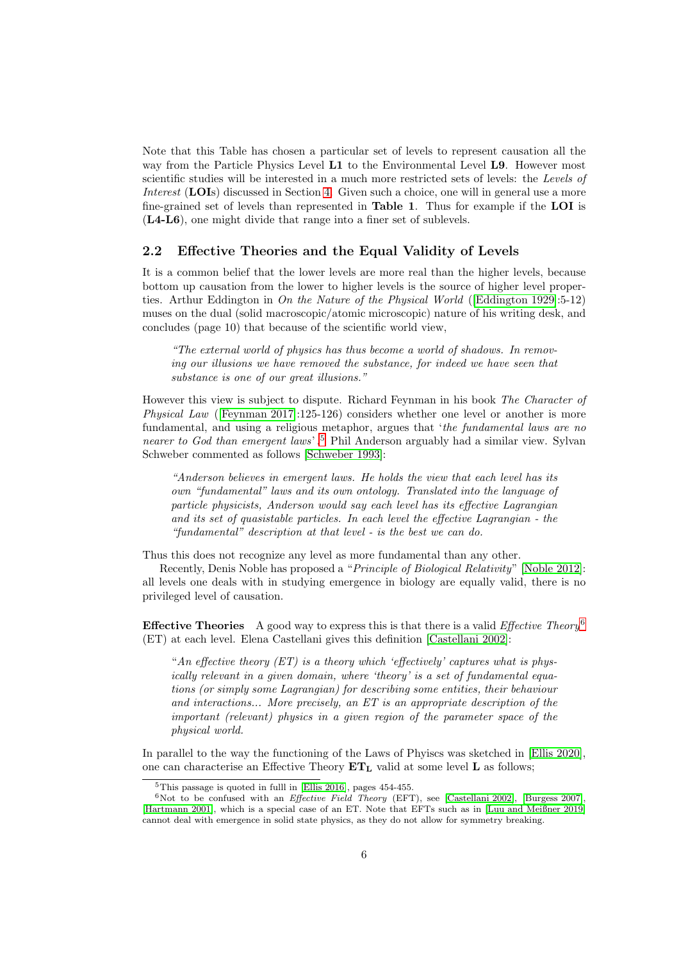Note that this Table has chosen a particular set of levels to represent causation all the way from the Particle Physics Level **L1** to the Environmental Level **L9**. However most scientific studies will be interested in a much more restricted sets of levels: the Levels of Interest (LOIs) discussed in Section [4.](#page-15-0) Given such a choice, one will in general use a more fine-grained set of levels than represented in Table 1. Thus for example if the LOI is (L4-L6), one might divide that range into a finer set of sublevels.

### <span id="page-5-0"></span>2.2 Effective Theories and the Equal Validity of Levels

It is a common belief that the lower levels are more real than the higher levels, because bottom up causation from the lower to higher levels is the source of higher level proper-ties. Arthur Eddington in On the Nature of the Physical World ([\[Eddington 1929\]](#page-35-0):5-12) muses on the dual (solid macroscopic/atomic microscopic) nature of his writing desk, and concludes (page 10) that because of the scientific world view,

"The external world of physics has thus become a world of shadows. In removing our illusions we have removed the substance, for indeed we have seen that substance is one of our great illusions."

However this view is subject to dispute. Richard Feynman in his book The Character of Physical Law ([Feynman 2017]:125-126) considers whether one level or another is more fundamental, and using a religious metaphor, argues that 'the fundamental laws are no nearer to God than emergent laws'.<sup>5</sup> Phil Anderson arguably had a similar view. Sylvan Schweber commented as follows [Schweber 1993]:

"Anderson believes in emergent laws. He holds the view that each level has its own "fundamental" laws and its own ontology. Translated into the language of particle physicists, Anderson would say each level has its effective Lagrangian and its set of quasistable particles. In each level the effective Lagrangian - the "fundamental" description at that level - is the best we can do.

Thus this does not recognize any level as more fundamental than any other.

Recently, Denis Noble has proposed a "Principle of Biological Relativity" [Noble 2012]: all levels one deals with in studying emergence in biology are equally valid, there is no privileged level of causation.

**Effective Theories** A good way to express this is that there is a valid *Effective Theory*<sup>[6](#page-5-2)</sup> (ET) at each level. Elena Castellani gives this definition [\[Castellani 2002\]](#page-35-1):

"An effective theory  $(ET)$  is a theory which 'effectively' captures what is physically relevant in a given domain, where 'theory' is a set of fundamental equations (or simply some Lagrangian) for describing some entities, their behaviour and interactions... More precisely, an ET is an appropriate description of the important (relevant) physics in a given region of the parameter space of the physical world.

In parallel to the way the functioning of the Laws of Phyiscs was sketched in [\[Ellis 2020\]](#page-36-0), one can characterise an Effective Theory  $ET<sub>L</sub>$  valid at some level L as follows;

<span id="page-5-1"></span> $5$ This passage is quoted in fulll in [\[Ellis 2016\]](#page-36-1), pages 454-455.

<span id="page-5-2"></span> $6Not$  to be confused with an *Effective Field Theory* (EFT), see [\[Castellani 2002\]](#page-35-1), [\[Burgess 2007\]](#page-34-0), [Hartmann 2001], which is a special case of an ET. Note that EFTs such as in [\[Luu and Meißner 2019\]](#page-39-0) cannot deal with emergence in solid state physics, as they do not allow for symmetry breaking.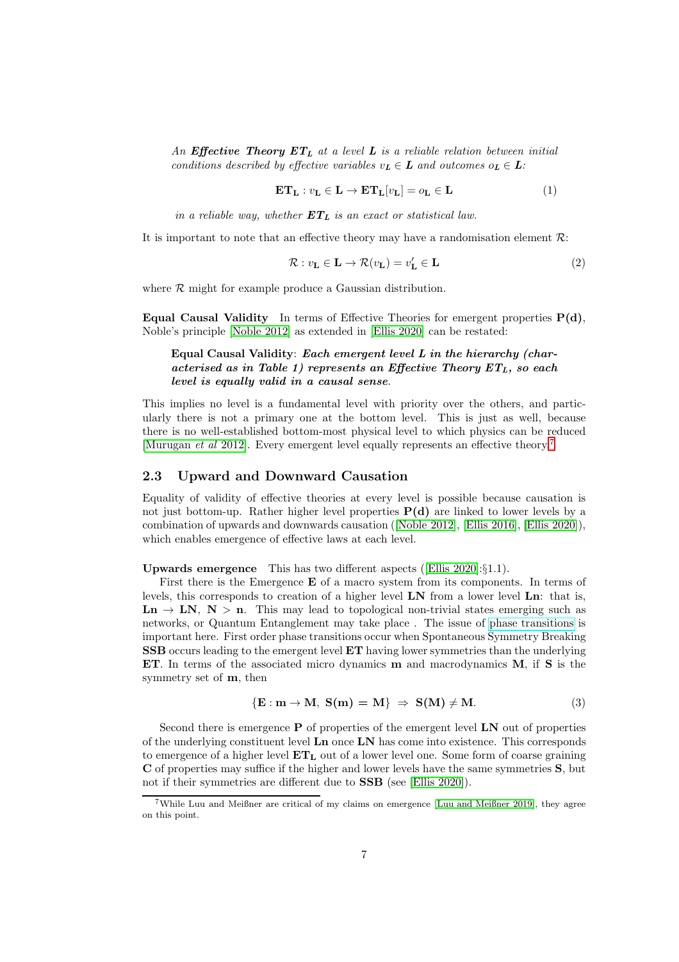An Effective Theory  $ET_L$  at a level L is a reliable relation between initial conditions described by effective variables  $v_L \in L$  and outcomes  $o_L \in L$ :

<span id="page-6-2"></span>
$$
\mathbf{ET}_{\mathbf{L}} : v_{\mathbf{L}} \in \mathbf{L} \to \mathbf{ET}_{\mathbf{L}}[v_{\mathbf{L}}] = o_{\mathbf{L}} \in \mathbf{L}
$$
 (1)

in a reliable way, whether  $ET_L$  is an exact or statistical law.

It is important to note that an effective theory may have a randomisation element  $\mathcal{R}$ :

$$
\mathcal{R}: v_{\mathbf{L}} \in \mathbf{L} \to \mathcal{R}(v_{\mathbf{L}}) = v_{\mathbf{L}}' \in \mathbf{L}
$$
\n(2)

where  $R$  might for example produce a Gaussian distribution.

Equal Causal Validity In terms of Effective Theories for emergent properties  $P(d)$ , Noble's principle [Noble 2012] as extended in [\[Ellis 2020\]](#page-36-0) can be restated:

### Equal Causal Validity: Each emergent level L in the hierarchy (characterised as in Table 1) represents an Effective Theory  $ET_L$ , so each level is equally valid in a causal sense.

This implies no level is a fundamental level with priority over the others, and particularly there is not a primary one at the bottom level. This is just as well, because there is no well-established bottom-most physical level to which physics can be reduced [Murugan et al 2012]. Every emergent level equally represents an effective theory.[7](#page-6-1)

### <span id="page-6-0"></span>2.3 Upward and Downward Causation

Equality of validity of effective theories at every level is possible because causation is not just bottom-up. Rather higher level properties  $P(d)$  are linked to lower levels by a combination of upwards and downwards causation ([Noble 2012], [\[Ellis 2016\]](#page-36-1), [\[Ellis 2020\]](#page-36-0)), which enables emergence of effective laws at each level.

Upwards emergence This has two different aspects ([\[Ellis 2020\]](#page-36-0):§1.1).

First there is the Emergence E of a macro system from its components. In terms of levels, this corresponds to creation of a higher level  $LN$  from a lower level  $Ln$ : that is,  $\text{Ln} \rightarrow \text{LN}, \text{N} > \text{n}$ . This may lead to topological non-trivial states emerging such as networks, or Quantum Entanglement may take place . The issue of [phase transitions](https://en.wikipedia.org/wiki/Phase_transition) is important here. First order phase transitions occur when Spontaneous Symmetry Breaking SSB occurs leading to the emergent level ET having lower symmetries than the underlying ET. In terms of the associated micro dynamics m and macrodynamics M, if S is the symmetry set of **, then** 

$$
\{E : m \to M, S(m) = M\} \Rightarrow S(M) \neq M. \tag{3}
$$

Second there is emergence  $P$  of properties of the emergent level  $LN$  out of properties of the underlying constituent level Ln once LN has come into existence. This corresponds to emergence of a higher level  $ET<sub>L</sub>$  out of a lower level one. Some form of coarse graining C of properties may suffice if the higher and lower levels have the same symmetries S, but not if their symmetries are different due to **SSB** (see [\[Ellis 2020\]](#page-36-0)).

<span id="page-6-1"></span><sup>7</sup>While Luu and Meißner are critical of my claims on emergence [\[Luu and Meißner 2019\]](#page-39-0), they agree on this point.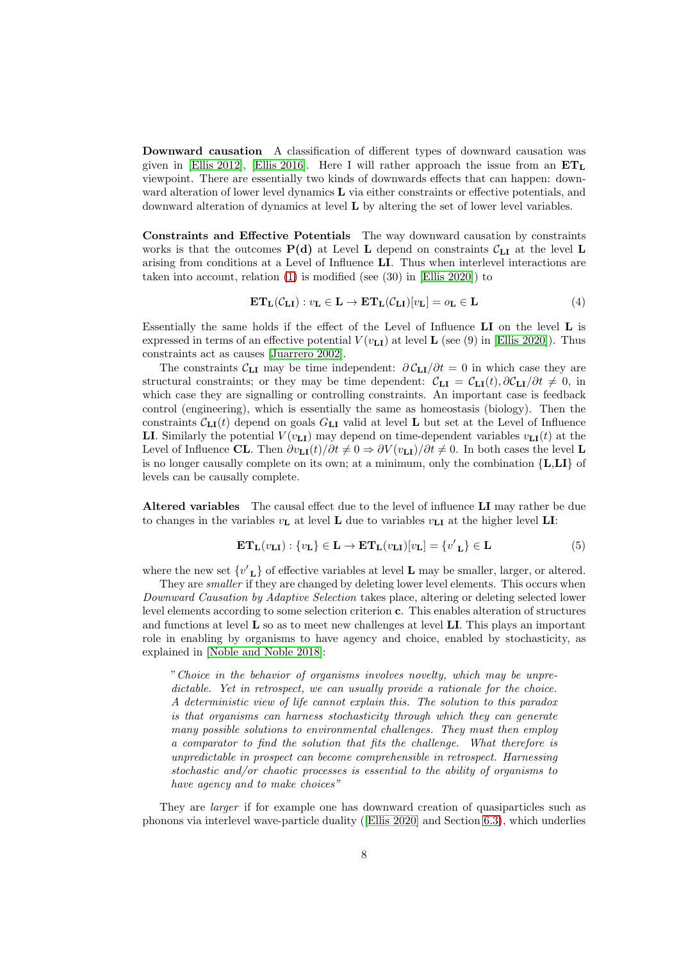Downward causation A classification of different types of downward causation was given in [Ellis 2012], [\[Ellis 2016\]](#page-36-1). Here I will rather approach the issue from an  $ET<sub>L</sub>$ viewpoint. There are essentially two kinds of downwards effects that can happen: downward alteration of lower level dynamics  $L$  via either constraints or effective potentials, and downward alteration of dynamics at level L by altering the set of lower level variables.

Constraints and Effective Potentials The way downward causation by constraints works is that the outcomes  $P(d)$  at Level L depend on constraints  $C_{LI}$  at the level L arising from conditions at a Level of Influence LI. Thus when interlevel interactions are taken into account, relation [\(1\)](#page-6-2) is modified (see (30) in [\[Ellis 2020\]](#page-36-0)) to

<span id="page-7-0"></span>
$$
\mathbf{ET}_{\mathbf{L}}(\mathcal{C}_{\mathbf{L}\mathbf{I}}): v_{\mathbf{L}} \in \mathbf{L} \to \mathbf{ET}_{\mathbf{L}}(\mathcal{C}_{\mathbf{L}\mathbf{I}})[v_{\mathbf{L}}] = o_{\mathbf{L}} \in \mathbf{L}
$$
\n(4)

Essentially the same holds if the effect of the Level of Influence LI on the level L is expressed in terms of an effective potential  $V(v_{\text{LI}})$  at level **L** (see (9) in [\[Ellis 2020\]](#page-36-0)). Thus constraints act as causes [Juarrero 2002].

The constraints  $\mathcal{C}_{LI}$  may be time independent:  $\partial \mathcal{C}_{LI}/\partial t = 0$  in which case they are structural constraints; or they may be time dependent:  $C_{LI} = C_{LI}(t), \frac{\partial C_{LI}}{\partial t} \neq 0$ , in which case they are signalling or controlling constraints. An important case is feedback control (engineering), which is essentially the same as homeostasis (biology). Then the constraints  $C_{LI}(t)$  depend on goals  $G_{LI}$  valid at level L but set at the Level of Influence LI. Similarly the potential  $V(v_{\text{LI}})$  may depend on time-dependent variables  $v_{\text{LI}}(t)$  at the Level of Influence CL. Then  $\partial v_{\text{LI}}(t)/\partial t \neq 0 \Rightarrow \partial V(v_{\text{LI}})/\partial t \neq 0$ . In both cases the level L is no longer causally complete on its own; at a minimum, only the combination  $\{L,LI\}$  of levels can be causally complete.

Altered variables The causal effect due to the level of influence LI may rather be due to changes in the variables  $v_L$  at level L due to variables  $v_{L}$  at the higher level LI:

$$
\mathbf{ET}_{\mathbf{L}}(v_{\mathbf{L}\mathbf{I}}): \{v_{\mathbf{L}}\} \in \mathbf{L} \to \mathbf{ET}_{\mathbf{L}}(v_{\mathbf{L}\mathbf{I}})[v_{\mathbf{L}}] = \{v'_{\mathbf{L}}\} \in \mathbf{L}
$$
 (5)

where the new set  $\{v'_{\mathbf{L}}\}$  of effective variables at level **L** may be smaller, larger, or altered.

They are *smaller* if they are changed by deleting lower level elements. This occurs when Downward Causation by Adaptive Selection takes place, altering or deleting selected lower level elements according to some selection criterion c. This enables alteration of structures and functions at level  $\bf{L}$  so as to meet new challenges at level  $\bf{L}$ . This plays an important role in enabling by organisms to have agency and choice, enabled by stochasticity, as explained in [Noble and Noble 2018]:

"Choice in the behavior of organisms involves novelty, which may be unpredictable. Yet in retrospect, we can usually provide a rationale for the choice. A deterministic view of life cannot explain this. The solution to this paradox is that organisms can harness stochasticity through which they can generate many possible solutions to environmental challenges. They must then employ a comparator to find the solution that fits the challenge. What therefore is unpredictable in prospect can become comprehensible in retrospect. Harnessing stochastic and/or chaotic processes is essential to the ability of organisms to have agency and to make choices"

They are larger if for example one has downward creation of quasiparticles such as phonons via interlevel wave-particle duality ([\[Ellis 2020\]](#page-36-0) and Section [6.3\)](#page-28-1), which underlies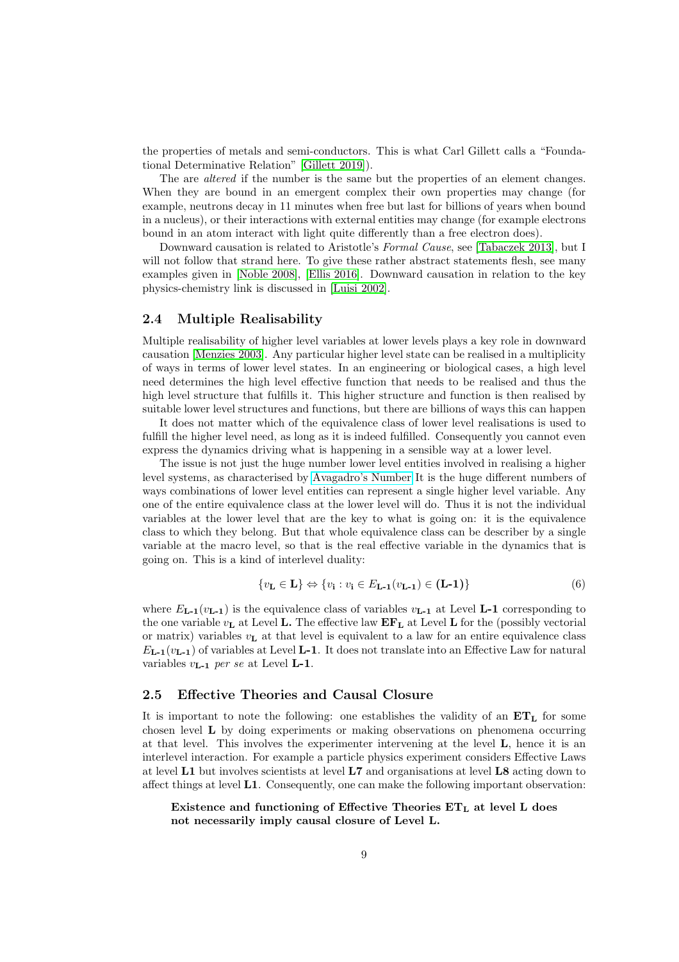the properties of metals and semi-conductors. This is what Carl Gillett calls a "Foundational Determinative Relation" [\[Gillett 2019\]](#page-37-2)).

The are *altered* if the number is the same but the properties of an element changes. When they are bound in an emergent complex their own properties may change (for example, neutrons decay in 11 minutes when free but last for billions of years when bound in a nucleus), or their interactions with external entities may change (for example electrons bound in an atom interact with light quite differently than a free electron does).

Downward causation is related to Aristotle's Formal Cause, see [Tabaczek 2013], but I will not follow that strand here. To give these rather abstract statements flesh, see many examples given in [\[Noble 2008\]](#page-40-0), [\[Ellis 2016\]](#page-36-1). Downward causation in relation to the key physics-chemistry link is discussed in [\[Luisi 2002\]](#page-39-1).

#### <span id="page-8-0"></span>2.4 Multiple Realisability

Multiple realisability of higher level variables at lower levels plays a key role in downward causation [Menzies 2003]. Any particular higher level state can be realised in a multiplicity of ways in terms of lower level states. In an engineering or biological cases, a high level need determines the high level effective function that needs to be realised and thus the high level structure that fulfills it. This higher structure and function is then realised by suitable lower level structures and functions, but there are billions of ways this can happen

It does not matter which of the equivalence class of lower level realisations is used to fulfill the higher level need, as long as it is indeed fulfilled. Consequently you cannot even express the dynamics driving what is happening in a sensible way at a lower level.

The issue is not just the huge number lower level entities involved in realising a higher level systems, as characterised by [Avagadro's Number](https://en.wikipedia.org/wiki/Avogadro_constant) It is the huge different numbers of ways combinations of lower level entities can represent a single higher level variable. Any one of the entire equivalence class at the lower level will do. Thus it is not the individual variables at the lower level that are the key to what is going on: it is the equivalence class to which they belong. But that whole equivalence class can be describer by a single variable at the macro level, so that is the real effective variable in the dynamics that is going on. This is a kind of interlevel duality:

$$
\{v_{\mathbf{L}} \in \mathbf{L}\} \Leftrightarrow \{v_{\mathbf{i}} : v_{\mathbf{i}} \in E_{\mathbf{L}\text{-1}}(v_{\mathbf{L}\text{-1}}) \in (\mathbf{L}\text{-1})\}\tag{6}
$$

where  $E_{L-1}(v_{L-1})$  is the equivalence class of variables  $v_{L-1}$  at Level L-1 corresponding to the one variable  $v_{\mathbf{L}}$  at Level **L.** The effective law  $\mathbf{EF}_{\mathbf{L}}$  at Level **L** for the (possibly vectorial or matrix) variables  $v_{\rm L}$  at that level is equivalent to a law for an entire equivalence class  $E_{\mathbf{L-1}}(v_{\mathbf{L-1}})$  of variables at Level **L-1**. It does not translate into an Effective Law for natural variables  $v_{L-1}$  per se at Level **L-1**.

#### <span id="page-8-1"></span>2.5 Effective Theories and Causal Closure

It is important to note the following: one establishes the validity of an  $ET<sub>L</sub>$  for some chosen level L by doing experiments or making observations on phenomena occurring at that level. This involves the experimenter intervening at the level L, hence it is an interlevel interaction. For example a particle physics experiment considers Effective Laws at level L1 but involves scientists at level L7 and organisations at level L8 acting down to affect things at level L1. Consequently, one can make the following important observation:

### Existence and functioning of Effective Theories  $ET<sub>L</sub>$  at level L does not necessarily imply causal closure of Level L.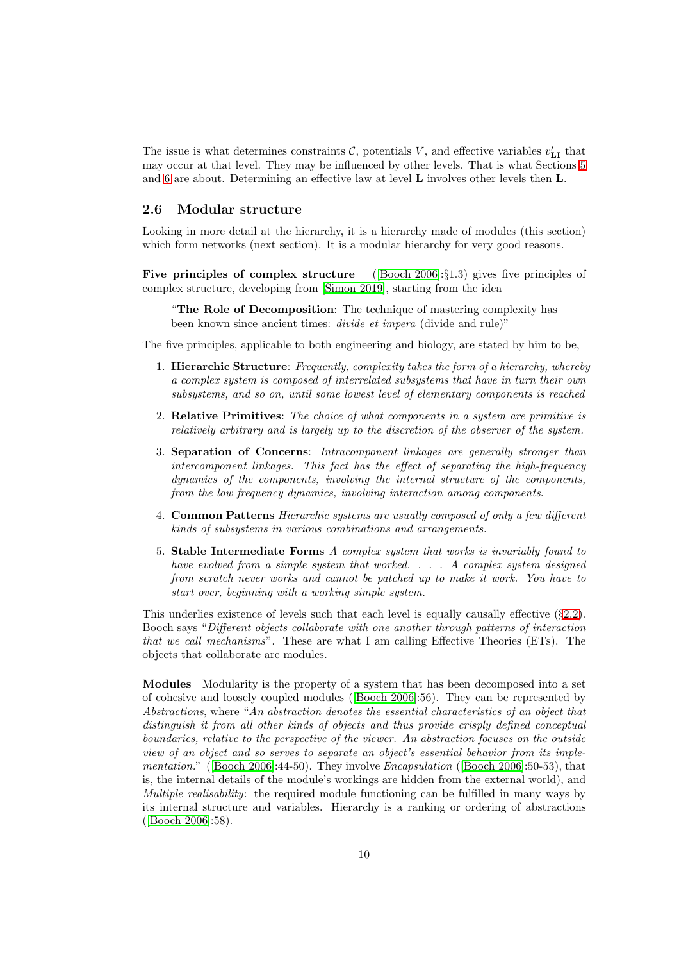The issue is what determines constraints  $\mathcal{C}$ , potentials V, and effective variables  $v'_{\text{LI}}$  that may occur at that level. They may be influenced by other levels. That is what Sections [5](#page-19-1) and [6](#page-26-1) are about. Determining an effective law at level  $\bf{L}$  involves other levels then  $\bf{L}$ .

### <span id="page-9-0"></span>2.6 Modular structure

Looking in more detail at the hierarchy, it is a hierarchy made of modules (this section) which form networks (next section). It is a modular hierarchy for very good reasons.

**Five principles of complex structure** ([Booch 2006]: $\S1.3$ ) gives five principles of complex structure, developing from [Simon 2019], starting from the idea

"The Role of Decomposition: The technique of mastering complexity has been known since ancient times: divide et impera (divide and rule)"

The five principles, applicable to both engineering and biology, are stated by him to be,

- 1. Hierarchic Structure: Frequently, complexity takes the form of a hierarchy, whereby a complex system is composed of interrelated subsystems that have in turn their own subsystems, and so on, until some lowest level of elementary components is reached
- 2. Relative Primitives: The choice of what components in a system are primitive is relatively arbitrary and is largely up to the discretion of the observer of the system.
- 3. Separation of Concerns: Intracomponent linkages are generally stronger than intercomponent linkages. This fact has the effect of separating the high-frequency dynamics of the components, involving the internal structure of the components, from the low frequency dynamics, involving interaction among components.
- 4. Common Patterns Hierarchic systems are usually composed of only a few different kinds of subsystems in various combinations and arrangements.
- 5. Stable Intermediate Forms A complex system that works is invariably found to have evolved from a simple system that worked. . . . A complex system designed from scratch never works and cannot be patched up to make it work. You have to start over, beginning with a working simple system.

This underlies existence of levels such that each level is equally causally effective  $(\S 2.2)$  $(\S 2.2)$ . Booch says "Different objects collaborate with one another through patterns of interaction that we call mechanisms". These are what I am calling Effective Theories (ETs). The objects that collaborate are modules.

Modules Modularity is the property of a system that has been decomposed into a set of cohesive and loosely coupled modules ([Booch 2006]:56). They can be represented by Abstractions, where "An abstraction denotes the essential characteristics of an object that distinguish it from all other kinds of objects and thus provide crisply defined conceptual boundaries, relative to the perspective of the viewer. An abstraction focuses on the outside view of an object and so serves to separate an object's essential behavior from its implementation." ([Booch 2006]:44-50). They involve Encapsulation ([Booch 2006]:50-53), that is, the internal details of the module's workings are hidden from the external world), and Multiple realisability: the required module functioning can be fulfilled in many ways by its internal structure and variables. Hierarchy is a ranking or ordering of abstractions ([Booch 2006]:58).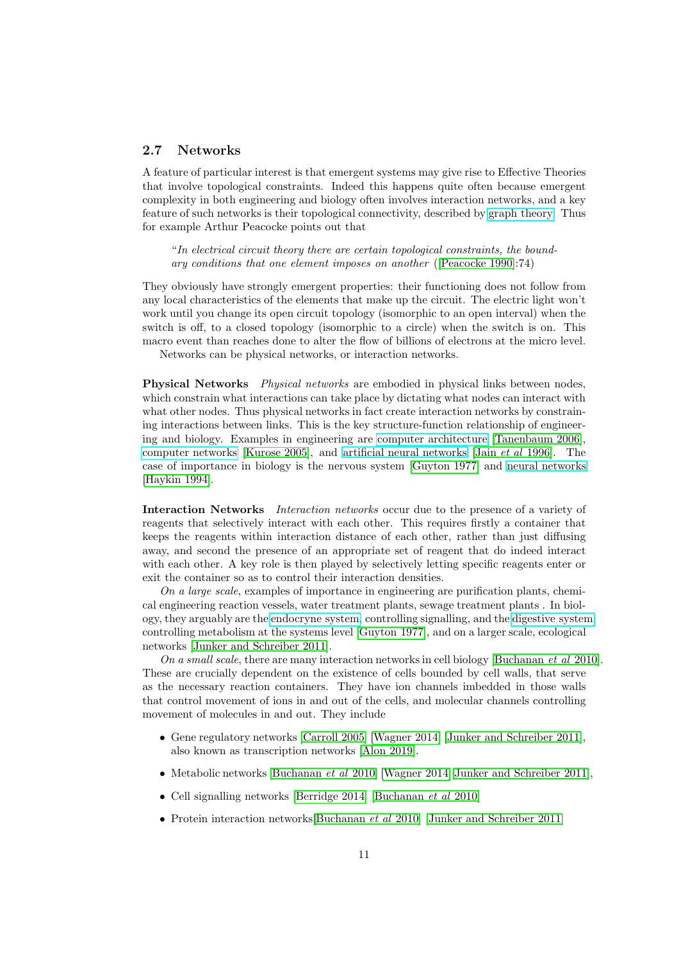#### <span id="page-10-0"></span>2.7 Networks

A feature of particular interest is that emergent systems may give rise to Effective Theories that involve topological constraints. Indeed this happens quite often because emergent complexity in both engineering and biology often involves interaction networks, and a key feature of such networks is their topological connectivity, described by [graph theory.](https://en.wikipedia.org/wiki/Graph_theory) Thus for example Arthur Peacocke points out that

"In electrical circuit theory there are certain topological constraints, the boundary conditions that one element imposes on another ([Peacocke 1990]:74)

They obviously have strongly emergent properties: their functioning does not follow from any local characteristics of the elements that make up the circuit. The electric light won't work until you change its open circuit topology (isomorphic to an open interval) when the switch is off, to a closed topology (isomorphic to a circle) when the switch is on. This macro event than reaches done to alter the flow of billions of electrons at the micro level.

Networks can be physical networks, or interaction networks.

**Physical Networks** *Physical networks* are embodied in physical links between nodes, which constrain what interactions can take place by dictating what nodes can interact with what other nodes. Thus physical networks in fact create interaction networks by constraining interactions between links. This is the key structure-function relationship of engineering and biology. Examples in engineering are [computer architecture](https://en.wikipedia.org/wiki/Computer_architecture) [\[Tanenbaum 2006\]](#page-42-0), [computer networks](https://en.wikipedia.org/wiki/Computer_network) [Kurose 2005], and [artificial neural networks](https://en.wikipedia.org/wiki/Artifiial_neural_network) [Jain et al 1996]. The case of importance in biology is the nervous system [Guyton 1977] and [neural networks](https://en.wikipedia.org/wiki/Neural_network) [Haykin 1994].

Interaction Networks *Interaction networks* occur due to the presence of a variety of reagents that selectively interact with each other. This requires firstly a container that keeps the reagents within interaction distance of each other, rather than just diffusing away, and second the presence of an appropriate set of reagent that do indeed interact with each other. A key role is then played by selectively letting specific reagents enter or exit the container so as to control their interaction densities.

On a large scale, examples of importance in engineering are purification plants, chemical engineering reaction vessels, water treatment plants, sewage treatment plants . In biology, they arguably are the [endocryne system,](https://en.wikipedia.org/wiki/Endocrine_system) controlling signalling, and the [digestive system,](https://en.wikipedia.org/wiki/Human_digestive_system) controlling metabolism at the systems level [Guyton 1977], and on a larger scale, ecological networks [Junker and Schreiber 2011].

On a small scale, there are many interaction networks in cell biology [Buchanan et al 2010]. These are crucially dependent on the existence of cells bounded by cell walls, that serve as the necessary reaction containers. They have ion channels imbedded in those walls that control movement of ions in and out of the cells, and molecular channels controlling movement of molecules in and out. They include

- Gene regulatory networks [Carroll 2005] [Wagner 2014] [Junker and Schreiber 2011], also known as transcription networks [Alon 2019].
- Metabolic networks [Buchanan et al 2010] [Wagner 2014][Junker and Schreiber 2011],
- Cell signalling networks [\[Berridge 2014\]](#page-34-1) [Buchanan et al 2010]
- Protein interaction networks[Buchanan *et al* 2010] [Junker and Schreiber 2011]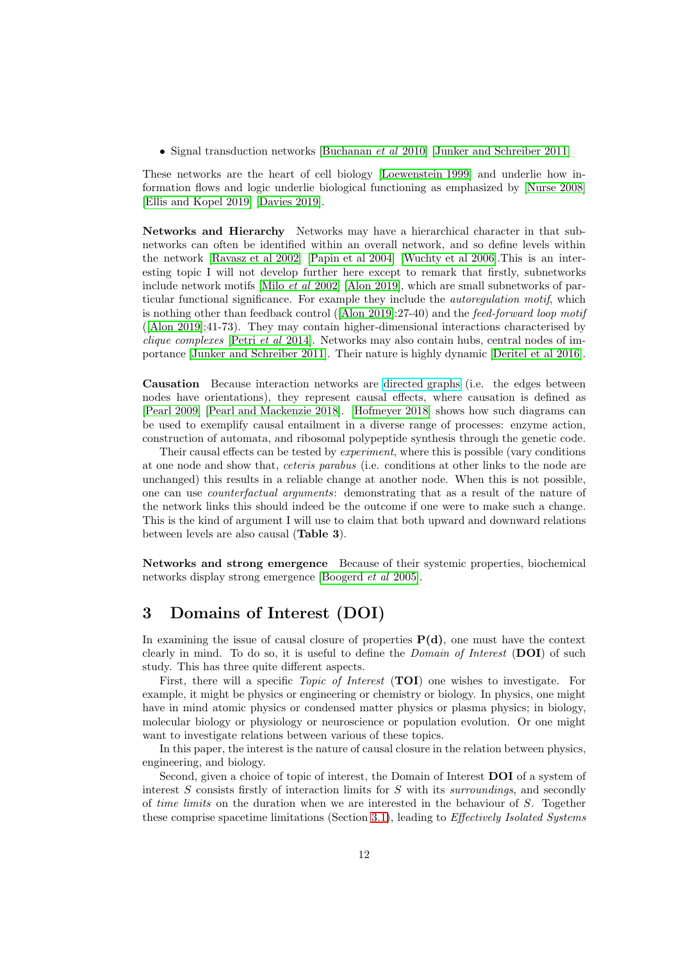• Signal transduction networks [Buchanan *et al* 2010] [Junker and Schreiber 2011]

These networks are the heart of cell biology [Loewenstein 1999] and underlie how information flows and logic underlie biological functioning as emphasized by [Nurse 2008] [\[Ellis and Kopel 2019\]](#page-36-3) [Davies 2019].

Networks and Hierarchy Networks may have a hierarchical character in that subnetworks can often be identified within an overall network, and so define levels within the network [Ravasz et al 2002] [Papin et al 2004] [Wuchty et al 2006].This is an interesting topic I will not develop further here except to remark that firstly, subnetworks include network motifs [Milo et al 2002] [Alon 2019], which are small subnetworks of particular functional significance. For example they include the autoregulation motif, which is nothing other than feedback control ([Alon 2019]:27-40) and the feed-forward loop motif ([Alon 2019]:41-73). They may contain higher-dimensional interactions characterised by clique complexes [Petri et al 2014]. Networks may also contain hubs, central nodes of importance [Junker and Schreiber 2011]. Their nature is highly dynamic [Deritel et al 2016].

Causation Because interaction networks are [directed graphs](https://en.wikipedia.org/wiki/Graph_theory) (i.e. the edges between nodes have orientations), they represent causal effects, where causation is defined as [Pearl 2009] [\[Pearl and Mackenzie 2018\]](#page-41-0). [Hofmeyer 2018] shows how such diagrams can be used to exemplify causal entailment in a diverse range of processes: enzyme action, construction of automata, and ribosomal polypeptide synthesis through the genetic code.

Their causal effects can be tested by experiment, where this is possible (vary conditions at one node and show that, ceteris parabus (i.e. conditions at other links to the node are unchanged) this results in a reliable change at another node. When this is not possible, one can use counterfactual arguments: demonstrating that as a result of the nature of the network links this should indeed be the outcome if one were to make such a change. This is the kind of argument I will use to claim that both upward and downward relations between levels are also causal (Table 3).

Networks and strong emergence Because of their systemic properties, biochemical networks display strong emergence [\[Boogerd](#page-34-2) et al 2005].

# <span id="page-11-0"></span>3 Domains of Interest (DOI)

In examining the issue of causal closure of properties  $P(d)$ , one must have the context clearly in mind. To do so, it is useful to define the *Domain of Interest* ( $\text{DOI}$ ) of such study. This has three quite different aspects.

First, there will a specific *Topic of Interest* (TOI) one wishes to investigate. For example, it might be physics or engineering or chemistry or biology. In physics, one might have in mind atomic physics or condensed matter physics or plasma physics; in biology, molecular biology or physiology or neuroscience or population evolution. Or one might want to investigate relations between various of these topics.

In this paper, the interest is the nature of causal closure in the relation between physics, engineering, and biology.

Second, given a choice of topic of interest, the Domain of Interest DOI of a system of interest S consists firstly of interaction limits for S with its surroundings, and secondly of time limits on the duration when we are interested in the behaviour of S. Together these comprise spacetime limitations (Section [3.1\)](#page-12-0), leading to *Effectively Isolated Systems*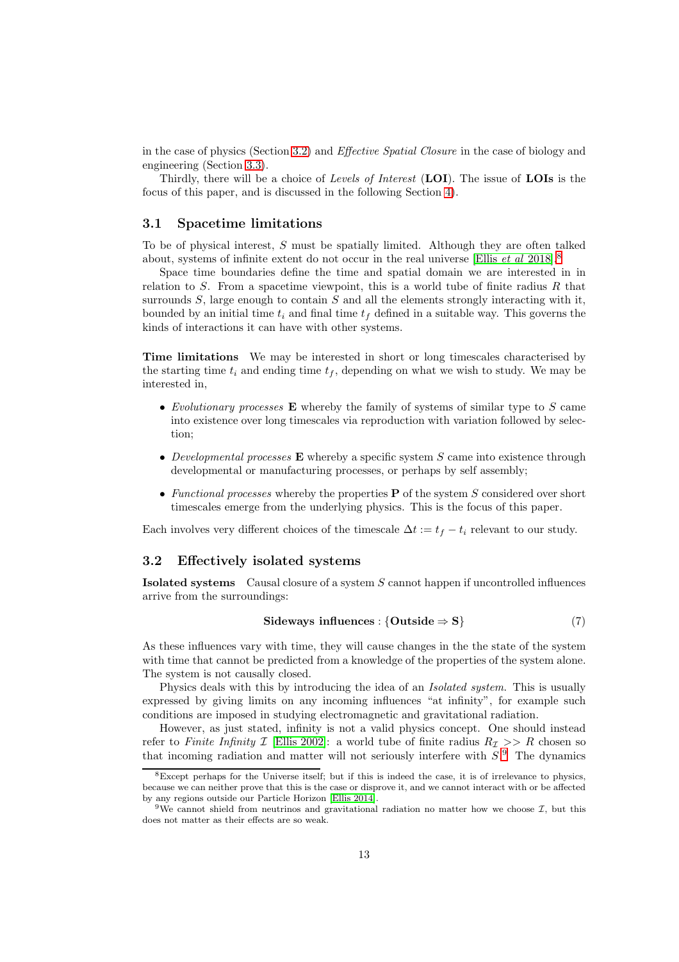in the case of physics (Section [3.2\)](#page-12-1) and Effective Spatial Closure in the case of biology and engineering (Section [3.3\)](#page-13-0).

Thirdly, there will be a choice of Levels of Interest (LOI). The issue of LOIs is the focus of this paper, and is discussed in the following Section [4\)](#page-15-0).

#### <span id="page-12-0"></span>3.1 Spacetime limitations

To be of physical interest, S must be spatially limited. Although they are often talked about, systems of infinite extent do not occur in the real universe [Ellis *et al* 201[8](#page-12-2)].<sup>8</sup>

Space time boundaries define the time and spatial domain we are interested in in relation to  $S$ . From a spacetime viewpoint, this is a world tube of finite radius  $R$  that surrounds  $S$ , large enough to contain  $S$  and all the elements strongly interacting with it, bounded by an initial time  $t_i$  and final time  $t_f$  defined in a suitable way. This governs the kinds of interactions it can have with other systems.

Time limitations We may be interested in short or long timescales characterised by the starting time  $t_i$  and ending time  $t_f$ , depending on what we wish to study. We may be interested in,

- Evolutionary processes  $E$  whereby the family of systems of similar type to  $S$  came into existence over long timescales via reproduction with variation followed by selection;
- Developmental processes  $\bf{E}$  whereby a specific system S came into existence through developmental or manufacturing processes, or perhaps by self assembly;
- Functional processes whereby the properties  $P$  of the system S considered over short timescales emerge from the underlying physics. This is the focus of this paper.

Each involves very different choices of the timescale  $\Delta t := t_f - t_i$  relevant to our study.

#### <span id="page-12-1"></span>3.2 Effectively isolated systems

Isolated systems Causal closure of a system S cannot happen if uncontrolled influences arrive from the surroundings:

$$
Sideways\ influences: \{Outside \Rightarrow S\} \tag{7}
$$

As these influences vary with time, they will cause changes in the the state of the system with time that cannot be predicted from a knowledge of the properties of the system alone. The system is not causally closed.

Physics deals with this by introducing the idea of an *Isolated system*. This is usually expressed by giving limits on any incoming influences "at infinity", for example such conditions are imposed in studying electromagnetic and gravitational radiation.

However, as just stated, infinity is not a valid physics concept. One should instead refer to Finite Infinity I [\[Ellis 2002\]](#page-36-4): a world tube of finite radius  $R_{\mathcal{I}} >> R$  chosen so that incoming radiation and matter will not seriously interfere with  $S$ .<sup>[9](#page-12-3)</sup> The dynamics

<span id="page-12-2"></span> $8E$ xcept perhaps for the Universe itself; but if this is indeed the case, it is of irrelevance to physics, because we can neither prove that this is the case or disprove it, and we cannot interact with or be affected by any regions outside our Particle Horizon [Ellis 2014].

<span id="page-12-3"></span><sup>&</sup>lt;sup>9</sup>We cannot shield from neutrinos and gravitational radiation no matter how we choose  $\mathcal{I}$ , but this does not matter as their effects are so weak.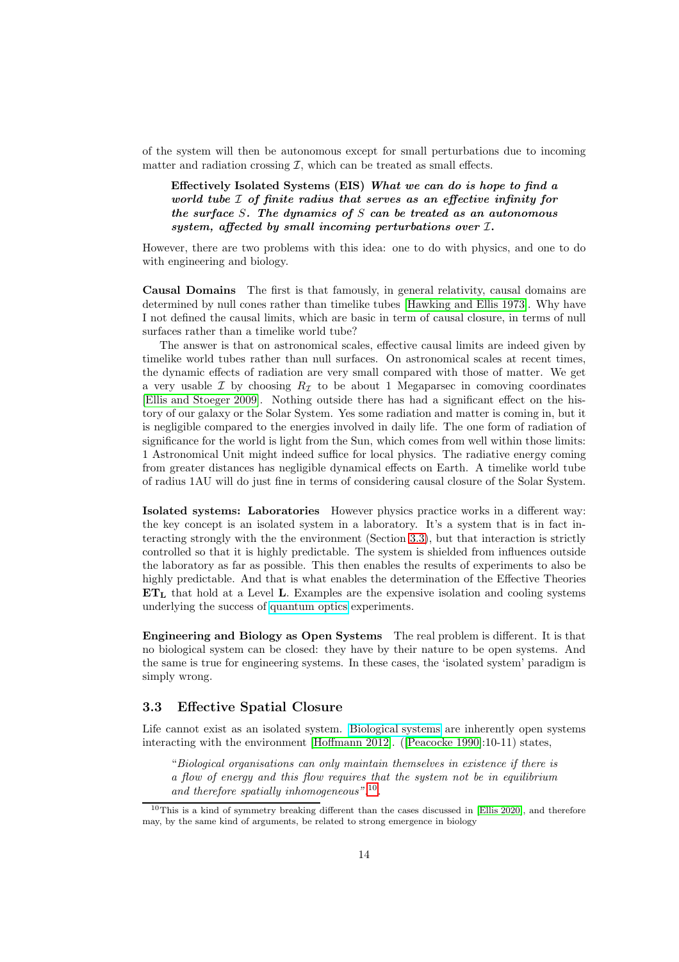of the system will then be autonomous except for small perturbations due to incoming matter and radiation crossing  $\mathcal{I}$ , which can be treated as small effects.

Effectively Isolated Systems (EIS) What we can do is hope to find a world tube I of finite radius that serves as an effective infinity for the surface S. The dynamics of  $S$  can be treated as an autonomous system, affected by small incoming perturbations over I.

However, there are two problems with this idea: one to do with physics, and one to do with engineering and biology.

Causal Domains The first is that famously, in general relativity, causal domains are determined by null cones rather than timelike tubes [Hawking and Ellis 1973]. Why have I not defined the causal limits, which are basic in term of causal closure, in terms of null surfaces rather than a timelike world tube?

The answer is that on astronomical scales, effective causal limits are indeed given by timelike world tubes rather than null surfaces. On astronomical scales at recent times, the dynamic effects of radiation are very small compared with those of matter. We get a very usable  $\mathcal I$  by choosing  $R_{\mathcal I}$  to be about 1 Megaparsec in comoving coordinates [Ellis and Stoeger 2009]. Nothing outside there has had a significant effect on the history of our galaxy or the Solar System. Yes some radiation and matter is coming in, but it is negligible compared to the energies involved in daily life. The one form of radiation of significance for the world is light from the Sun, which comes from well within those limits: 1 Astronomical Unit might indeed suffice for local physics. The radiative energy coming from greater distances has negligible dynamical effects on Earth. A timelike world tube of radius 1AU will do just fine in terms of considering causal closure of the Solar System.

Isolated systems: Laboratories However physics practice works in a different way: the key concept is an isolated system in a laboratory. It's a system that is in fact interacting strongly with the the environment (Section [3.3\)](#page-13-0), but that interaction is strictly controlled so that it is highly predictable. The system is shielded from influences outside the laboratory as far as possible. This then enables the results of experiments to also be highly predictable. And that is what enables the determination of the Effective Theories  $ET<sub>L</sub>$ , that hold at a Level L. Examples are the expensive isolation and cooling systems underlying the success of [quantum optics](https://www.sciencedirect.com/topics/physics-and-astronomy/quantum-optics) experiments.

Engineering and Biology as Open Systems The real problem is different. It is that no biological system can be closed: they have by their nature to be open systems. And the same is true for engineering systems. In these cases, the 'isolated system' paradigm is simply wrong.

#### <span id="page-13-0"></span>3.3 Effective Spatial Closure

Life cannot exist as an isolated system. [Biological systems](https://en.wikipedia.org/wiki/Living_systems) are inherently open systems interacting with the environment [\[Hoffmann 2012\]](#page-37-3). ([Peacocke 1990]:10-11) states,

"Biological organisations can only maintain themselves in existence if there is a flow of energy and this flow requires that the system not be in equilibrium and therefore spatially inhomogeneous".[10](#page-13-1) .

<span id="page-13-1"></span><sup>&</sup>lt;sup>10</sup>This is a kind of symmetry breaking different than the cases discussed in [\[Ellis 2020\]](#page-36-0), and therefore may, by the same kind of arguments, be related to strong emergence in biology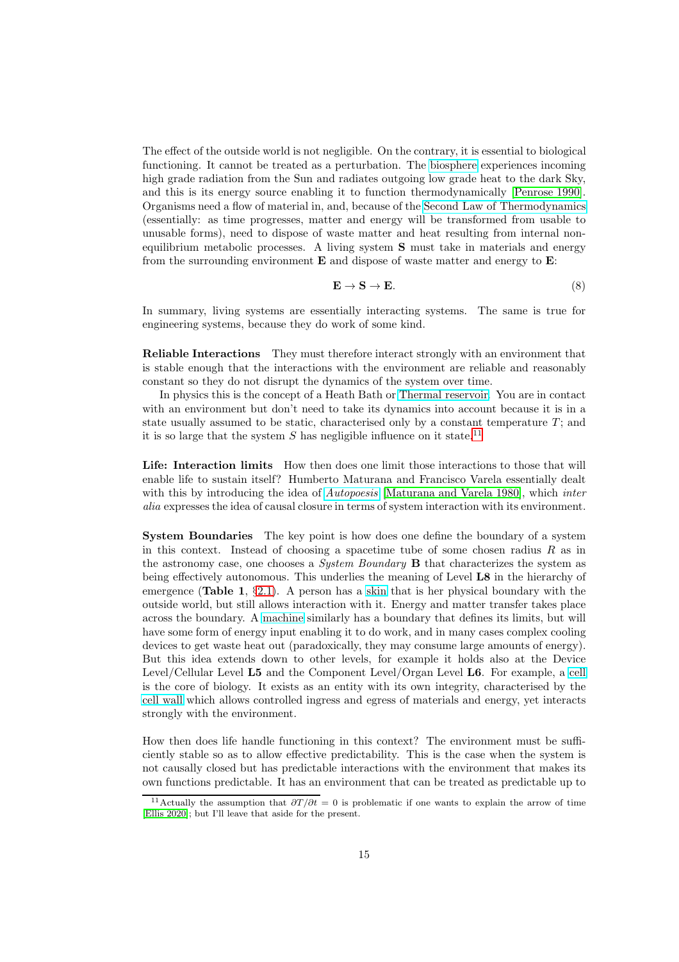The effect of the outside world is not negligible. On the contrary, it is essential to biological functioning. It cannot be treated as a perturbation. The [biosphere](https://en.wikipedia.org/wiki/Biosphere) experiences incoming high grade radiation from the Sun and radiates outgoing low grade heat to the dark Sky, and this is its energy source enabling it to function thermodynamically [Penrose 1990]. Organisms need a flow of material in, and, because of the [Second Law of Thermodynamics](https://en.wikipedia.org/wiki/Second_law_of_thermodynamics) (essentially: as time progresses, matter and energy will be transformed from usable to unusable forms), need to dispose of waste matter and heat resulting from internal nonequilibrium metabolic processes. A living system  $S$  must take in materials and energy from the surrounding environment  $E$  and dispose of waste matter and energy to  $E$ :

$$
\mathbf{E} \to \mathbf{S} \to \mathbf{E}.\tag{8}
$$

In summary, living systems are essentially interacting systems. The same is true for engineering systems, because they do work of some kind.

Reliable Interactions They must therefore interact strongly with an environment that is stable enough that the interactions with the environment are reliable and reasonably constant so they do not disrupt the dynamics of the system over time.

In physics this is the concept of a Heath Bath or [Thermal reservoir.](https://en.wikipedia.org/wiki/Thermal_reservoir) You are in contact with an environment but don't need to take its dynamics into account because it is in a state usually assumed to be static, characterised only by a constant temperature  $T$ ; and it is so large that the system  $S$  has negligible influence on it state.<sup>[11](#page-14-0)</sup>

Life: Interaction limits How then does one limit those interactions to those that will enable life to sustain itself? Humberto Maturana and Francisco Varela essentially dealt with this by introducing the idea of *[Autopoesis](https://en.wikipedia.org/wiki/Autopoiesis)* [Maturana and Varela 1980], which *inter* alia expresses the idea of causal closure in terms of system interaction with its environment.

System Boundaries The key point is how does one define the boundary of a system in this context. Instead of choosing a spacetime tube of some chosen radius  $R$  as in the astronomy case, one chooses a *System Boundary*  $\bf{B}$  that characterizes the system as being effectively autonomous. This underlies the meaning of Level L8 in the hierarchy of emergence (Table 1,  $\S 2.1$ ). A person has a [skin](https://en.wikipedia.org/wiki/Skin) that is her physical boundary with the outside world, but still allows interaction with it. Energy and matter transfer takes place across the boundary. A [machine](https://en.wikipedia.org/wiki/Machine) similarly has a boundary that defines its limits, but will have some form of energy input enabling it to do work, and in many cases complex cooling devices to get waste heat out (paradoxically, they may consume large amounts of energy). But this idea extends down to other levels, for example it holds also at the Device Level/Cellular Level L5 and the Component Level/Organ Level L6. For example, a [cell](https://en.wikipedia.org/wiki/Cell_biology) is the core of biology. It exists as an entity with its own integrity, characterised by the [cell wall](https://en.wikipedia.org/wiki/Cell_wall) which allows controlled ingress and egress of materials and energy, yet interacts strongly with the environment.

How then does life handle functioning in this context? The environment must be sufficiently stable so as to allow effective predictability. This is the case when the system is not causally closed but has predictable interactions with the environment that makes its own functions predictable. It has an environment that can be treated as predictable up to

<span id="page-14-0"></span><sup>&</sup>lt;sup>11</sup>Actually the assumption that  $\partial T/\partial t = 0$  is problematic if one wants to explain the arrow of time [\[Ellis 2020\]](#page-36-0); but I'll leave that aside for the present.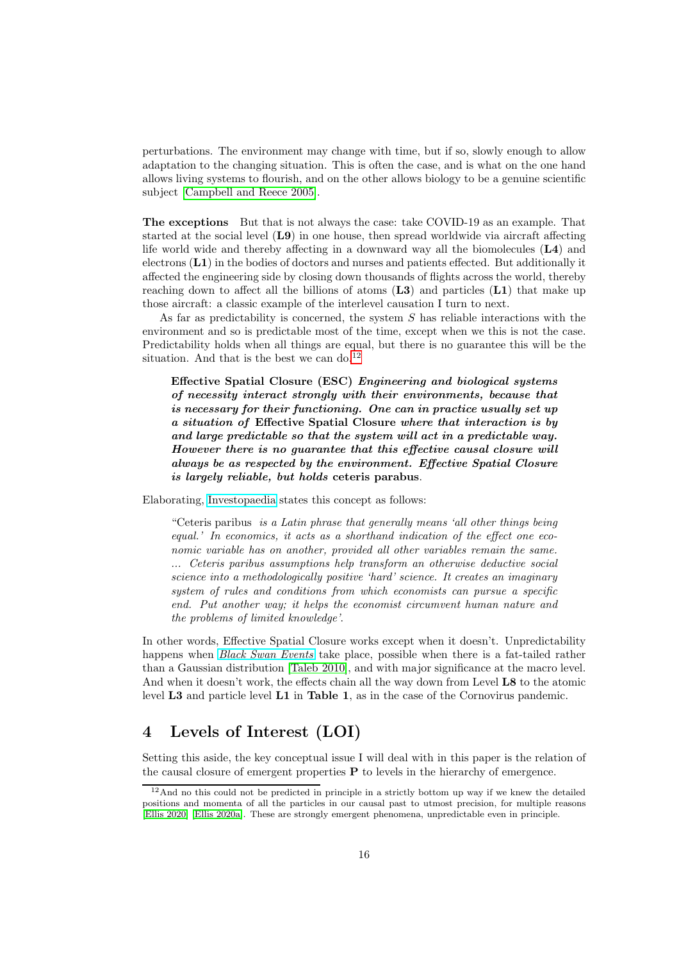perturbations. The environment may change with time, but if so, slowly enough to allow adaptation to the changing situation. This is often the case, and is what on the one hand allows living systems to flourish, and on the other allows biology to be a genuine scientific subject [Campbell and Reece 2005].

The exceptions But that is not always the case: take COVID-19 as an example. That started at the social level (L9) in one house, then spread worldwide via aircraft affecting life world wide and thereby affecting in a downward way all the biomolecules (L4) and electrons (L1) in the bodies of doctors and nurses and patients effected. But additionally it affected the engineering side by closing down thousands of flights across the world, thereby reaching down to affect all the billions of atoms  $(L3)$  and particles  $(L1)$  that make up those aircraft: a classic example of the interlevel causation I turn to next.

As far as predictability is concerned, the system  $S$  has reliable interactions with the environment and so is predictable most of the time, except when we this is not the case. Predictability holds when all things are equal, but there is no guarantee this will be the situation. And that is the best we can do.<sup>[12](#page-15-1)</sup>

Effective Spatial Closure (ESC) Engineering and biological systems of necessity interact strongly with their environments, because that is necessary for their functioning. One can in practice usually set up a situation of Effective Spatial Closure where that interaction is by and large predictable so that the system will act in a predictable way. However there is no guarantee that this effective causal closure will always be as respected by the environment. Effective Spatial Closure is largely reliable, but holds ceteris parabus.

Elaborating, [Investopaedia](https://www.investopedia.com/terms/c/ceterisparibus.asp) states this concept as follows:

"Ceteris paribus is a Latin phrase that generally means 'all other things being equal.' In economics, it acts as a shorthand indication of the effect one economic variable has on another, provided all other variables remain the same. ... Ceteris paribus assumptions help transform an otherwise deductive social science into a methodologically positive 'hard' science. It creates an imaginary system of rules and conditions from which economists can pursue a specific end. Put another way; it helps the economist circumvent human nature and the problems of limited knowledge'.

In other words, Effective Spatial Closure works except when it doesn't. Unpredictability happens when *[Black Swan Events](https://en.wikipedia.org/wiki/Black_swan_theory)* take place, possible when there is a fat-tailed rather than a Gaussian distribution [Taleb 2010], and with major significance at the macro level. And when it doesn't work, the effects chain all the way down from Level **L8** to the atomic level L3 and particle level L1 in Table 1, as in the case of the Cornovirus pandemic.

# <span id="page-15-0"></span>4 Levels of Interest (LOI)

Setting this aside, the key conceptual issue I will deal with in this paper is the relation of the causal closure of emergent properties  $P$  to levels in the hierarchy of emergence.

<span id="page-15-1"></span><sup>&</sup>lt;sup>12</sup>And no this could not be predicted in principle in a strictly bottom up way if we knew the detailed positions and momenta of all the particles in our causal past to utmost precision, for multiple reasons [\[Ellis 2020\]](#page-36-0) [Ellis 2020a]. These are strongly emergent phenomena, unpredictable even in principle.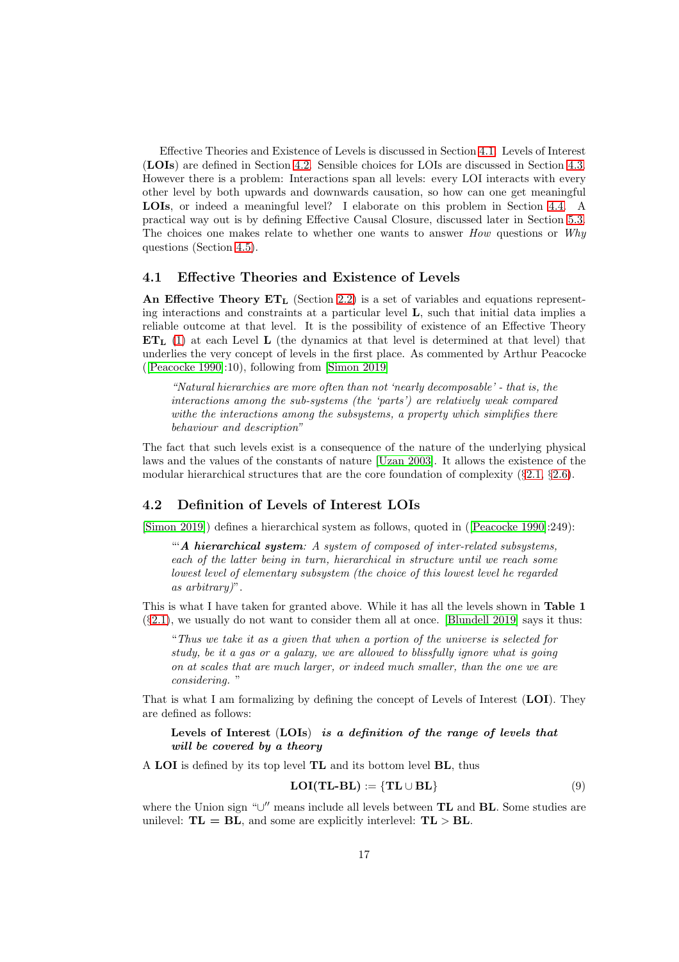Effective Theories and Existence of Levels is discussed in Section [4.1.](#page-16-0) Levels of Interest (LOIs) are defined in Section [4.2.](#page-16-1) Sensible choices for LOIs are discussed in Section [4.3.](#page-17-0) However there is a problem: Interactions span all levels: every LOI interacts with every other level by both upwards and downwards causation, so how can one get meaningful LOIs, or indeed a meaningful level? I elaborate on this problem in Section [4.4.](#page-18-0) A practical way out is by defining Effective Causal Closure, discussed later in Section [5.3.](#page-22-0) The choices one makes relate to whether one wants to answer *How* questions or *Why* questions (Section [4.5\)](#page-19-0).

#### <span id="page-16-0"></span>4.1 Effective Theories and Existence of Levels

An Effective Theory  $ET_L$  (Section [2.2\)](#page-5-0) is a set of variables and equations representing interactions and constraints at a particular level L, such that initial data implies a reliable outcome at that level. It is the possibility of existence of an Effective Theory  $ET<sub>L</sub>$  [\(1\)](#page-6-2) at each Level L (the dynamics at that level is determined at that level) that underlies the very concept of levels in the first place. As commented by Arthur Peacocke ([Peacocke 1990]:10), following from [Simon 2019]

"Natural hierarchies are more often than not 'nearly decomposable' - that is, the interactions among the sub-systems (the 'parts') are relatively weak compared withe the interactions among the subsystems, a property which simplifies there behaviour and description"

The fact that such levels exist is a consequence of the nature of the underlying physical laws and the values of the constants of nature [\[Uzan 2003\]](#page-42-1). It allows the existence of the modular hierarchical structures that are the core foundation of complexity  $(82.1, 82.6)$  $(82.1, 82.6)$  $(82.1, 82.6)$  $(82.1, 82.6)$ .

## <span id="page-16-1"></span>4.2 Definition of Levels of Interest LOIs

[Simon 2019]) defines a hierarchical system as follows, quoted in ([Peacocke 1990]:249):

"A hierarchical system: A system of composed of inter-related subsystems, each of the latter being in turn, hierarchical in structure until we reach some lowest level of elementary subsystem (the choice of this lowest level he regarded as arbitrary)".

This is what I have taken for granted above. While it has all the levels shown in Table 1  $(\S2.1)$  $(\S2.1)$ , we usually do not want to consider them all at once. [Blundell 2019] says it thus:

"Thus we take it as a given that when a portion of the universe is selected for study, be it a gas or a galaxy, we are allowed to blissfully ignore what is going on at scales that are much larger, or indeed much smaller, than the one we are considering. "

That is what I am formalizing by defining the concept of Levels of Interest (LOI). They are defined as follows:

Levels of Interest (LOIs) is a definition of the range of levels that will be covered by a theory

A LOI is defined by its top level TL and its bottom level BL, thus

$$
LOI(TL-BL) := \{ TL \cup BL \}
$$
\n(9)

where the Union sign "∪" means include all levels between **TL** and **BL**. Some studies are unilevel:  $TL = BL$ , and some are explicitly interlevel:  $TL > BL$ .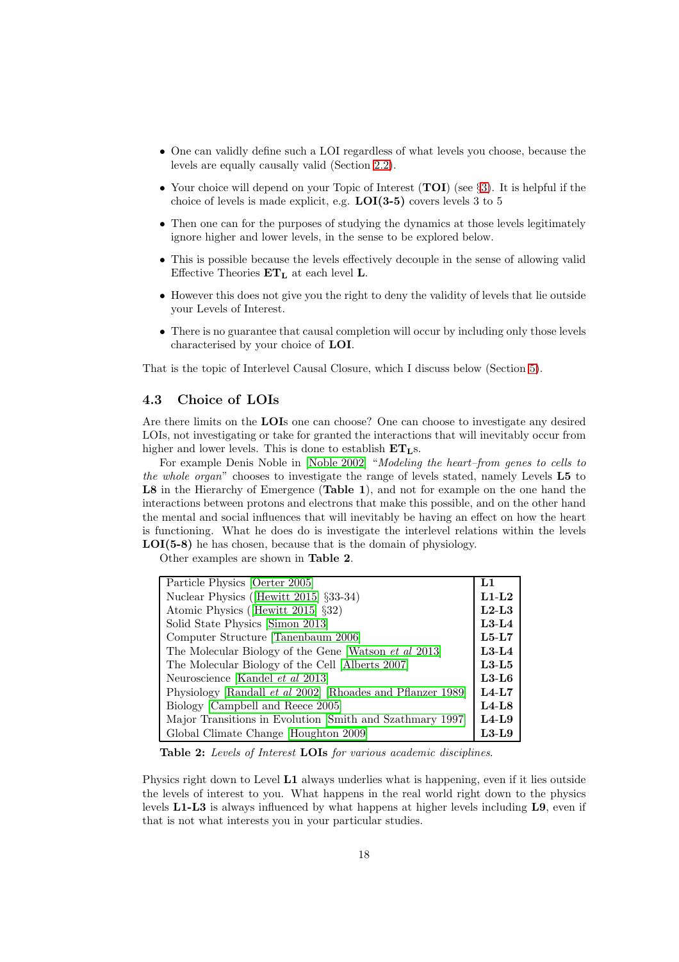- One can validly define such a LOI regardless of what levels you choose, because the levels are equally causally valid (Section [2.2\)](#page-5-0).
- Your choice will depend on your Topic of Interest (TOI) (see §[3\)](#page-11-0). It is helpful if the choice of levels is made explicit, e.g. LOI(3-5) covers levels 3 to 5
- Then one can for the purposes of studying the dynamics at those levels legitimately ignore higher and lower levels, in the sense to be explored below.
- This is possible because the levels effectively decouple in the sense of allowing valid Effective Theories  $ET_L$  at each level L.
- However this does not give you the right to deny the validity of levels that lie outside your Levels of Interest.
- There is no guarantee that causal completion will occur by including only those levels characterised by your choice of LOI.

That is the topic of Interlevel Causal Closure, which I discuss below (Section [5\)](#page-19-1).

### <span id="page-17-0"></span>4.3 Choice of LOIs

Are there limits on the LOIs one can choose? One can choose to investigate any desired LOIs, not investigating or take for granted the interactions that will inevitably occur from higher and lower levels. This is done to establish  $ET<sub>LS</sub>$ .

For example Denis Noble in [Noble 2002] "Modeling the heart–from genes to cells to the whole organ" chooses to investigate the range of levels stated, namely Levels L5 to L8 in the Hierarchy of Emergence (Table 1), and not for example on the one hand the interactions between protons and electrons that make this possible, and on the other hand the mental and social influences that will inevitably be having an effect on how the heart is functioning. What he does do is investigate the interlevel relations within the levels LOI(5-8) he has chosen, because that is the domain of physiology.

Other examples are shown in Table 2.

| Particle Physics [Oerter 2005]                                     | L1      |  |
|--------------------------------------------------------------------|---------|--|
| Nuclear Physics (Hewitt 2015) §33-34)                              |         |  |
| Atomic Physics ([Hewitt 2015] §32)                                 | $L2-L3$ |  |
| Solid State Physics [Simon 2013]                                   | $L3-L4$ |  |
| Computer Structure [Tanenbaum 2006]                                | $L5-L7$ |  |
| The Molecular Biology of the Gene [Watson et al 2013]              |         |  |
| The Molecular Biology of the Cell [Alberts 2007]                   |         |  |
| Neuroscience [Kandel et al 2013]                                   |         |  |
| Physiology [Randall <i>et al</i> 2002] [Rhoades and Pflanzer 1989] | $L4-L7$ |  |
| Biology [Campbell and Reece 2005]                                  |         |  |
| Major Transitions in Evolution [Smith and Szathmary 1997]          |         |  |
| Global Climate Change [Houghton 2009]                              |         |  |

Table 2: Levels of Interest LOIs for various academic disciplines.

Physics right down to Level L1 always underlies what is happening, even if it lies outside the levels of interest to you. What happens in the real world right down to the physics levels L1-L3 is always influenced by what happens at higher levels including L9, even if that is not what interests you in your particular studies.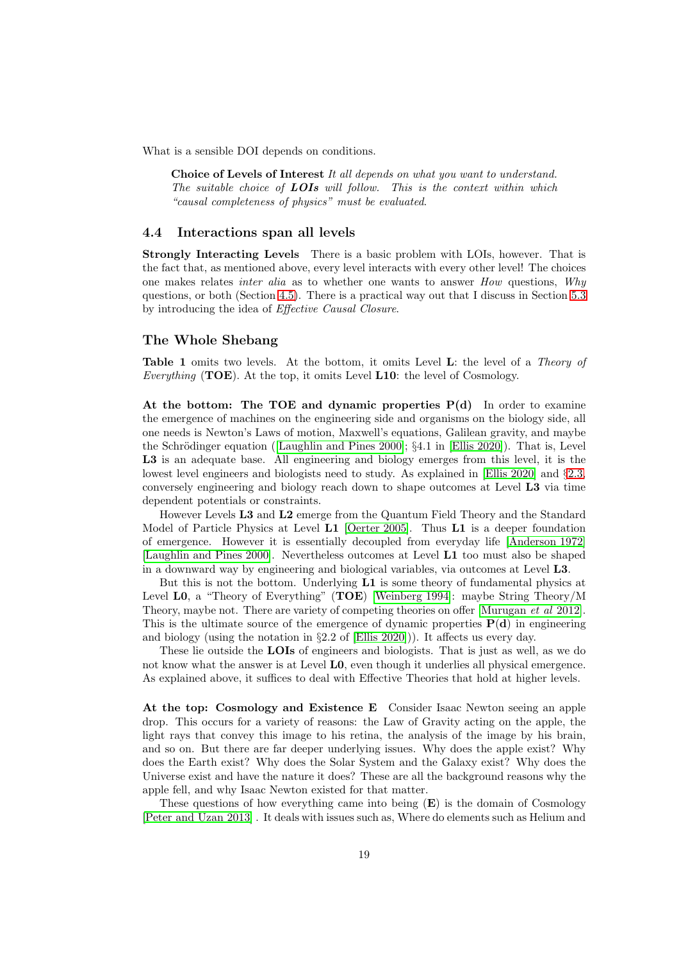What is a sensible DOI depends on conditions.

Choice of Levels of Interest It all depends on what you want to understand. The suitable choice of **LOIs** will follow. This is the context within which "causal completeness of physics" must be evaluated.

#### <span id="page-18-0"></span>4.4 Interactions span all levels

Strongly Interacting Levels There is a basic problem with LOIs, however. That is the fact that, as mentioned above, every level interacts with every other level! The choices one makes relates *inter alia* as to whether one wants to answer *How* questions, *Why* questions, or both (Section [4.5\)](#page-19-0). There is a practical way out that I discuss in Section [5.3](#page-22-0) by introducing the idea of Effective Causal Closure.

#### The Whole Shebang

Table 1 omits two levels. At the bottom, it omits Level L: the level of a Theory of Everything (TOE). At the top, it omits Level  $L10$ : the level of Cosmology.

At the bottom: The TOE and dynamic properties  $P(d)$  In order to examine the emergence of machines on the engineering side and organisms on the biology side, all one needs is Newton's Laws of motion, Maxwell's equations, Galilean gravity, and maybe the Schrödinger equation ([\[Laughlin and Pines 2000\]](#page-39-2);  $\S 4.1$  in [\[Ellis 2020\]](#page-36-0)). That is, Level L3 is an adequate base. All engineering and biology emerges from this level, it is the lowest level engineers and biologists need to study. As explained in [\[Ellis 2020\]](#page-36-0) and §[2.3,](#page-6-0) conversely engineering and biology reach down to shape outcomes at Level L3 via time dependent potentials or constraints.

However Levels L3 and L2 emerge from the Quantum Field Theory and the Standard Model of Particle Physics at Level L1 [Oerter 2005]. Thus L1 is a deeper foundation of emergence. However it is essentially decoupled from everyday life [\[Anderson 1972\]](#page-33-0) [\[Laughlin and Pines 2000\]](#page-39-2). Nevertheless outcomes at Level L1 too must also be shaped in a downward way by engineering and biological variables, via outcomes at Level L3.

But this is not the bottom. Underlying L1 is some theory of fundamental physics at Level L0, a "Theory of Everything" (TOE) [Weinberg 1994]: maybe String Theory/M Theory, maybe not. There are variety of competing theories on offer [Murugan et al 2012]. This is the ultimate source of the emergence of dynamic properties  $P(d)$  in engineering and biology (using the notation in  $\S 2.2$  of [\[Ellis 2020\]](#page-36-0))). It affects us every day.

These lie outside the **LOIs** of engineers and biologists. That is just as well, as we do not know what the answer is at Level L0, even though it underlies all physical emergence. As explained above, it suffices to deal with Effective Theories that hold at higher levels.

At the top: Cosmology and Existence E Consider Isaac Newton seeing an apple drop. This occurs for a variety of reasons: the Law of Gravity acting on the apple, the light rays that convey this image to his retina, the analysis of the image by his brain, and so on. But there are far deeper underlying issues. Why does the apple exist? Why does the Earth exist? Why does the Solar System and the Galaxy exist? Why does the Universe exist and have the nature it does? These are all the background reasons why the apple fell, and why Isaac Newton existed for that matter.

These questions of how everything came into being  $(E)$  is the domain of Cosmology [Peter and Uzan 2013] . It deals with issues such as, Where do elements such as Helium and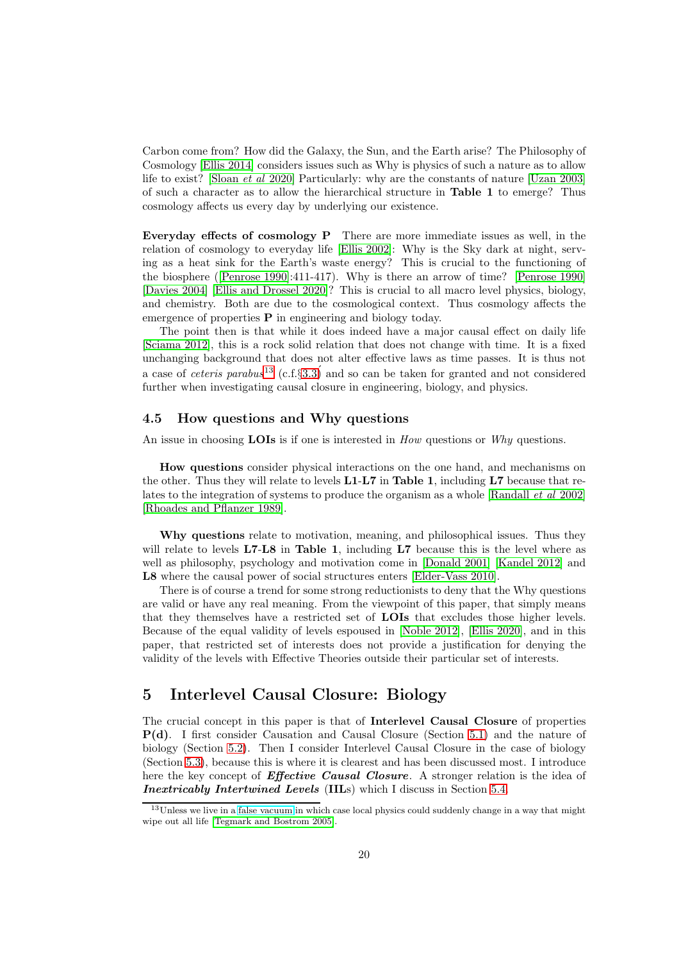Carbon come from? How did the Galaxy, the Sun, and the Earth arise? The Philosophy of Cosmology [Ellis 2014] considers issues such as Why is physics of such a nature as to allow life to exist? [\[Sloan](#page-41-3) et al 2020] Particularly: why are the constants of nature [\[Uzan 2003\]](#page-42-1) of such a character as to allow the hierarchical structure in Table 1 to emerge? Thus cosmology affects us every day by underlying our existence.

Everyday effects of cosmology P There are more immediate issues as well, in the relation of cosmology to everyday life [\[Ellis 2002\]](#page-36-4): Why is the Sky dark at night, serving as a heat sink for the Earth's waste energy? This is crucial to the functioning of the biosphere ([Penrose 1990]:411-417). Why is there an arrow of time? [Penrose 1990] [Davies 2004] [\[Ellis and Drossel 2020\]](#page-36-5)? This is crucial to all macro level physics, biology, and chemistry. Both are due to the cosmological context. Thus cosmology affects the emergence of properties  $P$  in engineering and biology today.

The point then is that while it does indeed have a major causal effect on daily life [Sciama 2012], this is a rock solid relation that does not change with time. It is a fixed unchanging background that does not alter effective laws as time passes. It is thus not a case of *ceteris parabus*<sup>[13](#page-19-2)</sup> (c.f.§3.3) and so can be taken for granted and not considered further when investigating causal closure in engineering, biology, and physics.

## <span id="page-19-0"></span>4.5 How questions and Why questions

An issue in choosing **LOIs** is if one is interested in  $How$  questions or Why questions.

How questions consider physical interactions on the one hand, and mechanisms on the other. Thus they will relate to levels  $L1-L7$  in Table 1, including  $L7$  because that re-lates to the integration of systems to produce the organism as a whole [\[Randall](#page-41-1) *et al* 2002] [\[Rhoades and Pflanzer 1989\]](#page-41-2).

Why questions relate to motivation, meaning, and philosophical issues. Thus they will relate to levels  $L7-L8$  in Table 1, including  $L7$  because this is the level where as well as philosophy, psychology and motivation come in [Donald 2001] [Kandel 2012] and L8 where the causal power of social structures enters [\[Elder-Vass](#page-35-2) 2010].

There is of course a trend for some strong reductionists to deny that the Why questions are valid or have any real meaning. From the viewpoint of this paper, that simply means that they themselves have a restricted set of LOIs that excludes those higher levels. Because of the equal validity of levels espoused in [Noble 2012], [\[Ellis 2020\]](#page-36-0), and in this paper, that restricted set of interests does not provide a justification for denying the validity of the levels with Effective Theories outside their particular set of interests.

## <span id="page-19-1"></span>5 Interlevel Causal Closure: Biology

The crucial concept in this paper is that of Interlevel Causal Closure of properties P(d). I first consider Causation and Causal Closure (Section [5.1\)](#page-20-0) and the nature of biology (Section [5.2\)](#page-21-0). Then I consider Interlevel Causal Closure in the case of biology (Section [5.3\)](#page-22-0), because this is where it is clearest and has been discussed most. I introduce here the key concept of **Effective Causal Closure**. A stronger relation is the idea of Inextricably Intertwined Levels (IILs) which I discuss in Section [5.4.](#page-26-0)

<span id="page-19-2"></span><sup>&</sup>lt;sup>13</sup>Unless we live in a [false vacuum](https://en.wikipedia.org/wiki/False_vacuum) in which case local physics could suddenly change in a way that might wipe out all life [Tegmark and Bostrom 2005].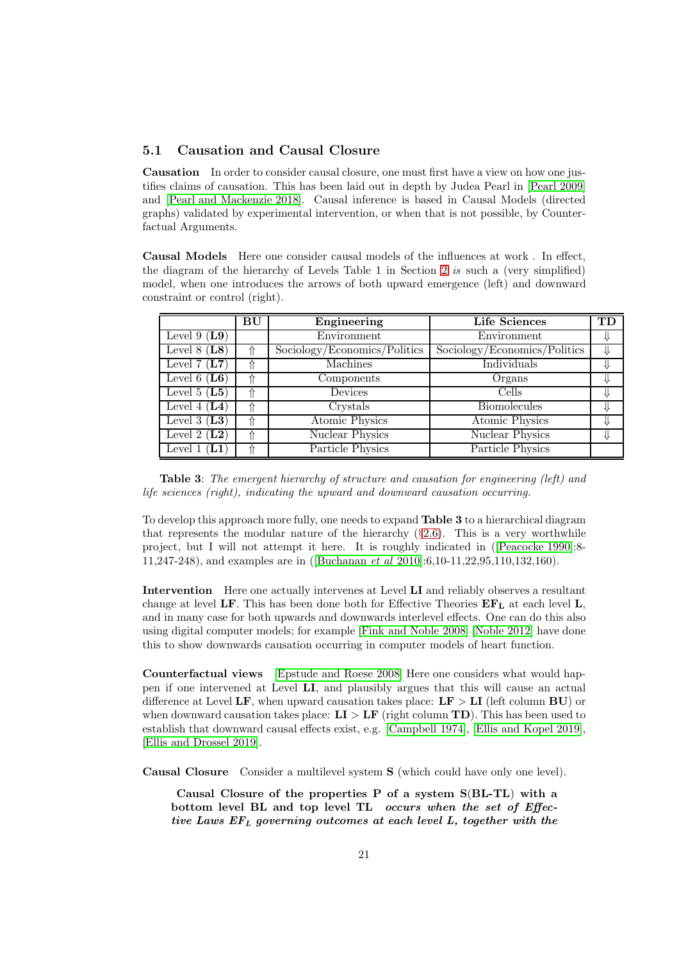### <span id="page-20-0"></span>5.1 Causation and Causal Closure

Causation In order to consider causal closure, one must first have a view on how one justifies claims of causation. This has been laid out in depth by Judea Pearl in [Pearl 2009] and [\[Pearl and Mackenzie 2018\]](#page-41-0). Causal inference is based in Causal Models (directed graphs) validated by experimental intervention, or when that is not possible, by Counterfactual Arguments.

Causal Models Here one consider causal models of the influences at work . In effect, the diagram of the hierarchy of Levels Table 1 in Section [2](#page-3-0) is such a (very simplified) model, when one introduces the arrows of both upward emergence (left) and downward constraint or control (right).

|                                      | BU | Engineering                  | <b>Life Sciences</b>         | TD |
|--------------------------------------|----|------------------------------|------------------------------|----|
| Level 9 $(L9)$                       |    | Environment                  | Environment                  |    |
| Level $8(L8)$                        |    | Sociology/Economics/Politics | Sociology/Economics/Politics |    |
| Level 7 $(\overline{\mathbf{L7}})$   |    | Machines                     | Individuals                  |    |
| Level 6 $(L6)$                       |    | Components                   | Organs                       |    |
| Level 5 $(L5)$                       | ⇑  | Devices                      | Cells                        |    |
| Level 4 $(L4)$                       | ⇑  | Crystals                     | <b>Biomolecules</b>          |    |
| Level 3 $(L3)$                       | ⇑  | <b>Atomic Physics</b>        | <b>Atomic Physics</b>        |    |
| Level 2 $(L2)$                       | ⇑  | Nuclear Physics              | Nuclear Physics              |    |
| $(\mathbf{L} \mathbf{1})$<br>Level 1 | ⇑  | Particle Physics             | Particle Physics             |    |

Table 3: The emergent hierarchy of structure and causation for engineering (left) and life sciences (right), indicating the upward and downward causation occurring.

To develop this approach more fully, one needs to expand Table 3 to a hierarchical diagram that represents the modular nature of the hierarchy  $(\S2.6)$  $(\S2.6)$ . This is a very worthwhile project, but I will not attempt it here. It is roughly indicated in ([Peacocke 1990]:8- 11,247-248), and examples are in ([Buchanan et al 2010]:6,10-11,22,95,110,132,160).

Intervention Here one actually intervenes at Level LI and reliably observes a resultant change at level LF. This has been done both for Effective Theories  $E\mathbf{F}_L$  at each level L, and in many case for both upwards and downwards interlevel effects. One can do this also using digital computer models; for example [\[Fink and Noble 2008\]](#page-36-6) [Noble 2012] have done this to show downwards causation occurring in computer models of heart function.

Counterfactual views [\[Epstude and Roese 2008\]](#page-36-7) Here one considers what would happen if one intervened at Level LI, and plausibly argues that this will cause an actual difference at Level LF, when upward causation takes place:  $LF > LI$  (left column BU) or when downward causation takes place:  $LI > LF$  (right column TD). This has been used to establish that downward causal effects exist, e.g. [\[Campbell 1974\]](#page-35-3), [\[Ellis and Kopel 2019\]](#page-36-3), [\[Ellis and Drossel 2019\]](#page-36-2).

Causal Closure Consider a multilevel system S (which could have only one level).

Causal Closure of the properties P of a system S(BL-TL) with a bottom level BL and top level TL occurs when the set of Effective Laws  $EF_L$  governing outcomes at each level L, together with the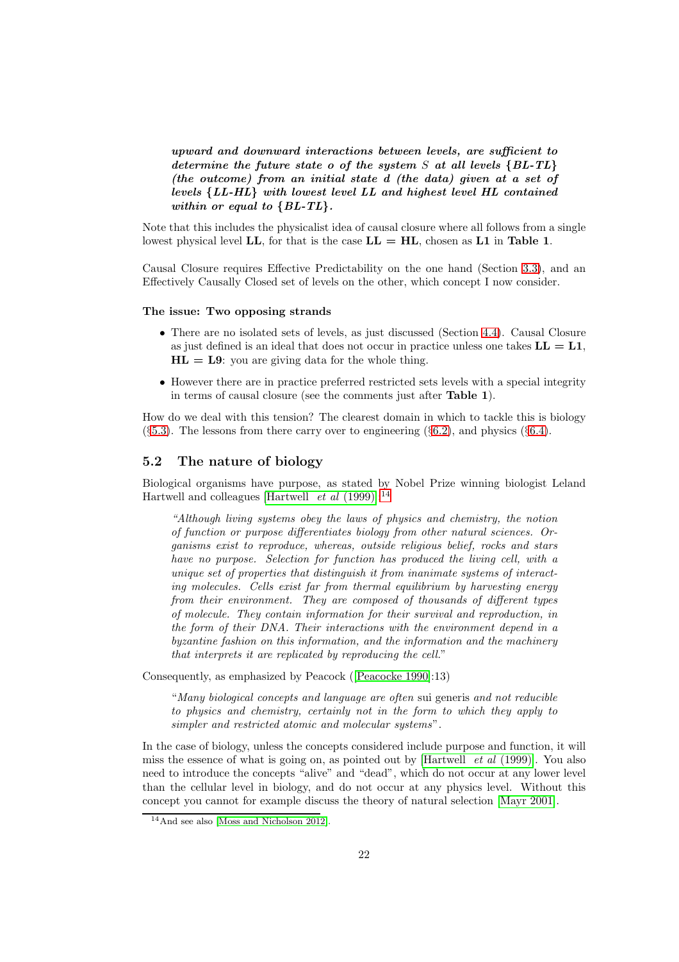upward and downward interactions between levels, are sufficient to determine the future state  $o$  of the system  $S$  at all levels  ${BL-TL}$ (the outcome) from an initial state d (the data) given at a set of levels {LL-HL} with lowest level LL and highest level HL contained within or equal to  $\{BL\text{-}TL\}.$ 

Note that this includes the physicalist idea of causal closure where all follows from a single lowest physical level LL, for that is the case  $LL = HL$ , chosen as L1 in Table 1.

Causal Closure requires Effective Predictability on the one hand (Section [3.3\)](#page-13-0), and an Effectively Causally Closed set of levels on the other, which concept I now consider.

#### The issue: Two opposing strands

- There are no isolated sets of levels, as just discussed (Section [4.4\)](#page-18-0). Causal Closure as just defined is an ideal that does not occur in practice unless one takes  $LL = L1$ ,  $HL = L9$ : you are giving data for the whole thing.
- However there are in practice preferred restricted sets levels with a special integrity in terms of causal closure (see the comments just after Table 1).

How do we deal with this tension? The clearest domain in which to tackle this is biology  $(\S 5.3)$  $(\S 5.3)$ . The lessons from there carry over to engineering  $(\S 6.2)$  $(\S 6.2)$ , and physics  $(\S 6.4)$  $(\S 6.4)$ .

## <span id="page-21-0"></span>5.2 The nature of biology

Biological organisms have purpose, as stated by Nobel Prize winning biologist Leland Hartwell and colleagues [\[Hartwell](#page-37-1) *et al* (1999)]:<sup>[14](#page-21-1)</sup>

"Although living systems obey the laws of physics and chemistry, the notion of function or purpose differentiates biology from other natural sciences. Organisms exist to reproduce, whereas, outside religious belief, rocks and stars have no purpose. Selection for function has produced the living cell, with a unique set of properties that distinguish it from inanimate systems of interacting molecules. Cells exist far from thermal equilibrium by harvesting energy from their environment. They are composed of thousands of different types of molecule. They contain information for their survival and reproduction, in the form of their DNA. Their interactions with the environment depend in a byzantine fashion on this information, and the information and the machinery that interprets it are replicated by reproducing the cell."

Consequently, as emphasized by Peacock ([Peacocke 1990]:13)

"Many biological concepts and language are often sui generis and not reducible to physics and chemistry, certainly not in the form to which they apply to simpler and restricted atomic and molecular systems".

In the case of biology, unless the concepts considered include purpose and function, it will miss the essence of what is going on, as pointed out by [\[Hartwell](#page-37-1)  $et \, al \, (1999)$ ]. You also need to introduce the concepts "alive" and "dead", which do not occur at any lower level than the cellular level in biology, and do not occur at any physics level. Without this concept you cannot for example discuss the theory of natural selection [Mayr 2001].

<span id="page-21-1"></span><sup>14</sup>And see also [Moss and Nicholson 2012].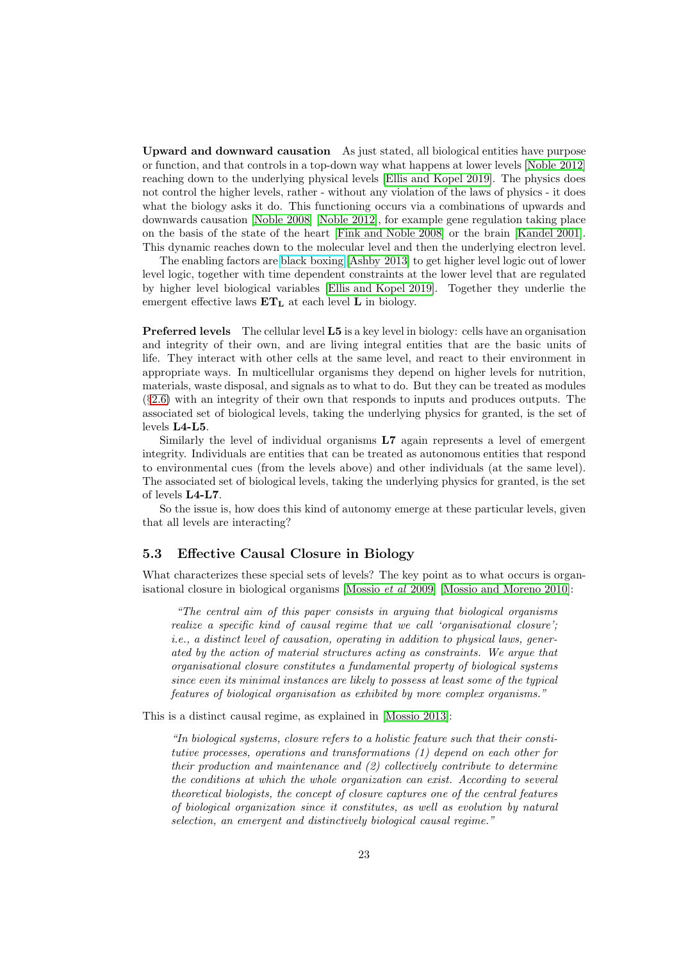Upward and downward causation As just stated, all biological entities have purpose or function, and that controls in a top-down way what happens at lower levels [Noble 2012] reaching down to the underlying physical levels [\[Ellis and Kopel 2019\]](#page-36-3). The physics does not control the higher levels, rather - without any violation of the laws of physics - it does what the biology asks it do. This functioning occurs via a combinations of upwards and downwards causation [\[Noble 2008\]](#page-40-0) [Noble 2012], for example gene regulation taking place on the basis of the state of the heart [\[Fink and Noble 2008\]](#page-36-6) or the brain [\[Kandel 2001\]](#page-38-1). This dynamic reaches down to the molecular level and then the underlying electron level.

The enabling factors are [black boxing](https://en.wikipedia.org/wiki/Blackboxing) [Ashby 2013] to get higher level logic out of lower level logic, together with time dependent constraints at the lower level that are regulated by higher level biological variables [\[Ellis and Kopel 2019\]](#page-36-3). Together they underlie the emergent effective laws  $ET<sub>L</sub>$  at each level L in biology.

Preferred levels The cellular level L5 is a key level in biology: cells have an organisation and integrity of their own, and are living integral entities that are the basic units of life. They interact with other cells at the same level, and react to their environment in appropriate ways. In multicellular organisms they depend on higher levels for nutrition, materials, waste disposal, and signals as to what to do. But they can be treated as modules (§[2.6\)](#page-9-0) with an integrity of their own that responds to inputs and produces outputs. The associated set of biological levels, taking the underlying physics for granted, is the set of levels L4-L5.

Similarly the level of individual organisms L7 again represents a level of emergent integrity. Individuals are entities that can be treated as autonomous entities that respond to environmental cues (from the levels above) and other individuals (at the same level). The associated set of biological levels, taking the underlying physics for granted, is the set of levels L4-L7.

So the issue is, how does this kind of autonomy emerge at these particular levels, given that all levels are interacting?

### <span id="page-22-0"></span>5.3 Effective Causal Closure in Biology

What characterizes these special sets of levels? The key point as to what occurs is organisational closure in biological organisms [\[Mossio](#page-40-1) et al 2009] [Mossio and Moreno 2010]:

"The central aim of this paper consists in arguing that biological organisms realize a specific kind of causal regime that we call 'organisational closure'; i.e., a distinct level of causation, operating in addition to physical laws, generated by the action of material structures acting as constraints. We argue that organisational closure constitutes a fundamental property of biological systems since even its minimal instances are likely to possess at least some of the typical features of biological organisation as exhibited by more complex organisms."

This is a distinct causal regime, as explained in [Mossio 2013]:

"In biological systems, closure refers to a holistic feature such that their constitutive processes, operations and transformations (1) depend on each other for their production and maintenance and (2) collectively contribute to determine the conditions at which the whole organization can exist. According to several theoretical biologists, the concept of closure captures one of the central features of biological organization since it constitutes, as well as evolution by natural selection, an emergent and distinctively biological causal regime."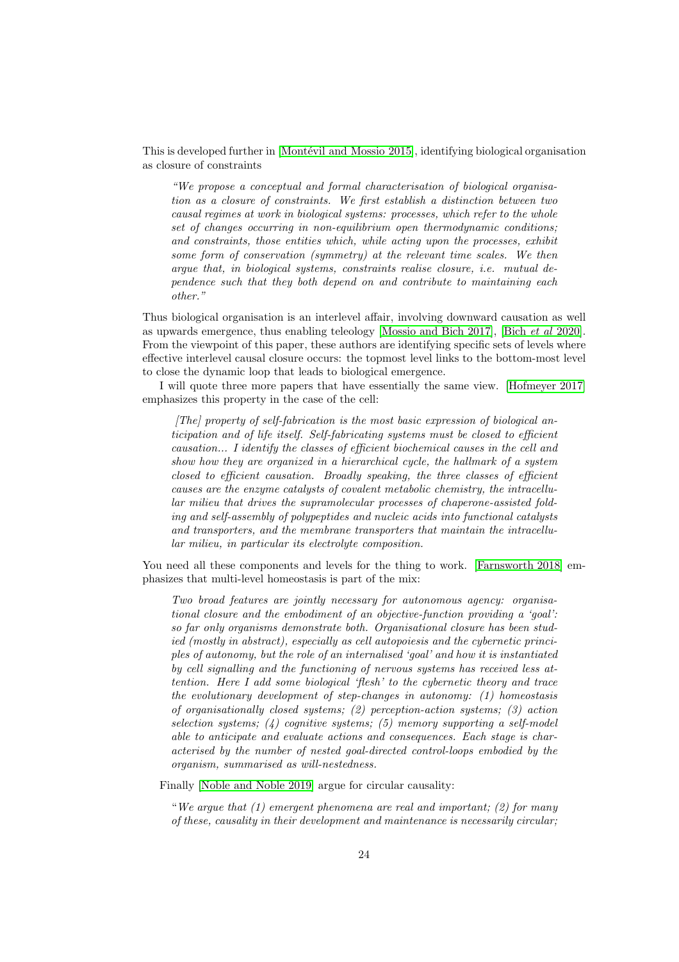This is developed further in [Montévil and Mossio 2015], identifying biological organisation as closure of constraints

"We propose a conceptual and formal characterisation of biological organisation as a closure of constraints. We first establish a distinction between two causal regimes at work in biological systems: processes, which refer to the whole set of changes occurring in non-equilibrium open thermodynamic conditions; and constraints, those entities which, while acting upon the processes, exhibit some form of conservation (symmetry) at the relevant time scales. We then argue that, in biological systems, constraints realise closure, i.e. mutual dependence such that they both depend on and contribute to maintaining each other."

Thus biological organisation is an interlevel affair, involving downward causation as well as upwards emergence, thus enabling teleology [Mossio and Bich 2017], [Bich et al [2020\]](#page-34-3). From the viewpoint of this paper, these authors are identifying specific sets of levels where effective interlevel causal closure occurs: the topmost level links to the bottom-most level to close the dynamic loop that leads to biological emergence.

I will quote three more papers that have essentially the same view. [Hofmeyer 2017] emphasizes this property in the case of the cell:

 $[The]$  property of self-fabrication is the most basic expression of biological anticipation and of life itself. Self-fabricating systems must be closed to efficient causation... I identify the classes of efficient biochemical causes in the cell and show how they are organized in a hierarchical cycle, the hallmark of a system closed to efficient causation. Broadly speaking, the three classes of efficient causes are the enzyme catalysts of covalent metabolic chemistry, the intracellular milieu that drives the supramolecular processes of chaperone-assisted folding and self-assembly of polypeptides and nucleic acids into functional catalysts and transporters, and the membrane transporters that maintain the intracellular milieu, in particular its electrolyte composition.

You need all these components and levels for the thing to work. [Farnsworth 2018] emphasizes that multi-level homeostasis is part of the mix:

Two broad features are jointly necessary for autonomous agency: organisational closure and the embodiment of an objective-function providing a 'goal': so far only organisms demonstrate both. Organisational closure has been studied (mostly in abstract), especially as cell autopoiesis and the cybernetic principles of autonomy, but the role of an internalised 'goal' and how it is instantiated by cell signalling and the functioning of nervous systems has received less attention. Here I add some biological 'flesh' to the cybernetic theory and trace the evolutionary development of step-changes in autonomy:  $(1)$  homeostasis of organisationally closed systems; (2) perception-action systems; (3) action selection systems;  $(4)$  cognitive systems;  $(5)$  memory supporting a self-model able to anticipate and evaluate actions and consequences. Each stage is characterised by the number of nested goal-directed control-loops embodied by the organism, summarised as will-nestedness.

Finally [Noble and Noble 2019] argue for circular causality:

"We argue that  $(1)$  emergent phenomena are real and important;  $(2)$  for many of these, causality in their development and maintenance is necessarily circular;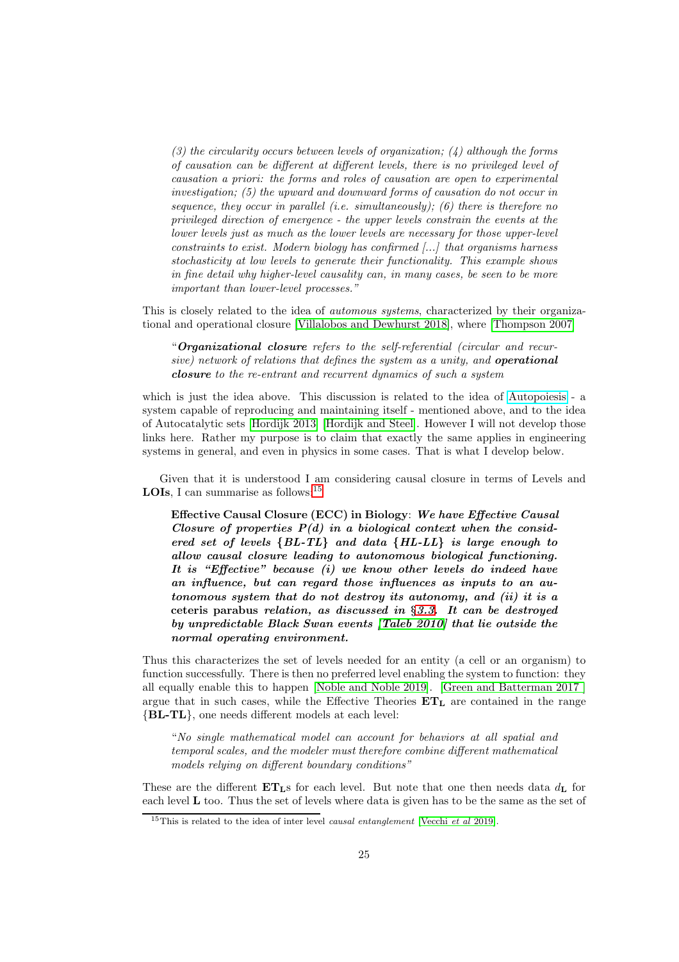(3) the circularity occurs between levels of organization;  $(4)$  although the forms of causation can be different at different levels, there is no privileged level of causation a priori: the forms and roles of causation are open to experimental investigation; (5) the upward and downward forms of causation do not occur in sequence, they occur in parallel (i.e. simultaneously); (6) there is therefore no privileged direction of emergence - the upper levels constrain the events at the lower levels just as much as the lower levels are necessary for those upper-level constraints to exist. Modern biology has confirmed [...] that organisms harness stochasticity at low levels to generate their functionality. This example shows in fine detail why higher-level causality can, in many cases, be seen to be more important than lower-level processes."

This is closely related to the idea of automous systems, characterized by their organizational and operational closure [Villalobos and Dewhurst 2018], where [Thompson 2007]

"Organizational closure refers to the self-referential (circular and recursive) network of relations that defines the system as a unity, and **operational** closure to the re-entrant and recurrent dynamics of such a system

which is just the idea above. This discussion is related to the idea of [Autopoiesis](https://en.wikipedia.org/wiki/Autopoiesis) - a system capable of reproducing and maintaining itself - mentioned above, and to the idea of Autocatalytic sets [Hordijk 2013] [Hordijk and Steel]. However I will not develop those links here. Rather my purpose is to claim that exactly the same applies in engineering systems in general, and even in physics in some cases. That is what I develop below.

Given that it is understood I am considering causal closure in terms of Levels and **LOIs**, I can summarise as follows:  $15$ 

Effective Causal Closure (ECC) in Biology: We have Effective Causal Closure of properties  $P(d)$  in a biological context when the considered set of levels  $\{BL\text{-}TL\}$  and data  $\{HL\text{-}LL\}$  is large enough to allow causal closure leading to autonomous biological functioning. It is "Effective" because (i) we know other levels do indeed have an influence, but can regard those influences as inputs to an autonomous system that do not destroy its autonomy, and (ii) it is a ceteris parabus relation, as discussed in §[3.3.](#page-13-0) It can be destroyed by unpredictable Black Swan events [Taleb 2010] that lie outside the normal operating environment.

Thus this characterizes the set of levels needed for an entity (a cell or an organism) to function successfully. There is then no preferred level enabling the system to function: they all equally enable this to happen [Noble and Noble 2019]. [Green and Batterman 2017 ] argue that in such cases, while the Effective Theories  $ET<sub>L</sub>$  are contained in the range {BL-TL}, one needs different models at each level:

"No single mathematical model can account for behaviors at all spatial and temporal scales, and the modeler must therefore combine different mathematical models relying on different boundary conditions"

These are the different  $ET<sub>LS</sub>$  for each level. But note that one then needs data  $d<sub>L</sub>$  for each level  $\bf{L}$  too. Thus the set of levels where data is given has to be the same as the set of

<span id="page-24-0"></span><sup>&</sup>lt;sup>15</sup>This is related to the idea of inter level *causal entanglement* [Vecchi *et al* 2019].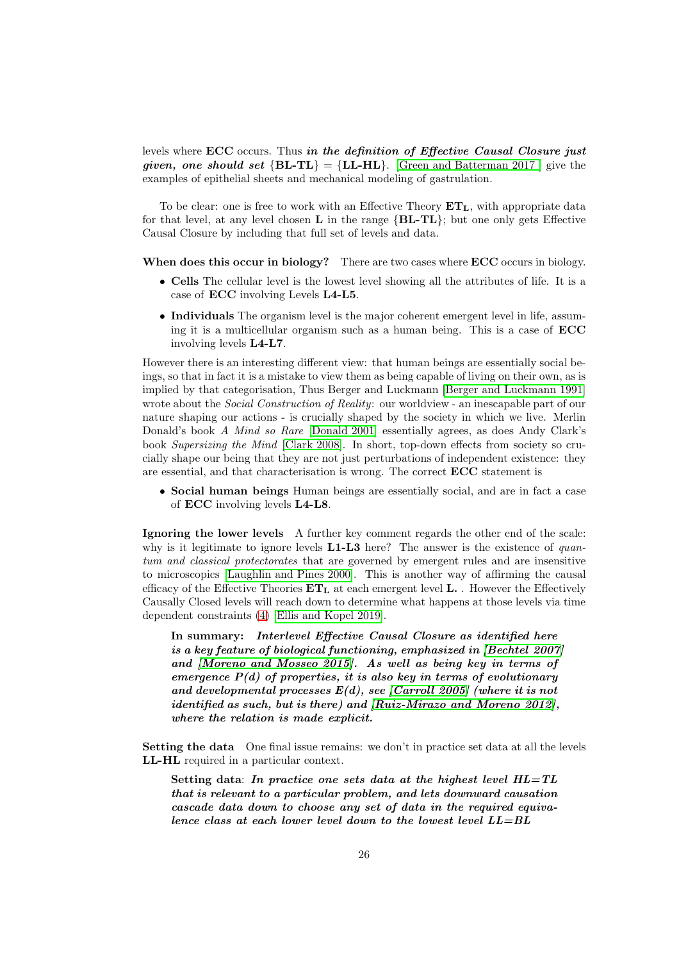levels where ECC occurs. Thus in the definition of Effective Causal Closure just given, one should set  ${BL-TL} = {LL-HL}$ . [Green and Batterman 2017] give the examples of epithelial sheets and mechanical modeling of gastrulation.

To be clear: one is free to work with an Effective Theory  $ET<sub>L</sub>$ , with appropriate data for that level, at any level chosen  $L$  in the range  ${BL-TL}$ ; but one only gets Effective Causal Closure by including that full set of levels and data.

When does this occur in biology? There are two cases where ECC occurs in biology.

- Cells The cellular level is the lowest level showing all the attributes of life. It is a case of ECC involving Levels L4-L5.
- Individuals The organism level is the major coherent emergent level in life, assuming it is a multicellular organism such as a human being. This is a case of ECC involving levels L4-L7.

However there is an interesting different view: that human beings are essentially social beings, so that in fact it is a mistake to view them as being capable of living on their own, as is implied by that categorisation, Thus Berger and Luckmann [Berger and Luckmann 1991] wrote about the *Social Construction of Reality*: our worldview - an inescapable part of our nature shaping our actions - is crucially shaped by the society in which we live. Merlin Donald's book A Mind so Rare [Donald 2001] essentially agrees, as does Andy Clark's book Supersizing the Mind [Clark 2008]. In short, top-down effects from society so crucially shape our being that they are not just perturbations of independent existence: they are essential, and that characterisation is wrong. The correct ECC statement is

• Social human beings Human beings are essentially social, and are in fact a case of ECC involving levels L4-L8.

Ignoring the lower levels A further key comment regards the other end of the scale: why is it legitimate to ignore levels  $L1-L3$  here? The answer is the existence of quantum and classical protectorates that are governed by emergent rules and are insensitive to microscopics [\[Laughlin and Pines 2000\]](#page-39-2). This is another way of affirming the causal efficacy of the Effective Theories  $ET_{L}$  at each emergent level L. . However the Effectively Causally Closed levels will reach down to determine what happens at those levels via time dependent constraints [\(4\)](#page-7-0) [\[Ellis and Kopel 2019\]](#page-36-3).

In summary: Interlevel Effective Causal Closure as identified here is a key feature of biological functioning, emphasized in [Bechtel 2007] and [Moreno and Mosseo 2015]. As well as being key in terms of emergence  $P(d)$  of properties, it is also key in terms of evolutionary and developmental processes  $E(d)$ , see [Carroll 2005] (where it is not identified as such, but is there) and [Ruiz-Mirazo and Moreno 2012], where the relation is made explicit.

Setting the data One final issue remains: we don't in practice set data at all the levels LL-HL required in a particular context.

Setting data: In practice one sets data at the highest level HL=TL that is relevant to a particular problem, and lets downward causation cascade data down to choose any set of data in the required equivalence class at each lower level down to the lowest level  $LL=BL$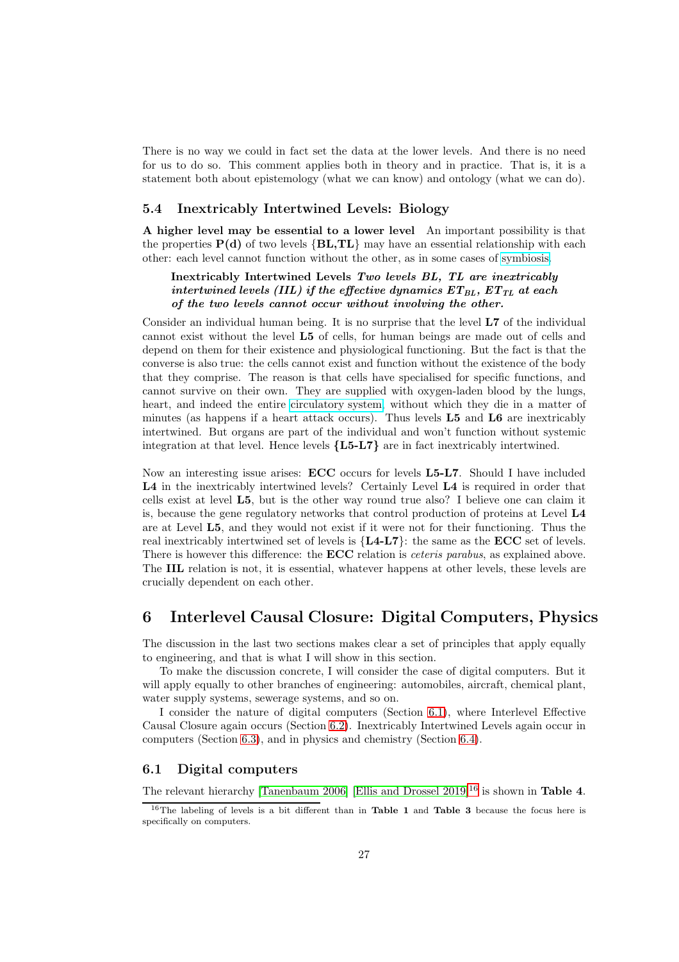There is no way we could in fact set the data at the lower levels. And there is no need for us to do so. This comment applies both in theory and in practice. That is, it is a statement both about epistemology (what we can know) and ontology (what we can do).

#### <span id="page-26-0"></span>5.4 Inextricably Intertwined Levels: Biology

A higher level may be essential to a lower level An important possibility is that the properties  $P(d)$  of two levels  ${BL, TL}$  may have an essential relationship with each other: each level cannot function without the other, as in some cases of [symbiosis.](https://en.wikipedia.org/wiki/Symbiosis)

### Inextricably Intertwined Levels Two levels BL, TL are inextricably intertwined levels (IIL) if the effective dynamics  $ET_{BL}$ ,  $ET_{TL}$  at each of the two levels cannot occur without involving the other.

Consider an individual human being. It is no surprise that the level L7 of the individual cannot exist without the level L5 of cells, for human beings are made out of cells and depend on them for their existence and physiological functioning. But the fact is that the converse is also true: the cells cannot exist and function without the existence of the body that they comprise. The reason is that cells have specialised for specific functions, and cannot survive on their own. They are supplied with oxygen-laden blood by the lungs, heart, and indeed the entire [circulatory system,](https://en.wikipedia.org/wiki/Circulatory_system) without which they die in a matter of minutes (as happens if a heart attack occurs). Thus levels L5 and L6 are inextricably intertwined. But organs are part of the individual and won't function without systemic integration at that level. Hence levels  ${L5-L7}$  are in fact inextricably intertwined.

Now an interesting issue arises: ECC occurs for levels L5-L7. Should I have included L4 in the inextricably intertwined levels? Certainly Level L4 is required in order that cells exist at level L5, but is the other way round true also? I believe one can claim it is, because the gene regulatory networks that control production of proteins at Level L4 are at Level L5, and they would not exist if it were not for their functioning. Thus the real inextricably intertwined set of levels is  ${L4-L7}$ : the same as the  $ECC$  set of levels. There is however this difference: the **ECC** relation is *ceteris parabus*, as explained above. The IIL relation is not, it is essential, whatever happens at other levels, these levels are crucially dependent on each other.

## <span id="page-26-1"></span>6 Interlevel Causal Closure: Digital Computers, Physics

The discussion in the last two sections makes clear a set of principles that apply equally to engineering, and that is what I will show in this section.

To make the discussion concrete, I will consider the case of digital computers. But it will apply equally to other branches of engineering: automobiles, aircraft, chemical plant, water supply systems, sewerage systems, and so on.

I consider the nature of digital computers (Section [6.1\)](#page-26-2), where Interlevel Effective Causal Closure again occurs (Section [6.2\)](#page-28-0). Inextricably Intertwined Levels again occur in computers (Section [6.3\)](#page-28-1), and in physics and chemistry (Section [6.4\)](#page-29-0).

#### <span id="page-26-2"></span>6.1 Digital computers

The relevant hierarchy [\[Tanenbaum 2006\]](#page-42-0) [\[Ellis and Drossel 2019\]](#page-36-2)<sup>[16](#page-26-3)</sup> is shown in **Table 4**.

<span id="page-26-3"></span><sup>&</sup>lt;sup>16</sup>The labeling of levels is a bit different than in **Table 1** and **Table 3** because the focus here is specifically on computers.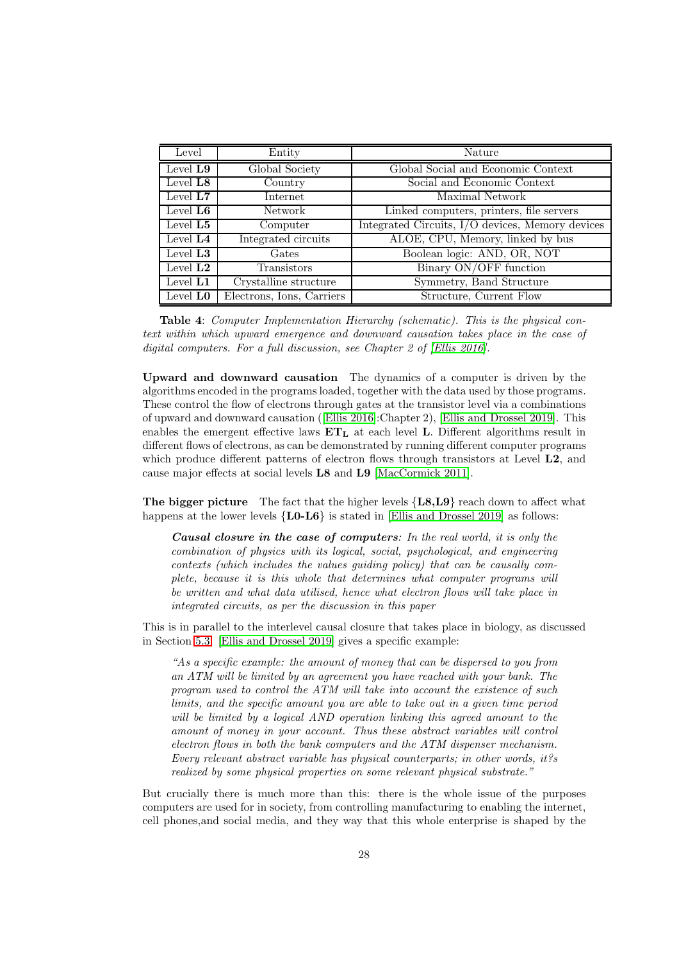| Level                | Entity                    | Nature                                           |
|----------------------|---------------------------|--------------------------------------------------|
| Level L9             | Global Society            | Global Social and Economic Context               |
| Level $L8$           | Country                   | Social and Economic Context                      |
| Level $L7$           | <b>Internet</b>           | Maximal Network                                  |
| Level $L6$           | Network                   | Linked computers, printers, file servers         |
| Level $L5$           | Computer                  | Integrated Circuits, I/O devices, Memory devices |
| Level $L4$           | Integrated circuits       | ALOE, CPU, Memory, linked by bus                 |
| Level $L3$           | Gates                     | Boolean logic: AND, OR, NOT                      |
| Level $L2$           | <b>Transistors</b>        | Binary ON/OFF function                           |
| Level $L1$           | Crystalline structure     | Symmetry, Band Structure                         |
| Level L <sub>0</sub> | Electrons, Ions, Carriers | Structure, Current Flow                          |

Table 4: Computer Implementation Hierarchy (schematic). This is the physical context within which upward emergence and downward causation takes place in the case of digital computers. For a full discussion, see Chapter 2 of [\[Ellis 2016\]](#page-36-1).

Upward and downward causation The dynamics of a computer is driven by the algorithms encoded in the programs loaded, together with the data used by those programs. These control the flow of electrons through gates at the transistor level via a combinations of upward and downward causation ([\[Ellis 2016\]](#page-36-1):Chapter 2), [\[Ellis and Drossel 2019\]](#page-36-2). This enables the emergent effective laws  $ET_L$  at each level L. Different algorithms result in different flows of electrons, as can be demonstrated by running different computer programs which produce different patterns of electron flows through transistors at Level  $L2$ , and cause major effects at social levels L8 and L9 [\[MacCormick 2011\]](#page-39-3).

The bigger picture The fact that the higher levels  ${L8, L9}$  reach down to affect what happens at the lower levels  ${LO-L6}$  is stated in [\[Ellis and Drossel 2019\]](#page-36-2) as follows:

Causal closure in the case of computers: In the real world, it is only the combination of physics with its logical, social, psychological, and engineering contexts (which includes the values guiding policy) that can be causally complete, because it is this whole that determines what computer programs will be written and what data utilised, hence what electron flows will take place in integrated circuits, as per the discussion in this paper

This is in parallel to the interlevel causal closure that takes place in biology, as discussed in Section [5.3.](#page-22-0) [\[Ellis and Drossel 2019\]](#page-36-2) gives a specific example:

"As a specific example: the amount of money that can be dispersed to you from an ATM will be limited by an agreement you have reached with your bank. The program used to control the ATM will take into account the existence of such limits, and the specific amount you are able to take out in a given time period will be limited by a logical AND operation linking this agreed amount to the amount of money in your account. Thus these abstract variables will control electron flows in both the bank computers and the ATM dispenser mechanism. Every relevant abstract variable has physical counterparts; in other words, it?s realized by some physical properties on some relevant physical substrate."

But crucially there is much more than this: there is the whole issue of the purposes computers are used for in society, from controlling manufacturing to enabling the internet, cell phones,and social media, and they way that this whole enterprise is shaped by the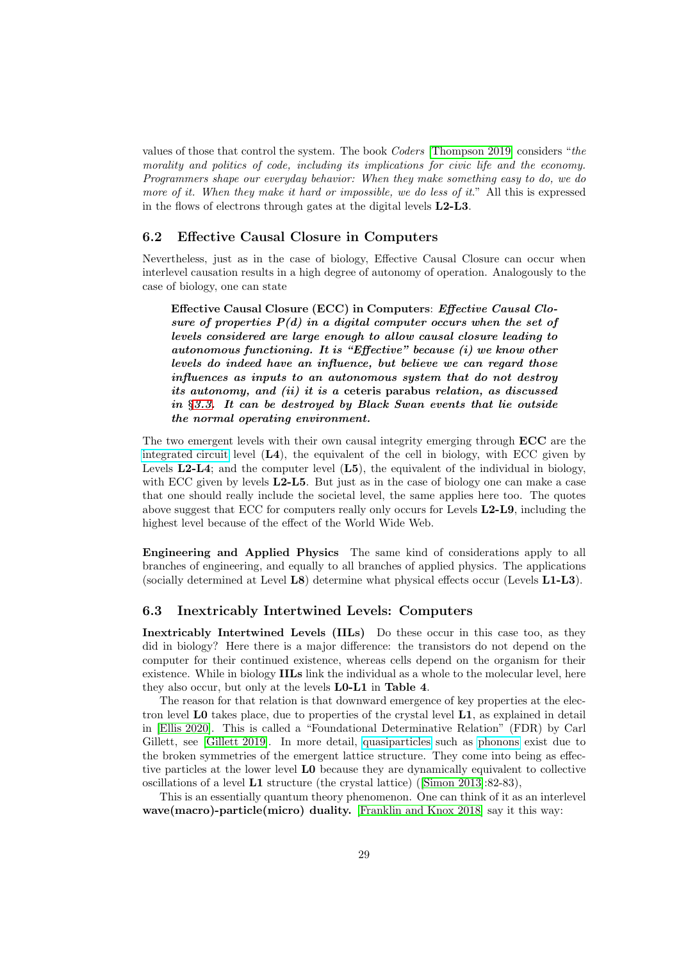values of those that control the system. The book Coders [Thompson 2019] considers "the morality and politics of code, including its implications for civic life and the economy. Programmers shape our everyday behavior: When they make something easy to do, we do more of it. When they make it hard or impossible, we do less of it." All this is expressed in the flows of electrons through gates at the digital levels L2-L3.

#### <span id="page-28-0"></span>6.2 Effective Causal Closure in Computers

Nevertheless, just as in the case of biology, Effective Causal Closure can occur when interlevel causation results in a high degree of autonomy of operation. Analogously to the case of biology, one can state

Effective Causal Closure (ECC) in Computers: Effective Causal Closure of properties  $P(d)$  in a digital computer occurs when the set of levels considered are large enough to allow causal closure leading to autonomous functioning. It is "Effective" because (i) we know other levels do indeed have an influence, but believe we can regard those influences as inputs to an autonomous system that do not destroy its autonomy, and (ii) it is a ceteris parabus relation, as discussed in §[3.3.](#page-13-0) It can be destroyed by Black Swan events that lie outside the normal operating environment.

The two emergent levels with their own causal integrity emerging through ECC are the [integrated circuit](https://en.wikipedia.org/wiki/Integrated_circuit) level  $(L4)$ , the equivalent of the cell in biology, with ECC given by Levels  $L2-L4$ ; and the computer level  $(L5)$ , the equivalent of the individual in biology, with ECC given by levels  $L2-L5$ . But just as in the case of biology one can make a case that one should really include the societal level, the same applies here too. The quotes above suggest that ECC for computers really only occurs for Levels **L2-L9**, including the highest level because of the effect of the World Wide Web.

Engineering and Applied Physics The same kind of considerations apply to all branches of engineering, and equally to all branches of applied physics. The applications (socially determined at Level L8) determine what physical effects occur (Levels L1-L3).

### <span id="page-28-1"></span>6.3 Inextricably Intertwined Levels: Computers

Inextricably Intertwined Levels (IILs) Do these occur in this case too, as they did in biology? Here there is a major difference: the transistors do not depend on the computer for their continued existence, whereas cells depend on the organism for their existence. While in biology **IILs** link the individual as a whole to the molecular level, here they also occur, but only at the levels **L0-L1** in Table 4.

The reason for that relation is that downward emergence of key properties at the electron level L0 takes place, due to properties of the crystal level L1, as explained in detail in [\[Ellis 2020\]](#page-36-0). This is called a "Foundational Determinative Relation" (FDR) by Carl Gillett, see [\[Gillett 2019\]](#page-37-2). In more detail, [quasiparticles](https://en.wikipedia.org/wiki/Quasiparticle) such as [phonons](https://en.wikipedia.org/wiki/Phonon) exist due to the broken symmetries of the emergent lattice structure. They come into being as effective particles at the lower level L0 because they are dynamically equivalent to collective oscillations of a level L1 structure (the crystal lattice) ([Simon 2013]:82-83),

This is an essentially quantum theory phenomenon. One can think of it as an interlevel wave(macro)-particle(micro) duality. [\[Franklin and Knox 2018\]](#page-37-4) say it this way: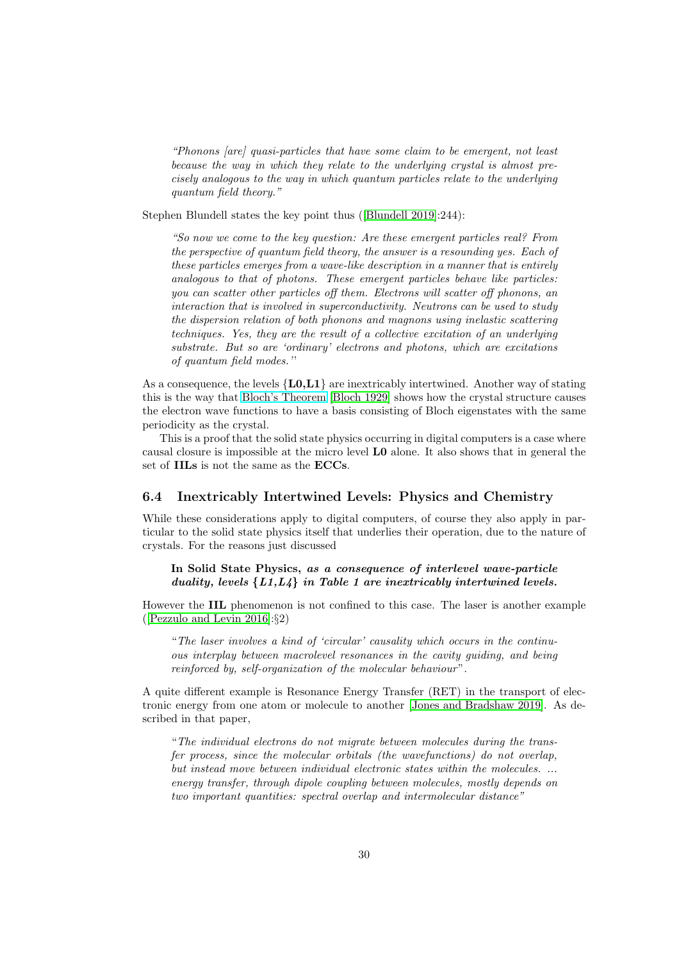"Phonons [are] quasi-particles that have some claim to be emergent, not least because the way in which they relate to the underlying crystal is almost precisely analogous to the way in which quantum particles relate to the underlying quantum field theory."

Stephen Blundell states the key point thus ([Blundell 2019]:244):

"So now we come to the key question: Are these emergent particles real? From the perspective of quantum field theory, the answer is a resounding yes. Each of these particles emerges from a wave-like description in a manner that is entirely analogous to that of photons. These emergent particles behave like particles: you can scatter other particles off them. Electrons will scatter off phonons, an interaction that is involved in superconductivity. Neutrons can be used to study the dispersion relation of both phonons and magnons using inelastic scattering techniques. Yes, they are the result of a collective excitation of an underlying substrate. But so are 'ordinary' electrons and photons, which are excitations of quantum field modes.''

As a consequence, the levels  ${L0.L1}$  are inextricably intertwined. Another way of stating this is the way that [Bloch's Theorem](https://en.wikipedia.org/wiki/Bloch_wave) [Bloch 1929] shows how the crystal structure causes the electron wave functions to have a basis consisting of Bloch eigenstates with the same periodicity as the crystal.

This is a proof that the solid state physics occurring in digital computers is a case where causal closure is impossible at the micro level L0 alone. It also shows that in general the set of IILs is not the same as the ECCs.

#### <span id="page-29-0"></span>6.4 Inextricably Intertwined Levels: Physics and Chemistry

While these considerations apply to digital computers, of course they also apply in particular to the solid state physics itself that underlies their operation, due to the nature of crystals. For the reasons just discussed

In Solid State Physics, as a consequence of interlevel wave-particle duality, levels  $\{L1, L4\}$  in Table 1 are inextricably intertwined levels.

However the IIL phenomenon is not confined to this case. The laser is another example ([Pezzulo and Levin 2016]:§2)

"The laser involves a kind of 'circular' causality which occurs in the continuous interplay between macrolevel resonances in the cavity guiding, and being reinforced by, self-organization of the molecular behaviour".

A quite different example is Resonance Energy Transfer (RET) in the transport of electronic energy from one atom or molecule to another [Jones and Bradshaw 2019]. As described in that paper,

"The individual electrons do not migrate between molecules during the transfer process, since the molecular orbitals (the wavefunctions) do not overlap, but instead move between individual electronic states within the molecules. ... energy transfer, through dipole coupling between molecules, mostly depends on two important quantities: spectral overlap and intermolecular distance"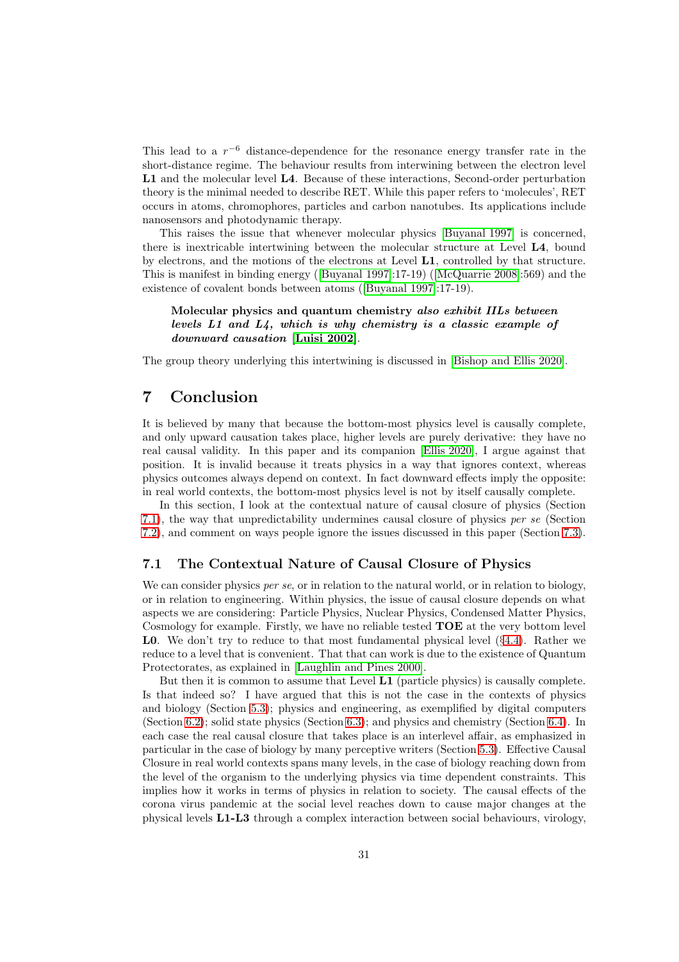This lead to a  $r^{-6}$  distance-dependence for the resonance energy transfer rate in the short-distance regime. The behaviour results from interwining between the electron level L1 and the molecular level L4. Because of these interactions, Second-order perturbation theory is the minimal needed to describe RET. While this paper refers to 'molecules', RET occurs in atoms, chromophores, particles and carbon nanotubes. Its applications include nanosensors and photodynamic therapy.

This raises the issue that whenever molecular physics [Buyanal 1997] is concerned, there is inextricable intertwining between the molecular structure at Level L4, bound by electrons, and the motions of the electrons at Level L1, controlled by that structure. This is manifest in binding energy ([Buyanal 1997]:17-19) ([\[McQuarrie 2008\]](#page-39-4):569) and the existence of covalent bonds between atoms ([Buyanal 1997]:17-19).

Molecular physics and quantum chemistry also exhibit IILs between levels L1 and L4, which is why chemistry is a classic example of downward causation [\[Luisi 2002\]](#page-39-1).

The group theory underlying this intertwining is discussed in [\[Bishop and Ellis 2020\]](#page-34-4).

# <span id="page-30-0"></span>7 Conclusion

It is believed by many that because the bottom-most physics level is causally complete, and only upward causation takes place, higher levels are purely derivative: they have no real causal validity. In this paper and its companion [\[Ellis 2020\]](#page-36-0), I argue against that position. It is invalid because it treats physics in a way that ignores context, whereas physics outcomes always depend on context. In fact downward effects imply the opposite: in real world contexts, the bottom-most physics level is not by itself causally complete.

In this section, I look at the contextual nature of causal closure of physics (Section [7.1\)](#page-30-1), the way that unpredictability undermines causal closure of physics per se (Section [7.2\)](#page-31-0), and comment on ways people ignore the issues discussed in this paper (Section [7.3\)](#page-32-0).

#### <span id="page-30-1"></span>7.1 The Contextual Nature of Causal Closure of Physics

We can consider physics per se, or in relation to the natural world, or in relation to biology, or in relation to engineering. Within physics, the issue of causal closure depends on what aspects we are considering: Particle Physics, Nuclear Physics, Condensed Matter Physics, Cosmology for example. Firstly, we have no reliable tested  $\mathbf{TOE}$  at the very bottom level L0. We don't try to reduce to that most fundamental physical level (§[4.4\)](#page-18-0). Rather we reduce to a level that is convenient. That that can work is due to the existence of Quantum Protectorates, as explained in [\[Laughlin and Pines 2000\]](#page-39-2).

But then it is common to assume that Level L1 (particle physics) is causally complete. Is that indeed so? I have argued that this is not the case in the contexts of physics and biology (Section [5.3\)](#page-22-0); physics and engineering, as exemplified by digital computers (Section [6.2\)](#page-28-0); solid state physics (Section [6.3\)](#page-28-1); and physics and chemistry (Section [6.4\)](#page-29-0). In each case the real causal closure that takes place is an interlevel affair, as emphasized in particular in the case of biology by many perceptive writers (Section [5.3\)](#page-22-0). Effective Causal Closure in real world contexts spans many levels, in the case of biology reaching down from the level of the organism to the underlying physics via time dependent constraints. This implies how it works in terms of physics in relation to society. The causal effects of the corona virus pandemic at the social level reaches down to cause major changes at the physical levels L1-L3 through a complex interaction between social behaviours, virology,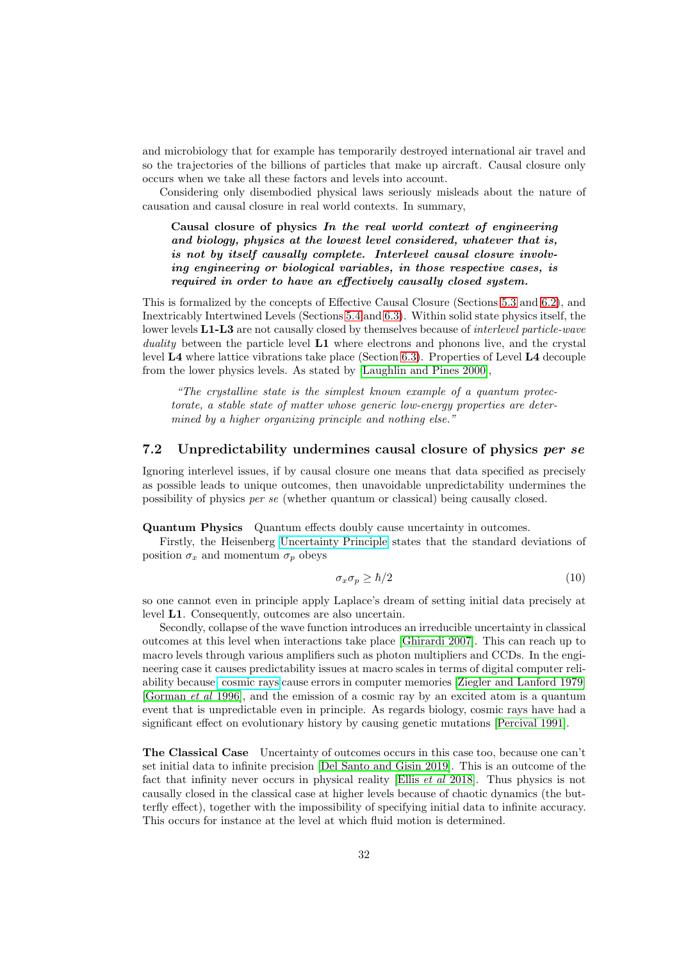and microbiology that for example has temporarily destroyed international air travel and so the trajectories of the billions of particles that make up aircraft. Causal closure only occurs when we take all these factors and levels into account.

Considering only disembodied physical laws seriously misleads about the nature of causation and causal closure in real world contexts. In summary,

Causal closure of physics In the real world context of engineering and biology, physics at the lowest level considered, whatever that is, is not by itself causally complete. Interlevel causal closure involving engineering or biological variables, in those respective cases, is required in order to have an effectively causally closed system.

This is formalized by the concepts of Effective Causal Closure (Sections [5.3](#page-22-0) and [6.2\)](#page-28-0), and Inextricably Intertwined Levels (Sections [5.4](#page-26-0) and [6.3\)](#page-28-1). Within solid state physics itself, the lower levels L1-L3 are not causally closed by themselves because of *interlevel particle-wave* duality between the particle level  $L1$  where electrons and phonons live, and the crystal level L4 where lattice vibrations take place (Section [6.3\)](#page-28-1). Properties of Level L4 decouple from the lower physics levels. As stated by [\[Laughlin and Pines 2000\]](#page-39-2),

"The crystalline state is the simplest known example of a quantum protectorate, a stable state of matter whose generic low-energy properties are determined by a higher organizing principle and nothing else."

## <span id="page-31-0"></span>7.2 Unpredictability undermines causal closure of physics per se

Ignoring interlevel issues, if by causal closure one means that data specified as precisely as possible leads to unique outcomes, then unavoidable unpredictability undermines the possibility of physics per se (whether quantum or classical) being causally closed.

Quantum Physics Quantum effects doubly cause uncertainty in outcomes.

Firstly, the Heisenberg [Uncertainty Principle](https://en.wikipedia.org/wiki/Uncertainty_principle) states that the standard deviations of position  $\sigma_x$  and momentum  $\sigma_p$  obeys

$$
\sigma_x \sigma_p \ge \hbar/2 \tag{10}
$$

so one cannot even in principle apply Laplace's dream of setting initial data precisely at level L1. Consequently, outcomes are also uncertain.

Secondly, collapse of the wave function introduces an irreducible uncertainty in classical outcomes at this level when interactions take place [\[Ghirardi 2007\]](#page-37-5). This can reach up to macro levels through various amplifiers such as photon multipliers and CCDs. In the engineering case it causes predictability issues at macro scales in terms of digital computer reliability because [cosmic rays](https://en.wikipedia.org/wiki/Cosmic_ray) cause errors in computer memories [\[Ziegler and Lanford 1979\]](#page-42-2) [\[Gorman](#page-37-6) et al 1996], and the emission of a cosmic ray by an excited atom is a quantum event that is unpredictable even in principle. As regards biology, cosmic rays have had a significant effect on evolutionary history by causing genetic mutations [\[Percival 1991\]](#page-41-4).

The Classical Case Uncertainty of outcomes occurs in this case too, because one can't set initial data to infinite precision [\[Del Santo and Gisin 2019\]](#page-35-4). This is an outcome of the fact that infinity never occurs in physical reality [Ellis et al 2018]. Thus physics is not causally closed in the classical case at higher levels because of chaotic dynamics (the butterfly effect), together with the impossibility of specifying initial data to infinite accuracy. This occurs for instance at the level at which fluid motion is determined.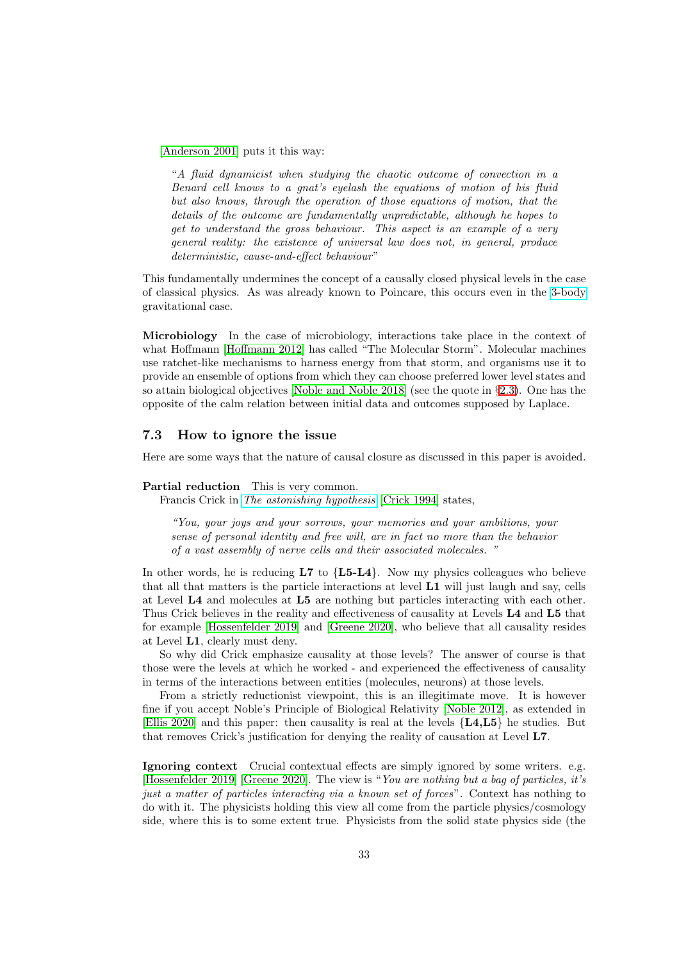[\[Anderson 2001\]](#page-33-3) puts it this way:

"A fluid dynamicist when studying the chaotic outcome of convection in a Benard cell knows to a gnat's eyelash the equations of motion of his fluid but also knows, through the operation of those equations of motion, that the details of the outcome are fundamentally unpredictable, although he hopes to get to understand the gross behaviour. This aspect is an example of a very general reality: the existence of universal law does not, in general, produce deterministic, cause-and-effect behaviour"

This fundamentally undermines the concept of a causally closed physical levels in the case of classical physics. As was already known to Poincare, this occurs even in the [3-body](https://en.wikipedia.org/wiki/Three-body_problem) gravitational case.

Microbiology In the case of microbiology, interactions take place in the context of what Hoffmann [\[Hoffmann 2012\]](#page-37-3) has called "The Molecular Storm". Molecular machines use ratchet-like mechanisms to harness energy from that storm, and organisms use it to provide an ensemble of options from which they can choose preferred lower level states and so attain biological objectives [Noble and Noble 2018] (see the quote in §[2.3\)](#page-6-0). One has the opposite of the calm relation between initial data and outcomes supposed by Laplace.

### <span id="page-32-0"></span>7.3 How to ignore the issue

Here are some ways that the nature of causal closure as discussed in this paper is avoided.

#### Partial reduction This is very common.

Francis Crick in [The astonishing hypothesis](https://en.wikipedia.org/wiki/The_Astonishing_Hypothesis) [Crick 1994] states,

"You, your joys and your sorrows, your memories and your ambitions, your sense of personal identity and free will, are in fact no more than the behavior of a vast assembly of nerve cells and their associated molecules. "

In other words, he is reducing  $L7$  to  ${L5-L4}$ . Now my physics colleagues who believe that all that matters is the particle interactions at level L1 will just laugh and say, cells at Level L4 and molecules at L5 are nothing but particles interacting with each other. Thus Crick believes in the reality and effectiveness of causality at Levels L4 and L5 that for example [\[Hossenfelder 2019\]](#page-38-2) and [Greene 2020], who believe that all causality resides at Level L1, clearly must deny.

So why did Crick emphasize causality at those levels? The answer of course is that those were the levels at which he worked - and experienced the effectiveness of causality in terms of the interactions between entities (molecules, neurons) at those levels.

From a strictly reductionist viewpoint, this is an illegitimate move. It is however fine if you accept Noble's Principle of Biological Relativity [Noble 2012], as extended in [\[Ellis 2020\]](#page-36-0) and this paper: then causality is real at the levels {L4,L5} he studies. But that removes Crick's justification for denying the reality of causation at Level L7.

Ignoring context Crucial contextual effects are simply ignored by some writers. e.g. [\[Hossenfelder 2019\]](#page-38-2) [Greene 2020]. The view is "You are nothing but a bag of particles, it's just a matter of particles interacting via a known set of forces". Context has nothing to do with it. The physicists holding this view all come from the particle physics/cosmology side, where this is to some extent true. Physicists from the solid state physics side (the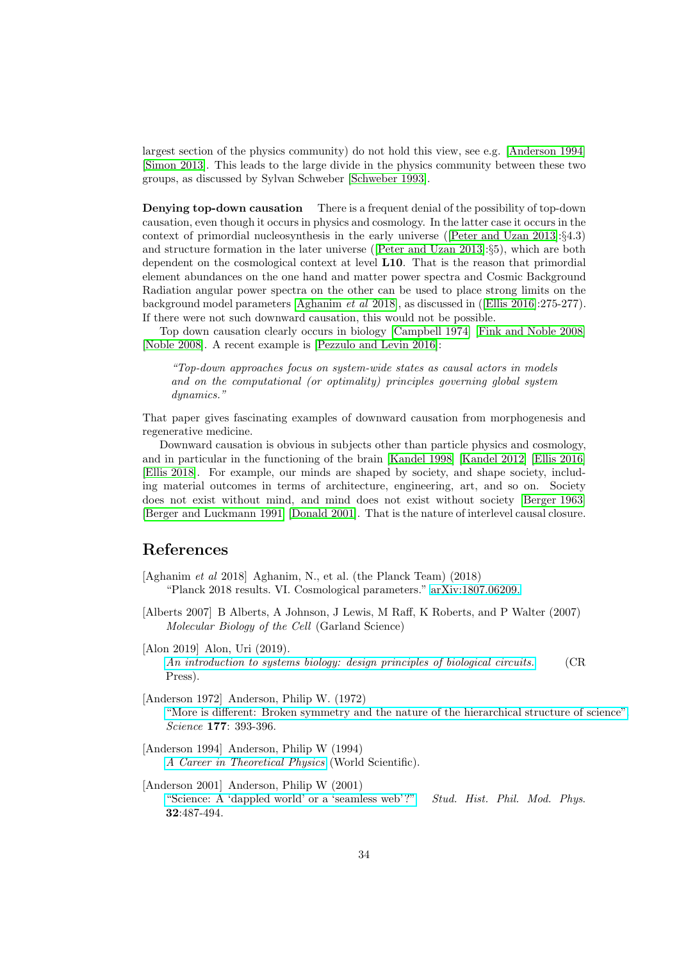largest section of the physics community) do not hold this view, see e.g. [\[Anderson 1994\]](#page-33-1) [Simon 2013]. This leads to the large divide in the physics community between these two groups, as discussed by Sylvan Schweber [Schweber 1993].

Denying top-down causation There is a frequent denial of the possibility of top-down causation, even though it occurs in physics and cosmology. In the latter case it occurs in the context of primordial nucleosynthesis in the early universe ([Peter and Uzan 2013]:§4.3) and structure formation in the later universe ([Peter and Uzan 2013]:§5), which are both dependent on the cosmological context at level L10. That is the reason that primordial element abundances on the one hand and matter power spectra and Cosmic Background Radiation angular power spectra on the other can be used to place strong limits on the background model parameters [\[Aghanim](#page-33-4) et al 2018], as discussed in ([\[Ellis 2016\]](#page-36-1):275-277). If there were not such downward causation, this would not be possible.

Top down causation clearly occurs in biology [\[Campbell 1974\]](#page-35-3) [\[Fink and Noble 2008\]](#page-36-6) [\[Noble 2008\]](#page-40-0). A recent example is [Pezzulo and Levin 2016]:

"Top-down approaches focus on system-wide states as causal actors in models and on the computational (or optimality) principles governing global system dynamics."

That paper gives fascinating examples of downward causation from morphogenesis and regenerative medicine.

Downward causation is obvious in subjects other than particle physics and cosmology, and in particular in the functioning of the brain [Kandel 1998] [Kandel 2012] [\[Ellis 2016\]](#page-36-1) [Ellis 2018]. For example, our minds are shaped by society, and shape society, including material outcomes in terms of architecture, engineering, art, and so on. Society does not exist without mind, and mind does not exist without society [\[Berger 1963\]](#page-34-5) [Berger and Luckmann 1991] [Donald 2001]. That is the nature of interlevel causal closure.

## References

- <span id="page-33-4"></span>[Aghanim et al 2018] Aghanim, N., et al. (the Planck Team) (2018) "Planck 2018 results. VI. Cosmological parameters." [arXiv:1807.06209.](https://arxiv.org/pdf/1807.06209)
- <span id="page-33-2"></span>[Alberts 2007] B Alberts, A Johnson, J Lewis, M Raff, K Roberts, and P Walter (2007) Molecular Biology of the Cell (Garland Science)

[Alon 2019] Alon, Uri (2019). [An introduction to systems biology: design principles of biological circuits.](https://books.google.co.za/books?hl=en&lr=&id=Lg3MDwAAQBAJ&oi=fnd&pg=PP1&dq=Uri+Alon&ots=nHoGud2N9Y&sig=QbXxSsbZ9C5fRNnU4Ebw4qjXgg0#v=onepage&q=Uri%20Alon&f=false) (CR Press).

- <span id="page-33-0"></span>[Anderson 1972] Anderson, Philip W. (1972) ["More is different: Broken symmetry and the nature of the hierarchical structure of science".](https://www.researchgate.net/publication/308012273_More_is_different_Broken_symmetry_and_the_nature_of_the_hierarchical_structure_of_science) Science 177: 393-396.
- <span id="page-33-1"></span>[Anderson 1994] Anderson, Philip W (1994) [A Career in Theoretical Physics](https://www.worldscientific.com/worldscibooks/10.1142/2314) (World Scientific).
- <span id="page-33-3"></span>[Anderson 2001] Anderson, Philip W (2001) ["Science: A 'dappled world' or a 'seamless web'?"](https://pitp.phas.ubc.ca/confs/7pines2009/readings/Anderson_darticle.pdf) Stud. Hist. Phil. Mod. Phys. 32:487-494.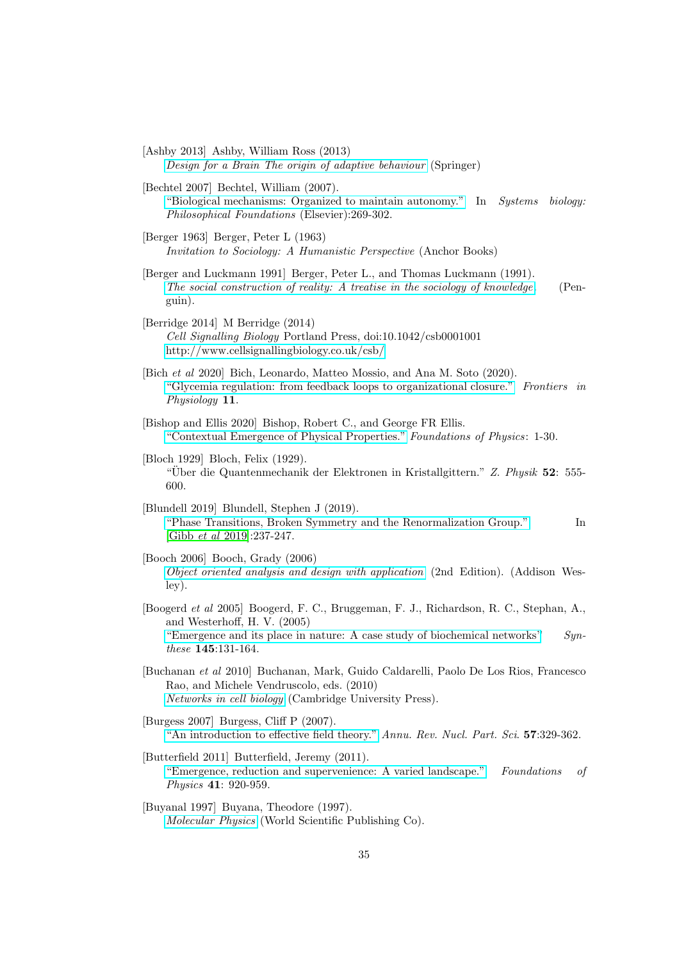[Ashby 2013] Ashby, William Ross (2013) [Design for a Brain The origin of adaptive behaviour](https://books.google.co.za/books?hl=en&lr=&id=Dc4hBQAAQBAJ&oi=fnd&pg=PR5&dq=Design+for+a+Brain+The+origin+of+adaptive+behavi&ots=-nP_sI85dm&sig=wyZSHHfNYV6FaBNSekBZwk-Ckxo#v=onepage&q=Design%20for%20a%20Brain%20The%20origin%20of%20adaptive%20behavi&f=false) (Springer)

[Bechtel 2007] Bechtel, William (2007). ["Biological mechanisms: Organized to maintain autonomy."](http://mechanism.ucsd.edu/~bill/research/bechtel.biologicalmechanismsorganization.pdf) In Systems biology: Philosophical Foundations (Elsevier):269-302.

- <span id="page-34-5"></span>[Berger 1963] Berger, Peter L (1963) Invitation to Sociology: A Humanistic Perspective (Anchor Books)
- [Berger and Luckmann 1991] Berger, Peter L., and Thomas Luckmann (1991). [The social construction of reality: A treatise in the sociology of knowledge](http://newschoolhistories.org/wp-content/uploads/2019/03/Berger-social-construction-of-reality.pdf). (Penguin).
- <span id="page-34-1"></span>[Berridge 2014] M Berridge (2014) Cell Signalling Biology Portland Press, doi:10.1042/csb0001001 <http://www.cellsignallingbiology.co.uk/csb/>
- <span id="page-34-3"></span>[Bich et al 2020] Bich, Leonardo, Matteo Mossio, and Ana M. Soto (2020). ["Glycemia regulation: from feedback loops to organizational closure."](https://www.ncbi.nlm.nih.gov/pmc/articles/PMC7040218/) Frontiers in Physiology 11.
- <span id="page-34-4"></span>[Bishop and Ellis 2020] Bishop, Robert C., and George FR Ellis. ["Contextual Emergence of Physical Properties."](https://philpapers.org/rec/BISCEO-3) Foundations of Physics: 1-30.
- [Bloch 1929] Bloch, Felix (1929). "Uber die Quantenmechanik der Elektronen in Kristallgittern." Z. Physik 52: 555-600.
- [Blundell 2019] Blundell, Stephen J (2019). ["Phase Transitions, Broken Symmetry and the Renormalization Group."](https://www2.physics.ox.ac.uk/contacts/people/blundells/publications/1040097) In [\[Gibb](#page-37-0) et al 2019]:237-247.
- [Booch 2006] Booch, Grady (2006) [Object oriented analysis and design with application](https://www.amazon.com/Object-Oriented-Analysis-Design-Applications-3rd/dp/020189551X) (2nd Edition). (Addison Wesley).
- <span id="page-34-2"></span>[Boogerd et al 2005] Boogerd, F. C., Bruggeman, F. J., Richardson, R. C., Stephan, A., and Westerhoff, H. V. (2005) "Emergence and its place in nature: A case study of biochemical networks"  $Syn$ these 145:131-164.
- [Buchanan et al 2010] Buchanan, Mark, Guido Caldarelli, Paolo De Los Rios, Francesco Rao, and Michele Vendruscolo, eds. (2010) [Networks in cell biology](https://books.google.co.za/books?hl=en&lr=&id=ojMhR2pq7qIC&oi=fnd&pg=PR5&dq=Networks+in+cell+biology+Buchanan&ots=eecSN6Item&sig=IdyBXcCqchHu0Q3NRc0rRs_gx8E#v=onepage&q=Networks%20in%20cell%20biology%20Buchanan&f=false) (Cambridge University Press).
- <span id="page-34-0"></span>[Burgess 2007] Burgess, Cliff P (2007). ["An introduction to effective field theory."](https://www.annualreviews.org/doi/abs/10.1146/annurev.nucl.56.080805.140508) Annu. Rev. Nucl. Part. Sci. 57:329-362.
- [Butterfield 2011] Butterfield, Jeremy (2011). ["Emergence, reduction and supervenience: A varied landscape."](https://arxiv.org/pdf/1106.0704) Foundations of Physics 41: 920-959.
- [Buyanal 1997] Buyana, Theodore (1997). [Molecular Physics](https://www.worldscientific.com/worldscibooks/10.1142/1539) (World Scientific Publishing Co).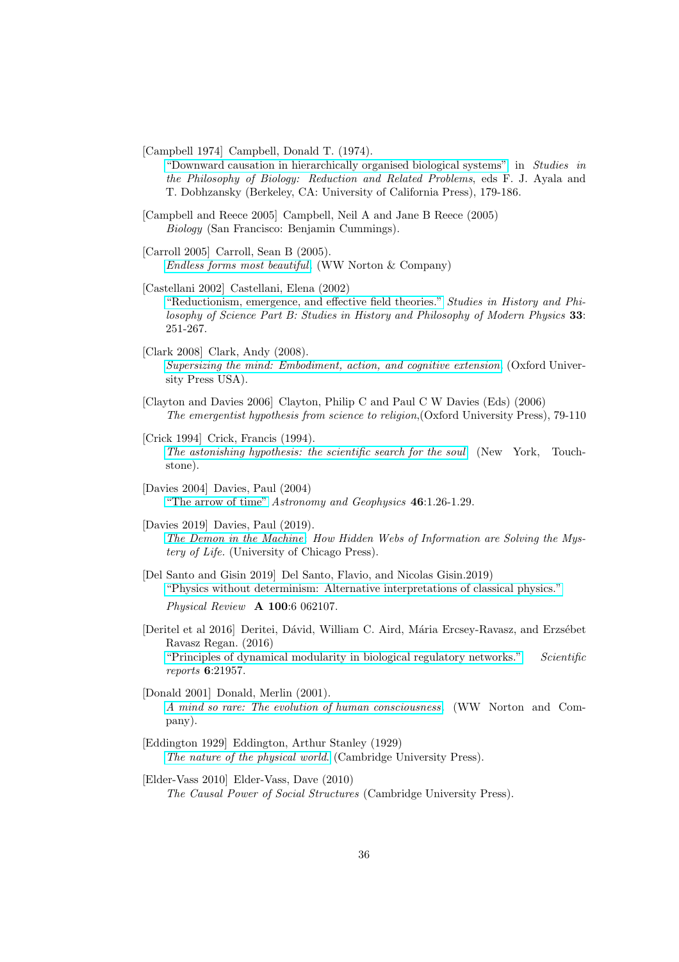<span id="page-35-3"></span>[Campbell 1974] Campbell, Donald T. (1974).

["Downward causation in hierarchically organised biological systems"](https://link.springer.com/chapter/10.1007/978-1-349-01892-5_11) in Studies in the Philosophy of Biology: Reduction and Related Problems, eds F. J. Ayala and T. Dobhzansky (Berkeley, CA: University of California Press), 179-186.

[Campbell and Reece 2005] Campbell, Neil A and Jane B Reece (2005) Biology (San Francisco: Benjamin Cummings).

[Carroll 2005] Carroll, Sean B (2005). [Endless forms most beautiful](https://en.wikipedia.org/wiki/Endless_Forms_Most_Beautiful_(book)). (WW Norton & Company)

<span id="page-35-1"></span>[Castellani 2002] Castellani, Elena (2002)

["Reductionism, emergence, and effective field theories."](https://arxiv.org/abs/physics/0101039) Studies in History and Philosophy of Science Part B: Studies in History and Philosophy of Modern Physics 33: 251-267.

- [Clark 2008] Clark, Andy (2008). [Supersizing the mind: Embodiment, action, and cognitive extension](https://books.google.co.za/books?hl=en&lr=&id=n5wRDAAAQBAJ&oi=fnd&pg=PR9&dq=supersizing+the+mind&ots=_Dpe2b3RlB&sig=D6MBvQH80tnWanvhBZEk_L-ngqc#v=onepage&q=supersizing%20the%20mind&f=false). (Oxford University Press USA).
- [Clayton and Davies 2006] Clayton, Philip C and Paul C W Davies (Eds) (2006) The emergentist hypothesis from science to religion,(Oxford University Press), 79-110
- [Crick 1994] Crick, Francis (1994). [The astonishing hypothesis: the scientific search for the soul](https://en.wikipedia.org/wiki/The_Astonishing_Hypothesis) (New York, Touchstone).

[Davies 2004] Davies, Paul (2004) ["The arrow of time"](https://academic.oup.com/astrogeo/article/46/1/1.26/253257) Astronomy and Geophysics 46:1.26-1.29.

- [Davies 2019] Davies, Paul (2019). [The Demon in the Machine](https://www.penguin.co.uk/books/305/305448/the-demon-in-the-machine/9780141986401.html): How Hidden Webs of Information are Solving the Mystery of Life. (University of Chicago Press).
- <span id="page-35-4"></span>[Del Santo and Gisin 2019] Del Santo, Flavio, and Nicolas Gisin.2019) ["Physics without determinism: Alternative interpretations of classical physics."](https://arxiv.org/pdf/1909.03697)

Physical Review A 100:6 062107.

- [Deritel et al 2016] Deritei, Dávid, William C. Aird, Mária Ercsey-Ravasz, and Erzsébet Ravasz Regan. (2016) ["Principles of dynamical modularity in biological regulatory networks."](https://www.nature.com/articles/srep21957) Scientific reports 6:21957.
- [Donald 2001] Donald, Merlin (2001). [A mind so rare: The evolution of human consciousness](https://www.amazon.com/Mind-So-Rare-Evolution-Consciousness/dp/0393323196). (WW Norton and Company).
- <span id="page-35-0"></span>[Eddington 1929] Eddington, Arthur Stanley (1929) [The nature of the physical world](https://ia600200.us.archive.org/3/items/natureofphysical00eddi/natureofphysical00eddi.pdf). (Cambridge University Press).
- <span id="page-35-2"></span>[Elder-Vass 2010] Elder-Vass, Dave (2010) The Causal Power of Social Structures (Cambridge University Press).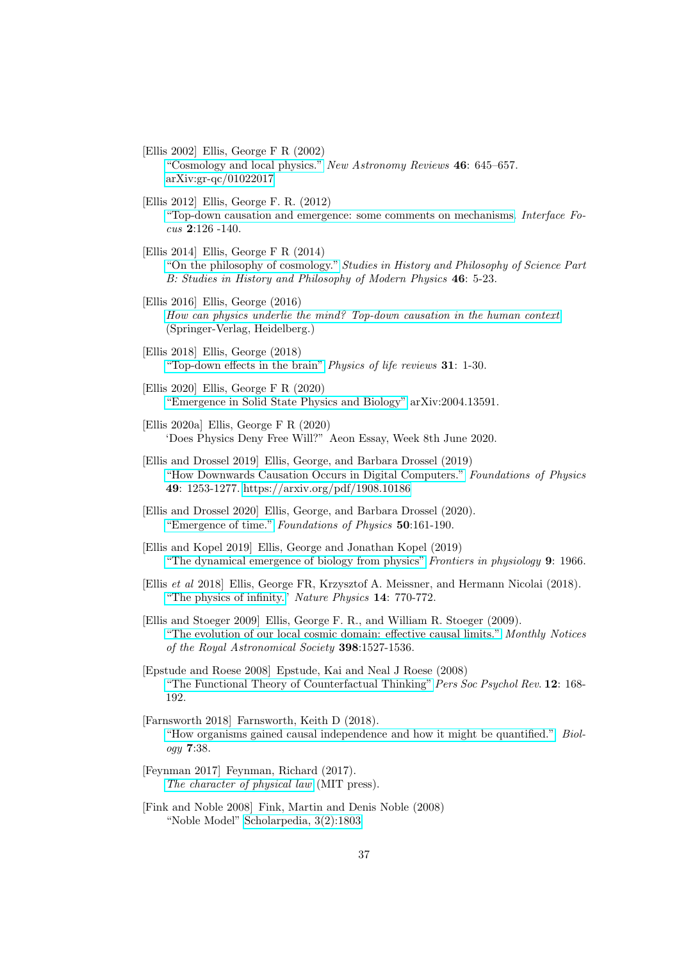- <span id="page-36-4"></span>[Ellis 2002] Ellis, George F R (2002) ["Cosmology and local physics."](https://www.sciencedirect.com/science/article/abs/pii/S1387647302002348) New Astronomy Reviews 46: 645–657. [arXiv:gr-qc/01022017](https://arxiv.org/pdf/gr-qc/0102017)
- [Ellis 2012] Ellis, George F. R. (2012) ["Top-down causation and emergence: some comments on mechanisms.](https://royalsocietypublishing.org/doi/10.1098/rsfs.2011.0062) Interface Focus 2:126 -140.
- [Ellis 2014] Ellis, George F R (2014) ["On the philosophy of cosmology."](http://citeseerx.ist.psu.edu/viewdoc/download?doi=10.1.1.694.576&rep=rep1&type=pdf) Studies in History and Philosophy of Science Part B: Studies in History and Philosophy of Modern Physics 46: 5-23.
- <span id="page-36-1"></span>[Ellis 2016] Ellis, George (2016) [How can physics underlie the mind? Top-down causation in the](https://link.springer.com/book/10.1007/978-3-662-49809-5) human context (Springer-Verlag, Heidelberg.)
- [Ellis 2018] Ellis, George (2018) ["Top-down effects in the brain"](https://www.sciencedirect.com/science/article/pii/S1571064518300794) Physics of life reviews 31: 1-30.
- <span id="page-36-0"></span>[Ellis 2020] Ellis, George F R (2020) ["Emergence in Solid State Physics and Biology"](http://arxiv.org/abs/2004.13591) arXiv:2004.13591.
- [Ellis 2020a] Ellis, George F R (2020) 'Does Physics Deny Free Will?" Aeon Essay, Week 8th June 2020.
- <span id="page-36-2"></span>[Ellis and Drossel 2019] Ellis, George, and Barbara Drossel (2019) ["How Downwards Causation Occurs in Digital Computers."](https://link.springer.com/article/10.1007/s10701-019-00307-6) Foundations of Physics 49: 1253-1277. [https://arxiv.org/pdf/1908.10186](https://arxiv.org/abs/1908.10186)
- <span id="page-36-5"></span>[Ellis and Drossel 2020] Ellis, George, and Barbara Drossel (2020). ["Emergence of time."](https://arxiv.org/pdf/1911.04772) Foundations of Physics 50:161-190.
- <span id="page-36-3"></span>[Ellis and Kopel 2019] Ellis, George and Jonathan Kopel (2019) ["The dynamical emergence of biology from physics"](https://www.frontiersin.org/articles/10.3389/fphys.2018.01966/full) Frontiers in physiology 9: 1966.
- [Ellis et al 2018] Ellis, George FR, Krzysztof A. Meissner, and Hermann Nicolai (2018). ["The physics of infinity."](https://www.nature.com/articles/s41567-018-0238-1) Nature Physics 14: 770-772.
- [Ellis and Stoeger 2009] Ellis, George F. R., and William R. Stoeger (2009). ["The evolution of our local cosmic domain: effective causal limits."](https://academic.oup.com/mnras/article/398/3/1527/1267202) Monthly Notices of the Royal Astronomical Society 398:1527-1536.
- <span id="page-36-7"></span>[Epstude and Roese 2008] Epstude, Kai and Neal J Roese (2008) ["The Functional Theory of Counterfactual Thinking"](https://www.ncbi.nlm.nih.gov/pmc/articles/PMC2408534/) Pers Soc Psychol Rev. 12: 168-192.
- [Farnsworth 2018] Farnsworth, Keith D (2018). ["How organisms gained causal independence and how it might be quantified."](https://www.mdpi.com/2079-7737/7/3/38) Biology 7:38.
- [Feynman 2017] Feynman, Richard (2017). [The character of physical law](https://mitpress.mit.edu/books/character-physical-law) (MIT press).
- <span id="page-36-6"></span>[Fink and Noble 2008] Fink, Martin and Denis Noble (2008) "Noble Model" [Scholarpedia, 3\(2\):1803](http://www.scholarpedia.org/article/Noble_model)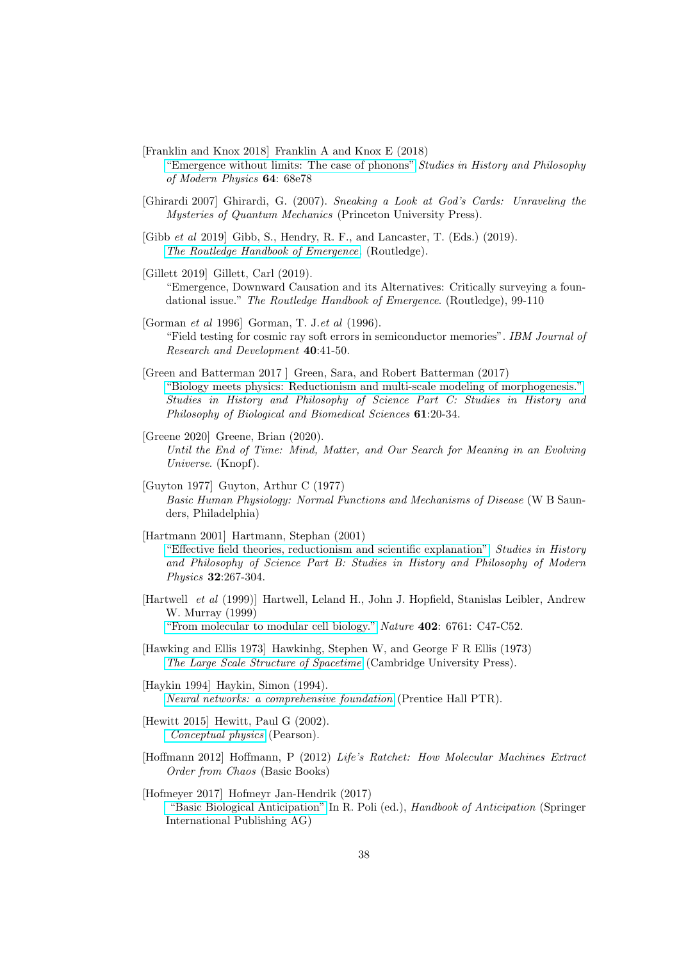<span id="page-37-4"></span>[Franklin and Knox 2018] Franklin A and Knox E (2018)

- ["Emergence without limits: The case of phonons"](https://www.sciencedirect.com/science/article/pii/S1355219817301211) Studies in History and Philosophy of Modern Physics 64: 68e78
- <span id="page-37-5"></span>[Ghirardi 2007] Ghirardi, G. (2007). Sneaking a Look at God's Cards: Unraveling the Mysteries of Quantum Mechanics (Princeton University Press).
- <span id="page-37-0"></span>[Gibb et al 2019] Gibb, S., Hendry, R. F., and Lancaster, T. (Eds.) (2019). [The Routledge Handbook of Emergence](https://www.routledge.com/The-Routledge-Handbook-of-Emergence/Gibb-Hendry-Lancaster/p/book/9781138925083). (Routledge).
- <span id="page-37-2"></span>[Gillett 2019] Gillett, Carl (2019).

"Emergence, Downward Causation and its Alternatives: Critically surveying a foundational issue." The Routledge Handbook of Emergence. (Routledge), 99-110

- <span id="page-37-6"></span>[Gorman et al 1996] Gorman, T. J.et al (1996). "Field testing for cosmic ray soft errors in semiconductor memories". IBM Journal of Research and Development 40:41-50.
- [Green and Batterman 2017 ] Green, Sara, and Robert Batterman (2017) ["Biology meets physics: Reductionism and multi-scale modeling of morphogenesis."](http://philsci-archive.pitt.edu/12711/1/Preprint_Green%20and%20Batterman.pdf) Studies in History and Philosophy of Science Part C: Studies in History and Philosophy of Biological and Biomedical Sciences 61:20-34.
- [Greene 2020] Greene, Brian (2020). Until the End of Time: Mind, Matter, and Our Search for Meaning in an Evolving Universe. (Knopf).
- [Guyton 1977] Guyton, Arthur C (1977) Basic Human Physiology: Normal Functions and Mechanisms of Disease (W B Saunders, Philadelphia)
- [Hartmann 2001] Hartmann, Stephan (2001) ["Effective field theories, reductionism and scientific explanation".](https://sas-space.sas.ac.uk/1075/1/S_Hartmann_Effective.pdf) Studies in History and Philosophy of Science Part B: Studies in History and Philosophy of Modern Physics 32:267-304.
- <span id="page-37-1"></span>[Hartwell et al (1999)] Hartwell, Leland H., John J. Hopfield, Stanislas Leibler, Andrew W. Murray (1999) ["From molecular to modular cell biology."](https://www.nature.com/articles/35011540.pdf) Nature 402: 6761: C47-C52.
- [Hawking and Ellis 1973] Hawkinhg, Stephen W, and George F R Ellis (1973) [The Large Scale Structure of Spacetime](https://books.google.co.za/books?hl=en&lr=&id=QagG_KI7Ll8C&oi=fnd&pg=PR11&dq=The+Large+Scale+Structure+of+Spacetime&ots=GptfjePzV2&sig=7C_aIyTmAwMQmyR6KdnIV5yDUzc) (Cambridge University Press).
- [Haykin 1994] Haykin, Simon (1994). [Neural networks: a comprehensive foundation](https://dl.acm.org/citation.cfm?id=541500) (Prentice Hall PTR).
- [Hewitt 2015] Hewitt, Paul G (2002). [Conceptual physics](https://www.pearson.com/us/higher-education/product/Hewitt-Conceptual-Physics-12th-Edition/9780321909107.html?tab=contents) (Pearson).
- <span id="page-37-3"></span>[Hoffmann 2012] Hoffmann, P (2012) Life's Ratchet: How Molecular Machines Extract Order from Chaos (Basic Books)

[Hofmeyer 2017] Hofmeyr Jan-Hendrik (2017) ["Basic Biological Anticipation"](https://www.researchgate.net/publication/318135985_Basic_Biological_Anticipation) In R. Poli (ed.), Handbook of Anticipation (Springer International Publishing AG)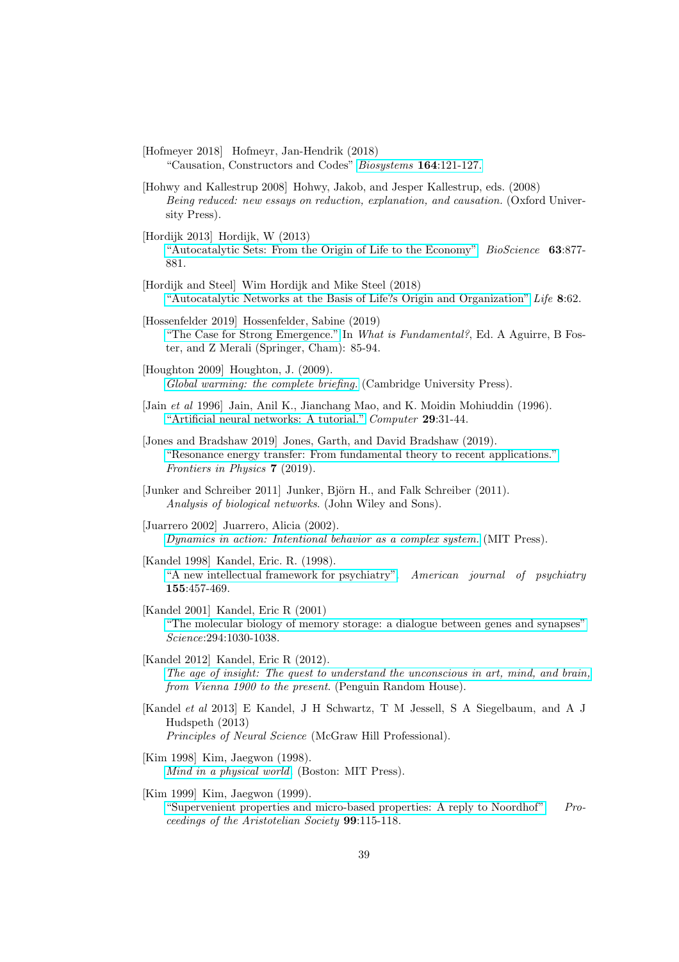- [Hofmeyer 2018] Hofmeyr, Jan-Hendrik (2018) "Causation, Constructors and Codes" [Biosystems](https://www.academia.edu/34700635/Causation_Constructors_and_Codes) 164:121-127.
- [Hohwy and Kallestrup 2008] Hohwy, Jakob, and Jesper Kallestrup, eds. (2008) Being reduced: new essays on reduction, explanation, and causation. (Oxford University Press).
- [Hordijk 2013] Hordijk, W (2013) ["Autocatalytic Sets: From the Origin of Life to the Economy"](https://academic.oup.com/bioscience/article/63/11/877/2389920) BioScience 63:877- 881.
- [Hordijk and Steel] Wim Hordijk and Mike Steel (2018) ["Autocatalytic Networks at the Basis of Life?s Origin and Organization"](https://www.ncbi.nlm.nih.gov/pmc/articles/PMC6315399/) Life 8:62.
- <span id="page-38-2"></span>[Hossenfelder 2019] Hossenfelder, Sabine (2019) ["The Case for Strong Emergence."](https://www.academia.edu/download/59064656/A_Aguirre_B_Foster_Z_Merali_-_What_is_Fundamental_201920190428-80798-pk01ce.pdf#page=90) In What is Fundamental?, Ed. A Aguirre, B Foster, and Z Merali (Springer, Cham): 85-94.
- [Houghton 2009] Houghton, J. (2009). [Global warming: the complete briefing.](https://books.google.co.za/books?hl=en&lr=&id=oUbWnWfnaJ4C&oi=fnd&pg=PR17&dq=Houghton+Global+Warming&ots=0NZm9FZ_fV&sig=BaGNlpgwjRARGLvSDh9hW48e740#v=onepage&q=Houghton%20Global%20Warming&f=false) (Cambridge University Press).
- [Jain et al 1996] Jain, Anil K., Jianchang Mao, and K. Moidin Mohiuddin (1996). ["Artificial neural networks: A tutorial."](http://metalab.uniten.edu.my/~abdrahim/mitm613/Jain1996_ANN%20-%20A%20Tutorial.pdf) Computer 29:31-44.
- [Jones and Bradshaw 2019] Jones, Garth, and David Bradshaw (2019). ["Resonance energy transfer: From fundamental theory to recent applications."](https://www.frontiersin.org/articles/10.3389/fphy.2019.00100/full?utm_source=ad&utm_medium=fb&utm_campaign=ba_sci_fphy) Frontiers in Physics 7 (2019).
- [Junker and Schreiber 2011] Junker, Björn H., and Falk Schreiber (2011). Analysis of biological networks. (John Wiley and Sons).
- [Juarrero 2002] Juarrero, Alicia (2002). [Dynamics in action: Intentional behavior as a complex system.](https://mitpress.mit.edu/books/dynamics-action) (MIT Press).
- [Kandel 1998] Kandel, Eric. R. (1998). ["A new intellectual framework for psychiatry".](https://www.semanticscholar.org/paper/A-new-intellectual-framework-for-psychiatry.-Kandel/8de2875c2d2473f6f40e2b034463a3747f681b72) American journal of psychiatry 155:457-469.
- <span id="page-38-1"></span>[Kandel 2001] Kandel, Eric R (2001) ["The molecular biology of memory storage: a dialogue between genes](http://teachline.ls.huji.ac.il/72336/sphira/Kandelnobellecture.pdf) and synapses" Science:294:1030-1038.
- [Kandel 2012] Kandel, Eric R (2012). [The age of insight: The quest to understand the unconscious in art, mind, and brain,](https://www.penguinrandomhouse.com/books/89556/the-age-of-insight-by-eric-r-kandel/) from Vienna 1900 to the present. (Penguin Random House).
- <span id="page-38-0"></span>[Kandel et al 2013] E Kandel, J H Schwartz, T M Jessell, S A Siegelbaum, and A J Hudspeth (2013) Principles of Neural Science (McGraw Hill Professional).
- [Kim 1998] Kim, Jaegwon (1998). [Mind in a physical world](https://mitpress.mit.edu/books/mind-physical-world). (Boston: MIT Press).
- [Kim 1999] Kim, Jaegwon (1999). ["Supervenient properties and micro-based properties: A reply to](https://www.jstor.org/stable/4545299) Noordhof". Proceedings of the Aristotelian Society 99:115-118.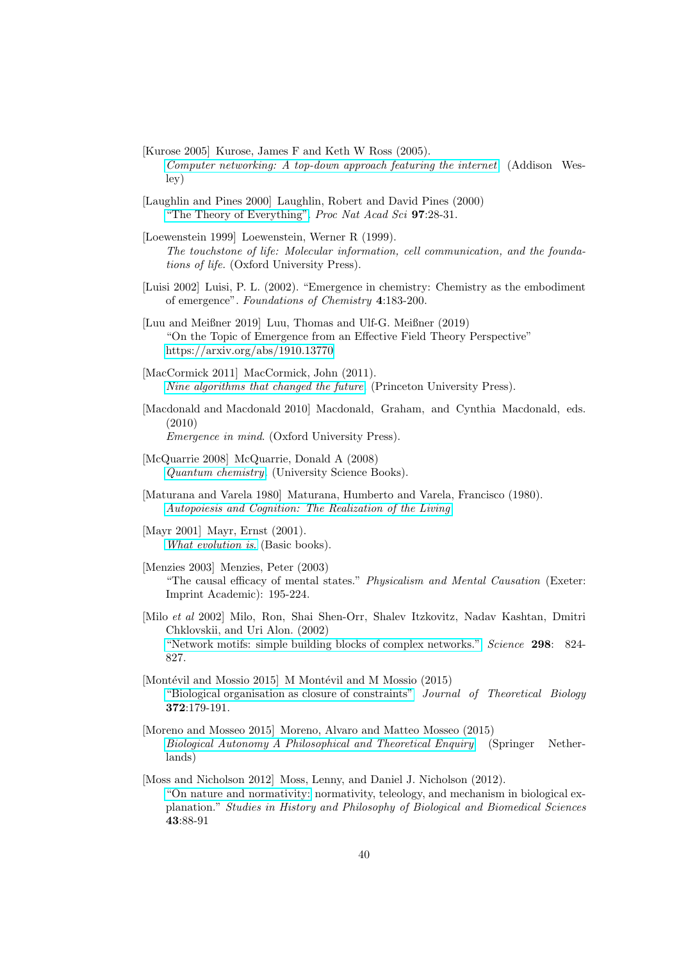- [Kurose 2005] Kurose, James F and Keth W Ross (2005). [Computer networking: A top-down approach featuring the internet](https://www.academia.edu/download/30922776/preface.pdf) (Addison Wesley)
- <span id="page-39-2"></span>[Laughlin and Pines 2000] Laughlin, Robert and David Pines (2000) ["The Theory of Everything".](https://www.pnas.org/content/97/1/28) Proc Nat Acad Sci 97:28-31.
- [Loewenstein 1999] Loewenstein, Werner R (1999). The touchstone of life: Molecular information, cell communication, and the foundations of life. (Oxford University Press).
- <span id="page-39-1"></span>[Luisi 2002] Luisi, P. L. (2002). "Emergence in chemistry: Chemistry as the embodiment of emergence". Foundations of Chemistry 4:183-200.
- <span id="page-39-0"></span>[Luu and Meißner 2019] Luu, Thomas and Ulf-G. Meißner (2019) "On the Topic of Emergence from an Effective Field Theory Perspective" <https://arxiv.org/abs/1910.13770>
- <span id="page-39-3"></span>[MacCormick 2011] MacCormick, John (2011). [Nine algorithms that changed the future](https://press.princeton.edu/books/paperback/9780691158198/nine-algorithms-that-changed-the-future). (Princeton University Press).
- [Macdonald and Macdonald 2010] Macdonald, Graham, and Cynthia Macdonald, eds. (2010) Emergence in mind. (Oxford University Press).
- <span id="page-39-4"></span>[McQuarrie 2008] McQuarrie, Donald A (2008) [Quantum chemistry](http://www.mcquarriegeneralchemistry.com/mcqqc.htm). (University Science Books).
- [Maturana and Varela 1980] Maturana, Humberto and Varela, Francisco (1980). [Autopoiesis and Cognition: The Realization of the Living](https://books.google.co.za/books?id=nVmcN9Ja68kC&dq=Maturana++Varela+Autopoiesis+Cognition&printsec=frontcover&redir_esc=y&hl=en#v=onepage&q&f=false)
- [Mayr 2001] Mayr, Ernst (2001). [What evolution is](https://www.basicbooks.com/titles/ernst-mayr/what-evolution-is/9780465044269/). (Basic books).
- [Menzies 2003] Menzies, Peter (2003) "The causal efficacy of mental states." Physicalism and Mental Causation (Exeter: Imprint Academic): 195-224.
- [Milo et al 2002] Milo, Ron, Shai Shen-Orr, Shalev Itzkovitz, Nadav Kashtan, Dmitri Chklovskii, and Uri Alon. (2002) ["Network motifs: simple building blocks of complex networks."](https://science.sciencemag.org/content/sci/298/5594/824.full.pdf?casa_token=7YpW3aBp8eoAAAAA:0ndDkkGoK_Mz4Q_OHniZSwhIXV-UD6rUdebXaX59pX9mwy8TPQe716ULXLsGXEuIfJa28V1EwA1BymFn) Science 298: 824- 827.
- [Montévil and Mossio 2015] M Montévil and M Mossio  $(2015)$ ["Biological organisation as closure of constraints"](https://hal.archives-ouvertes.fr/hal-01192916) Journal of Theoretical Biology 372:179-191.
- [Moreno and Mosseo 2015] Moreno, Alvaro and Matteo Mosseo (2015) [Biological Autonomy A Philosophical and Theoretical Enquiry](https://www.springer.com/gp/book/9789401798365) (Springer Netherlands)
- [Moss and Nicholson 2012] Moss, Lenny, and Daniel J. Nicholson (2012). ["On nature and normativity:](https://philarchive.org/archive/MOSONA-2) normativity, teleology, and mechanism in biological explanation." Studies in History and Philosophy of Biological and Biomedical Sciences 43:88-91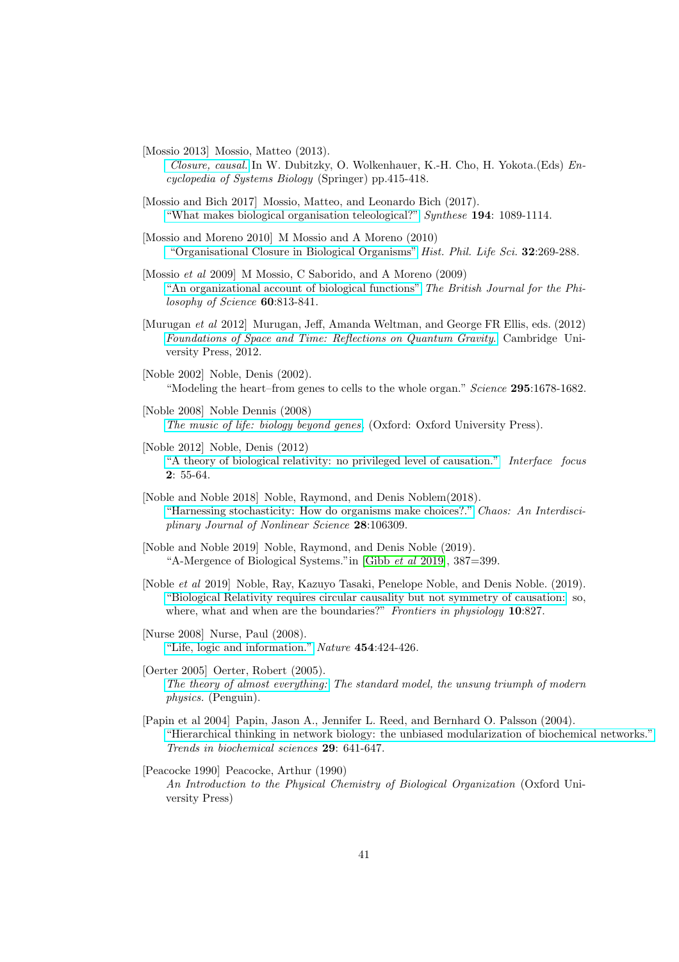[Mossio 2013] Mossio, Matteo (2013).

[Closure, causal.](https://halshs.archives-ouvertes.fr/halshs-00792439/PDF/Closure_causal_2013.pdf) In W. Dubitzky, O. Wolkenhauer, K.-H. Cho, H. Yokota.(Eds) Encyclopedia of Systems Biology (Springer) pp.415-418.

- [Mossio and Bich 2017] Mossio, Matteo, and Leonardo Bich (2017). ["What makes biological organisation teleological?"](http://philsci-archive.pitt.edu/11156/1/Mossio%26Bich_-_What_makes_biological_organisation_teleological_(Synthese).pdf) Synthese 194: 1089-1114.
- [Mossio and Moreno 2010] M Mossio and A Moreno (2010) ["Organisational Closure in Biological Organisms"](https://www.academia.edu/661020/Organisational_Closure_in_Biological_Organisms) Hist. Phil. Life Sci. 32:269-288.

<span id="page-40-1"></span>[Mossio et al 2009] M Mossio, C Saborido, and A Moreno (2009) ["An organizational account of biological functions"](https://academic.oup.com/bjps/article-abstract/60/4/813/1635631?redirectedFrom=fulltext) The British Journal for the Philosophy of Science 60:813-841.

- [Murugan et al 2012] Murugan, Jeff, Amanda Weltman, and George FR Ellis, eds. (2012) [Foundations of Space and Time: Reflections on Quantum Gravity](https://www.cambridge.org/core/books/foundations-of-space-and-time/A2EE254BF7CA0B6D96368A0BAA4A9310). Cambridge University Press, 2012.
- [Noble 2002] Noble, Denis (2002). "Modeling the heart–from genes to cells to the whole organ." Science 295:1678-1682.
- <span id="page-40-0"></span>[Noble 2008] Noble Dennis (2008) [The music of life: biology beyond genes](https://global.oup.com/academic/product/the-music-of-life-9780199295739?cc=us&lang=en&). (Oxford: Oxford University Press).
- [Noble 2012] Noble, Denis (2012) ["A theory of biological relativity: no privileged level of causation."](https://royalsocietypublishing.org/doi/full/10.1098/rsfs.2011.0067?url_ver=Z39.88-2003&rfr_id=ori:rid:crossref.org&rfr_dat=cr_pub%3dpubmed) Interface focus 2: 55-64.
- [Noble and Noble 2018] Noble, Raymond, and Denis Noblem(2018). ["Harnessing stochasticity: How do organisms make choices?."](https://aip.scitation.org/doi/full/10.1063/1.5039668) Chaos: An Interdisciplinary Journal of Nonlinear Science 28:106309.
- [Noble and Noble 2019] Noble, Raymond, and Denis Noble (2019). "A-Mergence of Biological Systems."in [\[Gibb](#page-37-0) et al 2019], 387=399.
- [Noble et al 2019] Noble, Ray, Kazuyo Tasaki, Penelope Noble, and Denis Noble. (2019). ["Biological Relativity requires circular causality but not symmetry of](https://www.researchgate.net/publication/334544377_Biological_Relativity_Requires_Circular_Causality_but_Not_Symmetry_of_Causation_So_Where_What_and_When_Are_the_Boundaries) causation: so, where, what and when are the boundaries?" Frontiers in physiology 10:827.
- [Nurse 2008] Nurse, Paul (2008). ["Life, logic and information."]( http://brown.edu/Departments/Engineering/Labs/Rose/papers/nurse_bioinfoflow.pdf) Nature 454:424-426.
- [Oerter 2005] Oerter, Robert (2005). [The theory of almost everything:](https://books.google.co.za/books?hl=en&lr=&id=KAMlsa8jjt4C&oi=fnd&pg=PT2&dq=The+Theory+of+almost+everything+Oerter&ots=OIKO5ajDOc&sig=70FRBOkOs74S9AsQeyuSB-4Kssg#v=onepage&q=The%20Theory%20of%20almost%20everything%20Oerter&f=false) The standard model, the unsung triumph of modern physics. (Penguin).
- [Papin et al 2004] Papin, Jason A., Jennifer L. Reed, and Bernhard O. Palsson (2004). ["Hierarchical thinking in network biology: the unbiased modularization of biochemical networks."](http://www.academia.edu/download/49071369/j.tibs.2004.10.00120160923-4646-tk788g.pdf) Trends in biochemical sciences 29: 641-647.

[Peacocke 1990] Peacocke, Arthur (1990) An Introduction to the Physical Chemistry of Biological Organization (Oxford University Press)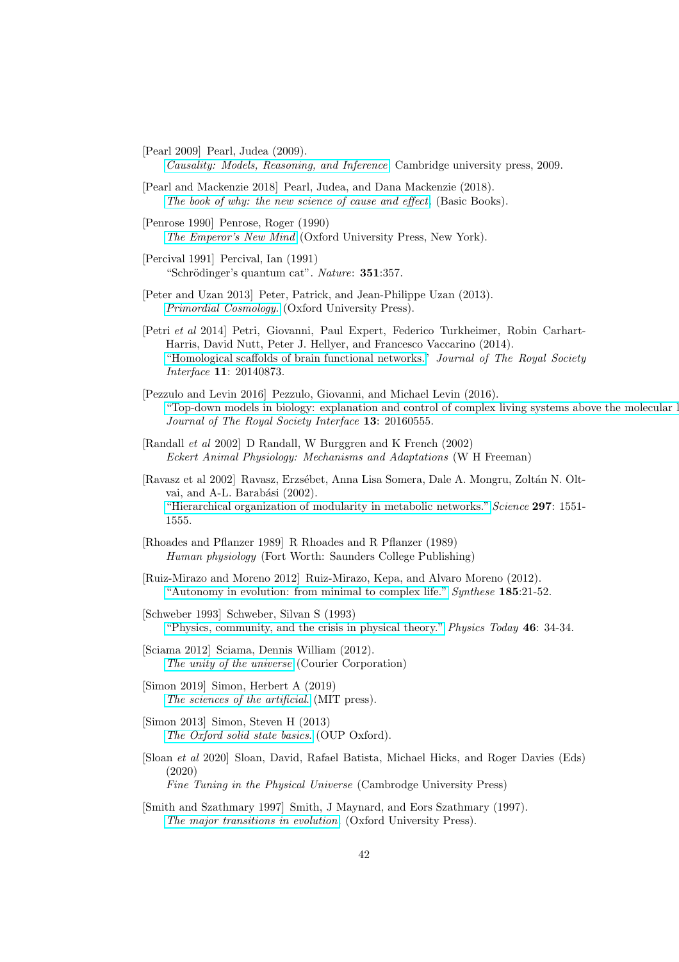[Pearl 2009] Pearl, Judea (2009).

[Causality: Models, Reasoning, and Inference](http://bayes.cs.ucla.edu/BOOK-2K/neuberg-review.pdf). Cambridge university press, 2009.

- <span id="page-41-0"></span>[Pearl and Mackenzie 2018] Pearl, Judea, and Dana Mackenzie (2018). [The book of why: the new science of cause and effect](http://cdar.berkeley.edu/wp-content/uploads/2017/04/Lisa-Goldberg-reviews-The-Book-of-Why.pdf). (Basic Books).
- [Penrose 1990] Penrose, Roger (1990) [The Emperor's New Mind](https://global.oup.com/academic/product/the-emperors-new-mind-9780198784920) (Oxford University Press, New York).
- <span id="page-41-4"></span>[Percival 1991] Percival, Ian (1991) "Schrödinger's quantum cat". Nature: 351:357.
- [Peter and Uzan 2013] Peter, Patrick, and Jean-Philippe Uzan (2013). [Primordial Cosmology.](https://books.google.co.za/books?hl=en&lr=&id=WlgLgUfZaTwC&oi=fnd&pg=PP2&dq=Peter+and+Uzan&ots=mFyXVlsife&sig=JW5DTsPc_kQgAmdbqwSZoi5kmag#v=onepage&q=Peter%20and%20Uzan&f=false) (Oxford University Press).
- [Petri et al 2014] Petri, Giovanni, Paul Expert, Federico Turkheimer, Robin Carhart-Harris, David Nutt, Peter J. Hellyer, and Francesco Vaccarino (2014). ["Homological scaffolds of brain functional networks."](https://royalsocietypublishing.org/doi/pdf/10.1098/rsif.2014.0873) Journal of The Royal Society Interface 11: 20140873.
- [Pezzulo and Levin 2016] Pezzulo, Giovanni, and Michael Levin (2016). ["Top-down models in biology: explanation and control of complex living](https://royalsocietypublishing.org/doi/pdf/10.1098/rsif.2016.0555) systems above the molecular l Journal of The Royal Society Interface 13: 20160555.
- <span id="page-41-1"></span>[Randall et al 2002] D Randall, W Burggren and K French (2002) Eckert Animal Physiology: Mechanisms and Adaptations (W H Freeman)
- [Ravasz et al 2002] Ravasz, Erzsébet, Anna Lisa Somera, Dale A. Mongru, Zoltán N. Oltvai, and A-L. Barabási (2002). ["Hierarchical organization of modularity in metabolic networks."](https://science.sciencemag.org/content/sci/297/5586/1551.full.pdf?casa_token=nLQLg9mzWUQAAAAA:8OwxxWpiM_kqJjRcCzwCS4r3a1iAnJT7j71hCTK-eEpy7kwZefq1QZPQCr8nw5N7GoK3LztHToK0F87W) Science 297: 1551- 1555.
- <span id="page-41-2"></span>[Rhoades and Pflanzer 1989] R Rhoades and R Pflanzer (1989) Human physiology (Fort Worth: Saunders College Publishing)
- [Ruiz-Mirazo and Moreno 2012] Ruiz-Mirazo, Kepa, and Alvaro Moreno (2012). ["Autonomy in evolution: from minimal to complex life."](https://www.ias-research.net/wp-content/uploads/2018/02/ruizmirazo_moreno_2012.pdf) Synthese 185:21-52.
- [Schweber 1993] Schweber, Silvan S (1993) ["Physics, community, and the crisis in physical theory."](https://www.researchgate.net/profile/Silvan_Schweber/publication/243389441_Physics_Community_and_the_Crisis_in_Physical_Theory/links/0deec53aa581cd3b8f000000/Physics-Community-and-the-Crisis-in-Physical-Theory.pdf) Physics Today 46: 34-34.
- [Sciama 2012] Sciama, Dennis William (2012). [The unity of the universe](https://books.google.co.za/books?hl=en&lr=&id=SMTsFskM1-MC&oi=fnd&pg=PP1&dq=Sciama+the+unity+of+the+universe&ots=i24SQFQoag&sig=HX_BZdgIsS4t9enV7cSzo9DS6jo#v=onepage&q=Sciama%20the%20unity%20of%20the%20universe&f=false) (Courier Corporation)
- [Simon 2019] Simon, Herbert A (2019) [The sciences of the artificial](https://books.google.co.za/books?hl=en&lr=&id=lSNoAgAAQBAJ&oi=fnd&pg=PP1&dq=Simon+Oxford+solid+state+phyiscs&ots=miyyWOZyly&sig=nkP2m-8XJY9KUpjJsQ03W3_N5ZE). (MIT press).
- [Simon 2013] Simon, Steven H (2013) [The Oxford solid state basics](https://books.google.co.za/books?hl=en&lr=&id=lSNoAgAAQBAJ&oi=fnd&pg=PP1&dq=Simon+Oxford+solid+state+phyiscs&ots=miyyWOZyly&sig=nkP2m-8XJY9KUpjJsQ03W3_N5ZE). (OUP Oxford).
- <span id="page-41-3"></span>[Sloan et al 2020] Sloan, David, Rafael Batista, Michael Hicks, and Roger Davies (Eds) (2020)

Fine Tuning in the Physical Universe (Cambrodge University Press)

[Smith and Szathmary 1997] Smith, J Maynard, and Eors Szathmary (1997). [The major transitions in evolution](https://books.google.co.za/books?hl=en&lr=&id=Qts6FAcGGaIC&oi=fnd&pg=PP1&dq=Maynard+Smith+Szamary&ots=nqqRB13DB1&sig=hZABp4Nsh_JlsCHYCR-lD6FR49A#v=onepage&q=Maynard%20Smith%20Szamary&f=false). (Oxford University Press).